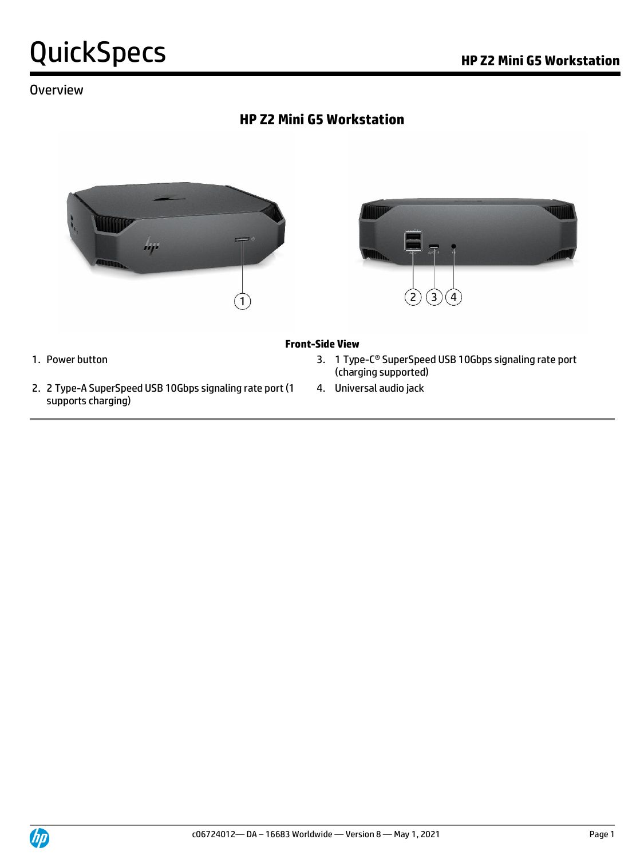### **Overview**

### **HP Z2 Mini G5 Workstation**





#### **Front-Side View**

- 1. Power button **3. 1 Type-C<sup>®</sup> SuperSpeed USB 10Gbps signaling rate port** (charging supported)
	- 4. Universal audio jack
- 2. 2 Type-A SuperSpeed USB 10Gbps signaling rate port (1 supports charging)

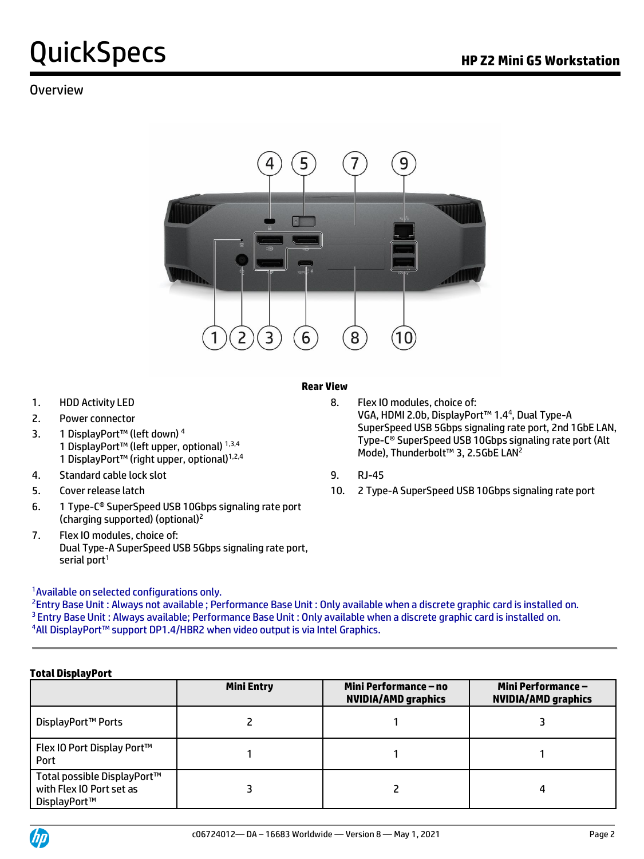#### Overview



#### **Rear View**

- 
- 2. Power connector
- 3. 1 DisplayPort™ (left down) <sup>4</sup> 1 DisplayPort™ (left upper, optional) 1,3,4 1 DisplayPort™ (right upper, optional)<sup>1,2,4</sup>
- 4. Standard cable lock slot 9. RJ-45
- 
- 6. 1 Type-C® SuperSpeed USB 10Gbps signaling rate port (charging supported) (optional)<sup>2</sup>
- 7. Flex IO modules, choice of: Dual Type-A SuperSpeed USB 5Gbps signaling rate port, serial port $1$

#### <sup>1</sup> Available on selected configurations only.

<sup>2</sup>Entry Base Unit: Always not available; Performance Base Unit: Only available when a discrete graphic card is installed on. <sup>3</sup> Entry Base Unit : Always available; Performance Base Unit : Only available when a discrete graphic card is installed on. <sup>4</sup>All DisplayPort™ support DP1.4/HBR2 when video output is via Intel Graphics.

#### **Total DisplayPort**

|                                                                         | <b>Mini Entry</b> | Mini Performance – no<br><b>NVIDIA/AMD graphics</b> | <b>Mini Performance -</b><br><b>NVIDIA/AMD graphics</b> |
|-------------------------------------------------------------------------|-------------------|-----------------------------------------------------|---------------------------------------------------------|
| DisplayPort™ Ports                                                      |                   |                                                     |                                                         |
| Flex IO Port Display Port™<br>Port                                      |                   |                                                     |                                                         |
| Total possible DisplayPort™<br>with Flex IO Port set as<br>DisplayPort™ |                   |                                                     | Δ                                                       |



1. HDD Activity LED 8. Flex IO modules, choice of: VGA, HDMI 2.0b, DisplayPort<sup>™</sup> 1.4<sup>4</sup>, Dual Type-A SuperSpeed USB 5Gbps signaling rate port, 2nd 1GbE LAN, Type-C® SuperSpeed USB 10Gbps signaling rate port (Alt Mode), Thunderbolt™ 3, 2.5GbE LAN<sup>2</sup>

- 
- 5. Cover release latch 10. 2 Type-A SuperSpeed USB 10Gbps signaling rate port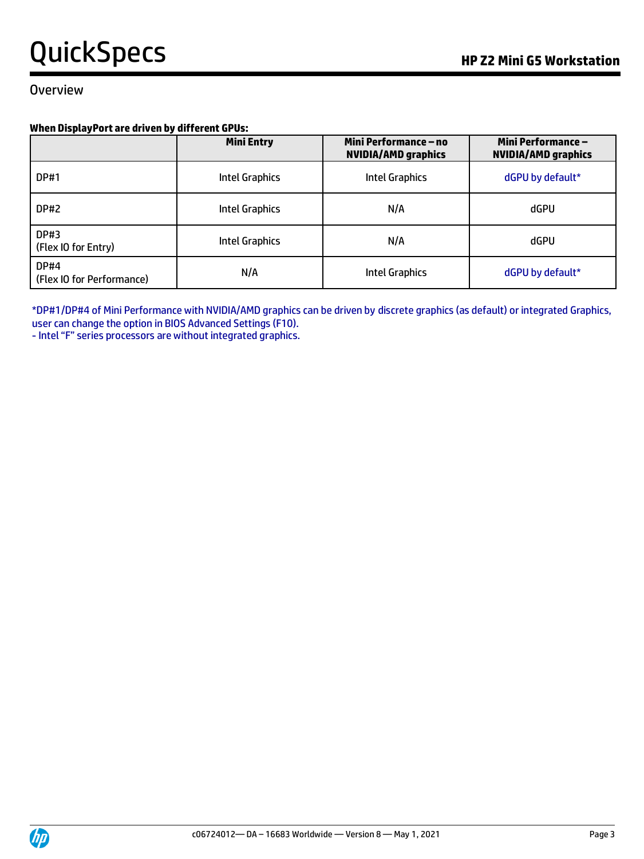#### Overview

#### **When DisplayPort are driven by different GPUs:**

|                                          | <b>Mini Entry</b> | Mini Performance – no<br><b>NVIDIA/AMD graphics</b> | <b>Mini Performance –</b><br><b>NVIDIA/AMD graphics</b> |
|------------------------------------------|-------------------|-----------------------------------------------------|---------------------------------------------------------|
| <b>DP#1</b>                              | Intel Graphics    | Intel Graphics                                      | dGPU by default*                                        |
| DP#2                                     | Intel Graphics    | N/A                                                 | dGPU                                                    |
| <b>DP#3</b><br>(Flex IO for Entry)       | Intel Graphics    | N/A                                                 | dGPU                                                    |
| <b>DP#4</b><br>(Flex IO for Performance) | N/A               | <b>Intel Graphics</b>                               | dGPU by default*                                        |

\*DP#1/DP#4 of Mini Performance with NVIDIA/AMD graphics can be driven by discrete graphics (as default) or integrated Graphics, user can change the option in BIOS Advanced Settings (F10).

- Intel "F" series processors are without integrated graphics.

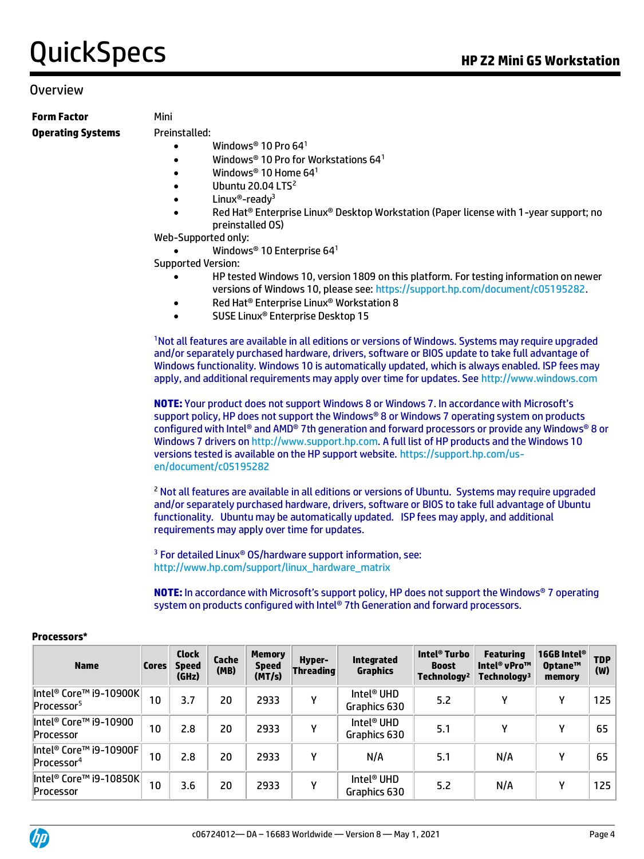#### Overview

**Form Factor** Mini **Operating Systems** Preinstalled:

- Windows<sup>®</sup> 10 Pro 64<sup>1</sup>
- Windows® 10 Pro for Workstations 64<sup>1</sup>
- Windows® 10 Home  $64^1$
- Ubuntu 20.04  $LTS<sup>2</sup>$
- Linux<sup>®</sup>-ready<sup>3</sup>
- Red Hat® Enterprise Linux® Desktop Workstation (Paper license with 1-year support; no preinstalled OS)

Web-Supported only:

Windows® 10 Enterprise 64<sup>1</sup>

Supported Version:

- HP tested Windows 10, version 1809 on this platform. For testing information on newer versions of Windows 10, please see[: https://support.hp.com/document/c05195282.](https://support.hp.com/document/c05195282)
- Red Hat® Enterprise Linux® Workstation 8
- SUSE Linux® Enterprise Desktop 15

<sup>1</sup>Not all features are available in all editions or versions of Windows. Systems may require upgraded and/or separately purchased hardware, drivers, software or BIOS update to take full advantage of Windows functionality. Windows 10 is automatically updated, which is always enabled. ISP fees may apply, and additional requirements may apply over time for updates. See [http://www.windows.com](http://www.windows.com/)

**NOTE:** Your product does not support Windows 8 or Windows 7. In accordance with Microsoft's support policy, HP does not support the Windows® 8 or Windows 7 operating system on products configured with Intel® and AMD® 7th generation and forward processors or provide any Windows® 8 or Windows 7 drivers o[n http://www.support.hp.com.](http://www.support.hp.com/) A full list of HP products and the Windows 10 versions tested is available on the HP support website[. https://support.hp.com/us](https://support.hp.com/us-en/document/c05195282)[en/document/c05195282](https://support.hp.com/us-en/document/c05195282)

<sup>2</sup> Not all features are available in all editions or versions of Ubuntu. Systems may require upgraded and/or separately purchased hardware, drivers, software or BIOS to take full advantage of Ubuntu functionality. Ubuntu may be automatically updated. ISP fees may apply, and additional requirements may apply over time for updates.

<sup>3</sup> For detailed Linux® OS/hardware support information, see: [http://www.hp.com/support/linux\\_hardware\\_matrix](http://www.hp.com/support/linux_hardware_matrix)

**NOTE:** In accordance with Microsoft's support policy, HP does not support the Windows® 7 operating system on products configured with Intel® 7th Generation and forward processors.

| <b>Name</b>                                      | <b>Cores</b> | <b>Clock</b><br><b>Speed</b><br>(GHz) | Cache<br>(MB) | <b>Memory</b><br><b>Speed</b><br>(MT/s) | Hyper-<br>Threading | <b>Integrated</b><br><b>Graphics</b>   | Intel <sup>®</sup> Turbo<br><b>Boost</b><br>Technology <sup>2</sup> | <b>Featuring</b><br>Intel <sup>®</sup> vPro™<br>Technology <sup>3</sup> | 16GB Intel <sup>®</sup><br>Optane™<br>memory | <b>TDP</b><br>(W) |
|--------------------------------------------------|--------------|---------------------------------------|---------------|-----------------------------------------|---------------------|----------------------------------------|---------------------------------------------------------------------|-------------------------------------------------------------------------|----------------------------------------------|-------------------|
| Intel® Core™ i9-10900K<br>Processor <sup>5</sup> | 10           | 3.7                                   | 20            | 2933                                    | γ                   | Intel <sup>®</sup> UHD<br>Graphics 630 | 5.2                                                                 | ν                                                                       | γ                                            | 125               |
| Intel® Core™ i9-10900<br>Processor               | 10           | 2.8                                   | 20            | 2933                                    | γ                   | Intel <sup>®</sup> UHD<br>Graphics 630 | 5.1                                                                 | ν                                                                       | γ                                            | 65                |
| Intel® Core™ i9-10900F<br>Processor <sup>4</sup> | 10           | 2.8                                   | 20            | 2933                                    | γ                   | N/A                                    | 5.1                                                                 | N/A                                                                     | ٧                                            | 65                |
| $\ $ Intel® Core™ i9-10850K $\ $<br>Processor    | 10           | 3.6                                   | 20            | 2933                                    | γ                   | Intel <sup>®</sup> UHD<br>Graphics 630 | 5.2                                                                 | N/A                                                                     | γ                                            | 125               |

#### **Processors\***

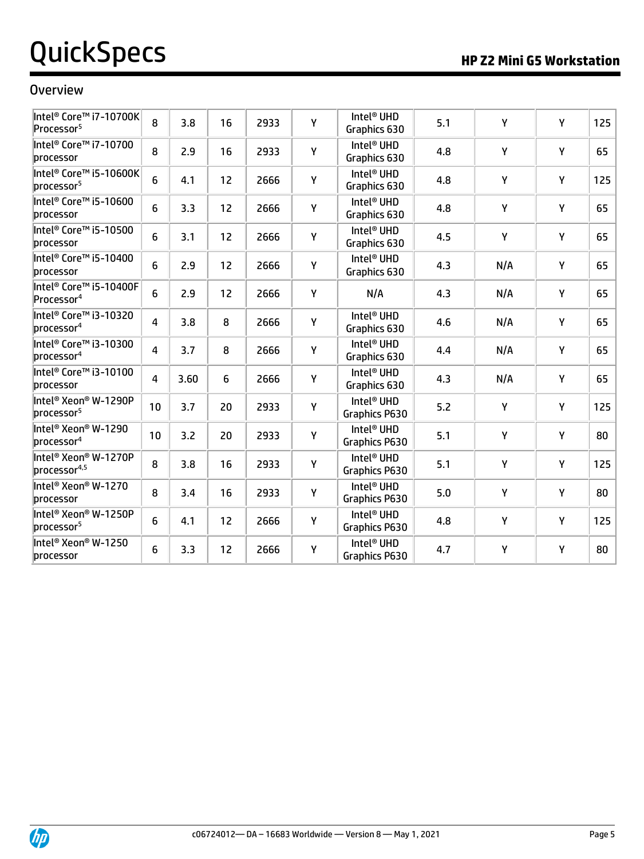#### **Overview**

| Intel® Core™ i7-10700K<br>Processor <sup>5</sup> | 8  | 3.8  | 16 | 2933 | Υ | Intel <sup>®</sup> UHD<br>Graphics 630  | 5.1 | Y   | Υ | 125 |
|--------------------------------------------------|----|------|----|------|---|-----------------------------------------|-----|-----|---|-----|
| Intel® Core™ i7-10700<br>processor               | 8  | 2.9  | 16 | 2933 | Υ | Intel <sup>®</sup> UHD<br>Graphics 630  | 4.8 | Y   | Y | 65  |
| Intel® Core™ i5-10600K<br>processor <sup>5</sup> | 6  | 4.1  | 12 | 2666 | Υ | Intel <sup>®</sup> UHD<br>Graphics 630  | 4.8 | Y   | Υ | 125 |
| Intel® Core™ i5-10600<br>processor               | 6  | 3.3  | 12 | 2666 | Υ | Intel <sup>®</sup> UHD<br>Graphics 630  | 4.8 | Y   | Υ | 65  |
| Intel® Core™ i5-10500<br>processor               | 6  | 3.1  | 12 | 2666 | Υ | Intel <sup>®</sup> UHD<br>Graphics 630  | 4.5 | Y   | Υ | 65  |
| Intel® Core™ i5-10400<br>processor               | 6  | 2.9  | 12 | 2666 | Υ | Intel <sup>®</sup> UHD<br>Graphics 630  | 4.3 | N/A | Y | 65  |
| Intel® Core™ i5-10400F<br>Processor <sup>4</sup> | 6  | 2.9  | 12 | 2666 | Υ | N/A                                     | 4.3 | N/A | Υ | 65  |
| Intel® Core™ i3-10320<br>processor <sup>4</sup>  | 4  | 3.8  | 8  | 2666 | Υ | Intel <sup>®</sup> UHD<br>Graphics 630  | 4.6 | N/A | Υ | 65  |
| Intel® Core™ i3-10300<br>processor <sup>4</sup>  | 4  | 3.7  | 8  | 2666 | Υ | Intel <sup>®</sup> UHD<br>Graphics 630  | 4.4 | N/A | Y | 65  |
| Intel® Core™ i3-10100<br>processor               | 4  | 3.60 | 6  | 2666 | Υ | Intel <sup>®</sup> UHD<br>Graphics 630  | 4.3 | N/A | Υ | 65  |
| Intel® Xeon® W-1290P<br>processor <sup>5</sup>   | 10 | 3.7  | 20 | 2933 | Υ | Intel <sup>®</sup> UHD<br>Graphics P630 | 5.2 | Y   | Υ | 125 |
| Intel® Xeon® W-1290<br>processor <sup>4</sup>    | 10 | 3.2  | 20 | 2933 | Υ | Intel <sup>®</sup> UHD<br>Graphics P630 | 5.1 | Y   | Y | 80  |
| Intel <sup>®</sup> Xeon® W-1270P<br>processor4,5 | 8  | 3.8  | 16 | 2933 | Υ | Intel <sup>®</sup> UHD<br>Graphics P630 | 5.1 | Y   | Y | 125 |
| Intel® Xeon® W-1270<br>processor                 | 8  | 3.4  | 16 | 2933 | Υ | Intel <sup>®</sup> UHD<br>Graphics P630 | 5.0 | Υ   | Υ | 80  |
| Intel® Xeon® W-1250P<br>processor <sup>5</sup>   | 6  | 4.1  | 12 | 2666 | Υ | Intel <sup>®</sup> UHD<br>Graphics P630 | 4.8 | Y   | Υ | 125 |
| Intel <sup>®</sup> Xeon® W-1250<br>processor     | 6  | 3.3  | 12 | 2666 | Y | Intel <sup>®</sup> UHD<br>Graphics P630 | 4.7 | Y   | Y | 80  |

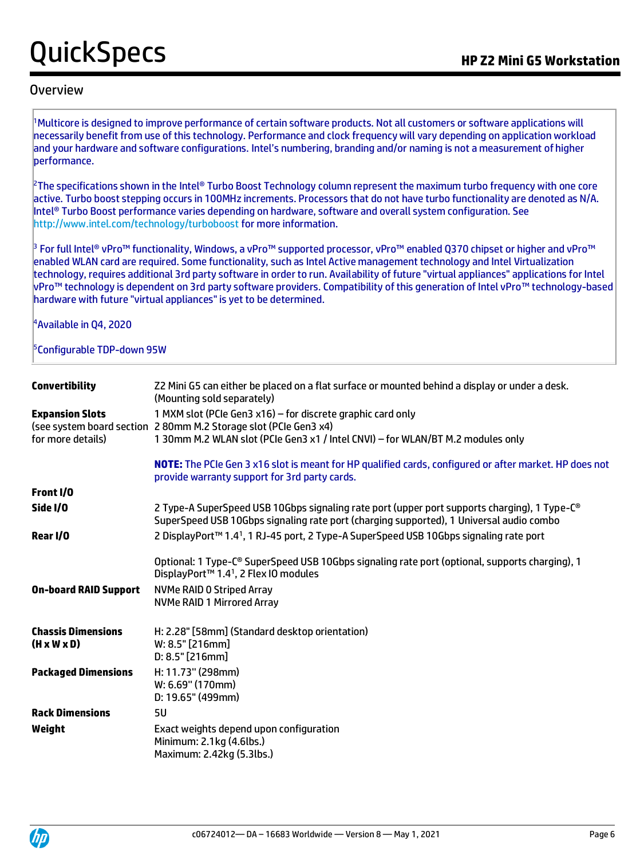#### Overview

<sup>1</sup>Multicore is designed to improve performance of certain software products. Not all customers or software applications will necessarily benefit from use of this technology. Performance and clock frequency will vary depending on application workload and your hardware and software configurations. Intel's numbering, branding and/or naming is not a measurement of higher performance.

 $^2$ The specifications shown in the Intel® Turbo Boost Technology column represent the maximum turbo frequency with one core active. Turbo boost stepping occurs in 100MHz increments. Processors that do not have turbo functionality are denoted as N/A. Intel® Turbo Boost performance varies depending on hardware, software and overall system configuration. See <http://www.intel.com/technology/turboboost> for more information.

<sup>3</sup> For full Intel® vPro™ functionality, Windows, a vPro™ supported processor, vPro™ enabled Q370 chipset or higher and vPro™ enabled WLAN card are required. Some functionality, such as Intel Active management technology and Intel Virtualization technology, requires additional 3rd party software in order to run. Availability of future "virtual appliances" applications for Intel vPro™ technology is dependent on 3rd party software providers. Compatibility of this generation of Intel vPro™ technology-based hardware with future "virtual appliances" is yet to be determined.

<sup>4</sup>Available in Q4, 2020

#### <sup>5</sup>Configurable TDP-down 95W

| <b>Convertibility</b>                                | Z2 Mini G5 can either be placed on a flat surface or mounted behind a display or under a desk.<br>(Mounting sold separately)                                                                                       |
|------------------------------------------------------|--------------------------------------------------------------------------------------------------------------------------------------------------------------------------------------------------------------------|
| <b>Expansion Slots</b><br>for more details)          | 1 MXM slot (PCIe Gen3 x16) - for discrete graphic card only<br>(see system board section 2 80mm M.2 Storage slot (PCIe Gen3 x4)<br>1 30mm M.2 WLAN slot (PCIe Gen3 x1 / Intel CNVI) - for WLAN/BT M.2 modules only |
|                                                      | NOTE: The PCIe Gen 3 x16 slot is meant for HP qualified cards, configured or after market. HP does not<br>provide warranty support for 3rd party cards.                                                            |
| Front I/O                                            |                                                                                                                                                                                                                    |
| Side I/O                                             | 2 Type-A SuperSpeed USB 10Gbps signaling rate port (upper port supports charging), 1 Type-C <sup>®</sup><br>SuperSpeed USB 10Gbps signaling rate port (charging supported), 1 Universal audio combo                |
| Rear I/O                                             | 2 DisplayPort™ 1.4 <sup>1</sup> , 1 RJ-45 port, 2 Type-A SuperSpeed USB 10Gbps signaling rate port                                                                                                                 |
|                                                      | Optional: 1 Type-C® SuperSpeed USB 10Gbps signaling rate port (optional, supports charging), 1<br>DisplayPort™ 1.4 <sup>1</sup> , 2 Flex IO modules                                                                |
| <b>On-board RAID Support</b>                         | <b>NVMe RAID 0 Striped Array</b><br><b>NVMe RAID 1 Mirrored Array</b>                                                                                                                                              |
| <b>Chassis Dimensions</b><br>$(H \times W \times D)$ | H: 2.28" [58mm] (Standard desktop orientation)<br>W: 8.5" [216mm]<br>$D: 8.5"$ [216mm]                                                                                                                             |
| <b>Packaged Dimensions</b>                           | H: 11.73" (298mm)<br>W: 6.69" (170mm)<br>D: 19.65" (499mm)                                                                                                                                                         |
| <b>Rack Dimensions</b>                               | 5U                                                                                                                                                                                                                 |
| Weight                                               | Exact weights depend upon configuration<br>Minimum: 2.1kg (4.6lbs.)<br>Maximum: 2.42kg (5.3lbs.)                                                                                                                   |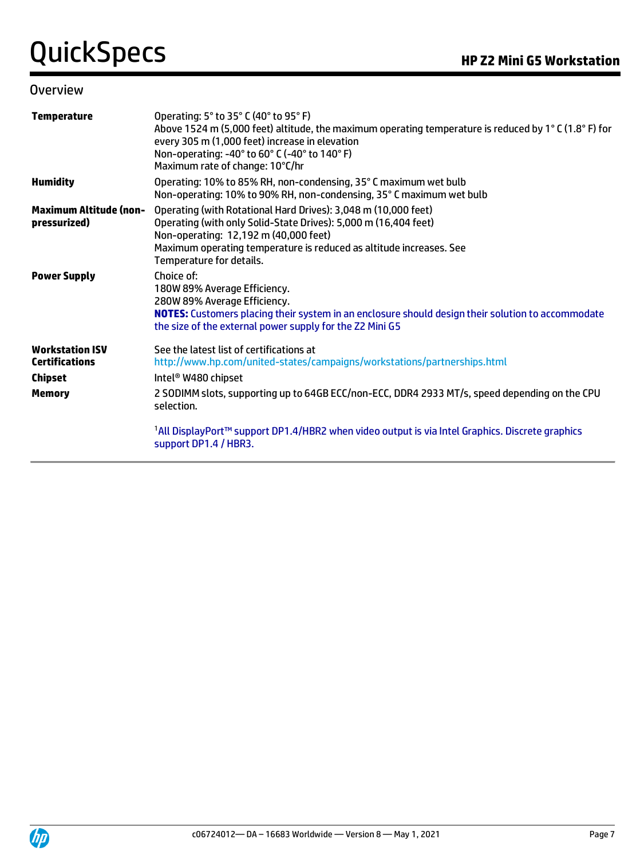#### **Overview**

| <b>Temperature</b>                                                | Operating: 5° to 35° C (40° to 95° F)<br>Above 1524 m (5,000 feet) altitude, the maximum operating temperature is reduced by 1°C (1.8°F) for<br>every 305 m (1,000 feet) increase in elevation<br>Non-operating: -40° to 60° C (-40° to 140° F)<br>Maximum rate of change: 10°C/hr |
|-------------------------------------------------------------------|------------------------------------------------------------------------------------------------------------------------------------------------------------------------------------------------------------------------------------------------------------------------------------|
| <b>Humidity</b>                                                   | Operating: 10% to 85% RH, non-condensing, 35° C maximum wet bulb<br>Non-operating: 10% to 90% RH, non-condensing, 35° C maximum wet bulb                                                                                                                                           |
| <b>Maximum Altitude (non-</b><br>pressurized)                     | Operating (with Rotational Hard Drives): 3,048 m (10,000 feet)<br>Operating (with only Solid-State Drives): 5,000 m (16,404 feet)<br>Non-operating: 12,192 m (40,000 feet)<br>Maximum operating temperature is reduced as altitude increases. See<br>Temperature for details.      |
| <b>Power Supply</b>                                               | Choice of:<br>180W 89% Average Efficiency.<br>280W 89% Average Efficiency.<br>NOTES: Customers placing their system in an enclosure should design their solution to accommodate<br>the size of the external power supply for the Z2 Mini G5                                        |
| <b>Workstation ISV</b><br><b>Certifications</b><br><b>Chipset</b> | See the latest list of certifications at<br>http://www.hp.com/united-states/campaigns/workstations/partnerships.html<br>Intel <sup>®</sup> W480 chipset                                                                                                                            |
| <b>Memory</b>                                                     | 2 SODIMM slots, supporting up to 64GB ECC/non-ECC, DDR4 2933 MT/s, speed depending on the CPU<br>selection.                                                                                                                                                                        |
|                                                                   | 1All DisplayPort™ support DP1.4/HBR2 when video output is via Intel Graphics. Discrete graphics<br>support DP1.4 / HBR3.                                                                                                                                                           |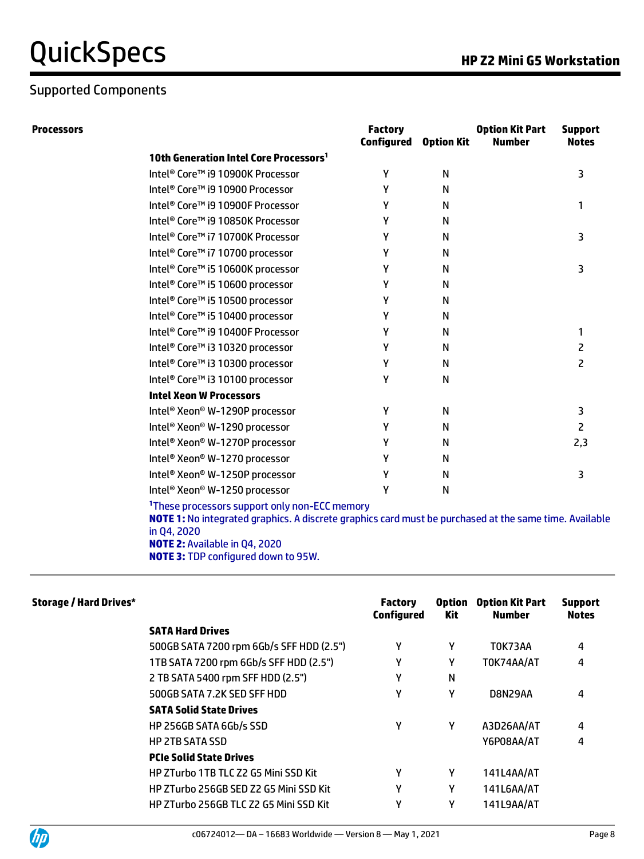## Supported Components

|  |  | <b>HP Z2 Mini G5 Workstation</b> |  |
|--|--|----------------------------------|--|
|  |  |                                  |  |

| <b>Processors</b> |                                                    | <b>Factory</b><br>Configured | <b>Option Kit</b> | <b>Option Kit Part</b><br><b>Number</b> | <b>Support</b><br><b>Notes</b> |
|-------------------|----------------------------------------------------|------------------------------|-------------------|-----------------------------------------|--------------------------------|
|                   | 10th Generation Intel Core Processors <sup>1</sup> |                              |                   |                                         |                                |
|                   | Intel® Core™ i9 10900K Processor                   | γ                            | N                 |                                         | 3                              |
|                   | Intel <sup>®</sup> Core™ i9 10900 Processor        | Y                            | N                 |                                         |                                |
|                   | Intel® Core™ i9 10900F Processor                   | γ                            | N                 |                                         |                                |
|                   | Intel <sup>®</sup> Core™ i9 10850K Processor       | γ                            | N                 |                                         |                                |
|                   | Intel <sup>®</sup> Core™ i7 10700K Processor       | γ                            | N                 |                                         | 3                              |
|                   | Intel <sup>®</sup> Core™ i7 10700 processor        | γ                            | N                 |                                         |                                |
|                   | Intel <sup>®</sup> Core™ i5 10600K processor       | γ                            | N                 |                                         | 3                              |
|                   | Intel <sup>®</sup> Core™ i5 10600 processor        | γ                            | N                 |                                         |                                |
|                   | Intel® Core™ i5 10500 processor                    | γ                            | N                 |                                         |                                |
|                   | Intel <sup>®</sup> Core™ i5 10400 processor        | Y                            | N                 |                                         |                                |
|                   | Intel <sup>®</sup> Core™ i9 10400F Processor       | γ                            | N                 |                                         | 1                              |
|                   | Intel <sup>®</sup> Core™ i3 10320 processor        | γ                            | N                 |                                         | 2                              |
|                   | Intel® Core™ i3 10300 processor                    | γ                            | N                 |                                         | 2                              |
|                   | Intel <sup>®</sup> Core™ i3 10100 processor        | γ                            | N                 |                                         |                                |
|                   | <b>Intel Xeon W Processors</b>                     |                              |                   |                                         |                                |
|                   | Intel® Xeon® W-1290P processor                     | Υ                            | N                 |                                         | 3                              |
|                   | Intel® Xeon® W-1290 processor                      | Y                            | N                 |                                         | 2                              |
|                   | Intel® Xeon® W-1270P processor                     | Υ                            | N                 |                                         | 2,3                            |
|                   | Intel® Xeon® W-1270 processor                      | γ                            | N                 |                                         |                                |
|                   | Intel® Xeon® W-1250P processor                     | γ                            | N                 |                                         | 3                              |
|                   | Intel® Xeon® W-1250 processor                      | Υ                            | N                 |                                         |                                |
|                   |                                                    |                              |                   |                                         |                                |

**<sup>1</sup>**These processors support only non-ECC memory

**NOTE 1:** No integrated graphics. A discrete graphics card must be purchased at the same time. Available in Q4, 2020 **NOTE 2:** Available in Q4, 2020

**NOTE 3:** TDP configured down to 95W.

| <b>Storage / Hard Drives*</b> |                                          | <b>Factory</b><br><b>Configured</b> | <b>Option</b><br>Kit | <b>Option Kit Part</b><br><b>Number</b> | <b>Support</b><br><b>Notes</b> |
|-------------------------------|------------------------------------------|-------------------------------------|----------------------|-----------------------------------------|--------------------------------|
|                               | <b>SATA Hard Drives</b>                  |                                     |                      |                                         |                                |
|                               | 500GB SATA 7200 rpm 6Gb/s SFF HDD (2.5") | γ                                   | Y                    | TOK73AA                                 | 4                              |
|                               | 1TB SATA 7200 rpm 6Gb/s SFF HDD (2.5")   | γ                                   | Y                    | TOK74AA/AT                              | 4                              |
|                               | 2 TB SATA 5400 rpm SFF HDD (2.5")        | γ                                   | N                    |                                         |                                |
|                               | 500GB SATA 7.2K SED SFF HDD              | γ                                   | Υ                    | D8N29AA                                 | 4                              |
|                               | <b>SATA Solid State Drives</b>           |                                     |                      |                                         |                                |
|                               | HP 256GB SATA 6Gb/s SSD                  | γ                                   | Υ                    | A3D26AA/AT                              | 4                              |
|                               | <b>HP 2TB SATA SSD</b>                   |                                     |                      | Y6P08AA/AT                              | 4                              |
|                               | <b>PCIe Solid State Drives</b>           |                                     |                      |                                         |                                |
|                               | HP ZTurbo 1TB TLC Z2 G5 Mini SSD Kit     | γ                                   | Y                    | 141L4AA/AT                              |                                |
|                               | HP ZTurbo 256GB SED Z2 G5 Mini SSD Kit   | γ                                   | Υ                    | 141L6AA/AT                              |                                |
|                               | HP ZTurbo 256GB TLC Z2 G5 Mini SSD Kit   | γ                                   | Υ                    | 141L9AA/AT                              |                                |

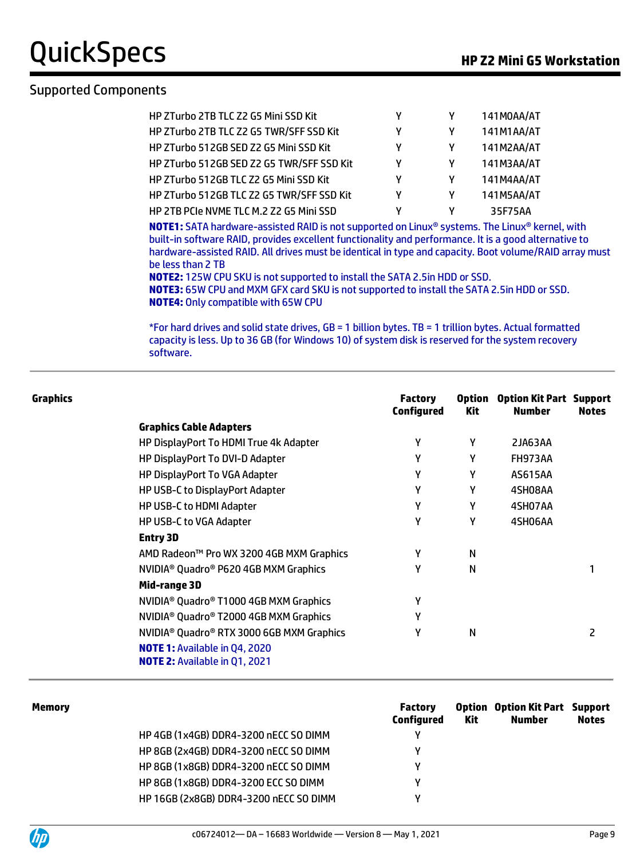QuickSpecs **HP Z2 Mini G5 Workstation**

#### Supported Components

| HP ZTurbo 2TB TLC Z2 G5 Mini SSD Kit      |   | 141M0AA/AT |
|-------------------------------------------|---|------------|
| HP ZTurbo 2TB TLC Z2 G5 TWR/SFF SSD Kit   | γ | 141M1AA/AT |
| HP ZTurbo 512GB SED Z2 G5 Mini SSD Kit    | γ | 141M2AA/AT |
| HP ZTurbo 512GB SED Z2 G5 TWR/SFF SSD Kit | ٧ | 141M3AA/AT |
| HP ZTurbo 512GB TLC Z2 G5 Mini SSD Kit    | γ | 141M4AA/AT |
| HP ZTurbo 512GB TLC Z2 G5 TWR/SFF SSD Kit | ٧ | 141M5AA/AT |
| HP 2TB PCIe NVME TLC M.2 Z2 G5 Mini SSD   |   | 35F75AA    |

**NOTE1:** SATA hardware-assisted RAID is not supported on Linux® systems. The Linux® kernel, with built-in software RAID, provides excellent functionality and performance. It is a good alternative to hardware-assisted RAID. All drives must be identical in type and capacity. Boot volume/RAID array must be less than 2 TB

**NOTE2:** 125W CPU SKU is not supported to install the SATA 2.5in HDD or SSD. **NOTE3:** 65W CPU and MXM GFX card SKU is not supported to install the SATA 2.5in HDD or SSD. **NOTE4:** Only compatible with 65W CPU

\*For hard drives and solid state drives, GB = 1 billion bytes. TB = 1 trillion bytes. Actual formatted capacity is less. Up to 36 GB (for Windows 10) of system disk is reserved for the system recovery software.

| <b>Graphics</b> |                                                                              | <b>Factory</b><br><b>Configured</b> | <b>Option</b><br>Kit | <b>Option Kit Part Support</b><br>Number | <b>Notes</b> |
|-----------------|------------------------------------------------------------------------------|-------------------------------------|----------------------|------------------------------------------|--------------|
|                 | <b>Graphics Cable Adapters</b>                                               |                                     |                      |                                          |              |
|                 | HP DisplayPort To HDMI True 4k Adapter                                       | γ                                   | γ                    | 2JA63AA                                  |              |
|                 | HP DisplayPort To DVI-D Adapter                                              | γ                                   | γ                    | FH973AA                                  |              |
|                 | HP DisplayPort To VGA Adapter                                                | γ                                   | γ                    | <b>AS615AA</b>                           |              |
|                 | HP USB-C to DisplayPort Adapter                                              | γ                                   | γ                    | 4SH08AA                                  |              |
|                 | HP USB-C to HDMI Adapter                                                     | γ                                   | γ                    | 4SH07AA                                  |              |
|                 | <b>HP USB-C to VGA Adapter</b>                                               | γ                                   | γ                    | 4SH06AA                                  |              |
|                 | <b>Entry 3D</b>                                                              |                                     |                      |                                          |              |
|                 | AMD Radeon™ Pro WX 3200 4GB MXM Graphics                                     | γ                                   | N                    |                                          |              |
|                 | NVIDIA <sup>®</sup> Quadro® P620 4GB MXM Graphics                            | γ                                   | N                    |                                          |              |
|                 | Mid-range 3D                                                                 |                                     |                      |                                          |              |
|                 | NVIDIA® Quadro® T1000 4GB MXM Graphics                                       | γ                                   |                      |                                          |              |
|                 | NVIDIA <sup>®</sup> Quadro® T2000 4GB MXM Graphics                           | γ                                   |                      |                                          |              |
|                 | NVIDIA <sup>®</sup> Quadro® RTX 3000 6GB MXM Graphics                        | γ                                   | N                    |                                          | 2            |
|                 | <b>NOTE 1: Available in Q4, 2020</b><br><b>NOTE 2:</b> Available in Q1, 2021 |                                     |                      |                                          |              |

| <b>Memory</b> |                                        | <b>Factory</b><br>Configured | Kit | <b>Option Option Kit Part Support</b><br><b>Number</b> | <b>Notes</b> |
|---------------|----------------------------------------|------------------------------|-----|--------------------------------------------------------|--------------|
|               | HP 4GB (1x4GB) DDR4-3200 nECC SO DIMM  | ٧                            |     |                                                        |              |
|               | HP 8GB (2x4GB) DDR4-3200 nECC SO DIMM  | v                            |     |                                                        |              |
|               | HP 8GB (1x8GB) DDR4-3200 nECC SO DIMM  | v                            |     |                                                        |              |
|               | HP 8GB (1x8GB) DDR4-3200 ECC SO DIMM   | v                            |     |                                                        |              |
|               | HP 16GB (2x8GB) DDR4-3200 nECC SO DIMM | v                            |     |                                                        |              |
|               |                                        |                              |     |                                                        |              |

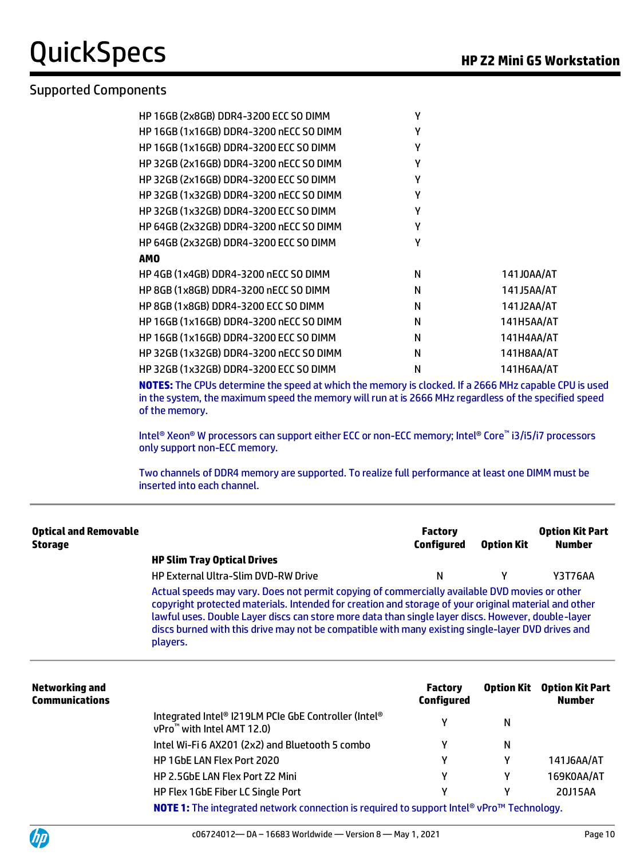QuickSpecs **HP Z2 Mini G5 Workstation**

### Supported Components

| HP 16GB (2x8GB) DDR4-3200 ECC SO DIMM   | γ |            |
|-----------------------------------------|---|------------|
| HP 16GB (1x16GB) DDR4-3200 nECC SO DIMM | Υ |            |
| HP 16GB (1x16GB) DDR4-3200 ECC SO DIMM  | γ |            |
| HP 32GB (2x16GB) DDR4-3200 nECC SO DIMM | γ |            |
| HP 32GB (2x16GB) DDR4-3200 ECC SO DIMM  | γ |            |
| HP 32GB (1x32GB) DDR4-3200 nECC SO DIMM | γ |            |
| HP 32GB (1x32GB) DDR4-3200 ECC SO DIMM  | γ |            |
| HP 64GB (2x32GB) DDR4-3200 nECC SO DIMM | γ |            |
| HP 64GB (2x32GB) DDR4-3200 ECC SO DIMM  | γ |            |
| <b>AMO</b>                              |   |            |
| HP 4GB (1x4GB) DDR4-3200 nECC SO DIMM   | N | 141J0AA/AT |
| HP 8GB (1x8GB) DDR4-3200 nECC SO DIMM   | N | 141J5AA/AT |
| HP 8GB (1x8GB) DDR4-3200 ECC SO DIMM    | N | 141J2AA/AT |
| HP 16GB (1x16GB) DDR4-3200 nECC SO DIMM | N | 141H5AA/AT |
| HP 16GB (1x16GB) DDR4-3200 ECC SO DIMM  | N | 141H4AA/AT |
| HP 32GB (1x32GB) DDR4-3200 nECC SO DIMM | N | 141H8AA/AT |
| HP 32GB (1x32GB) DDR4-3200 ECC SO DIMM  | N | 141H6AA/AT |

**NOTES:** The CPUs determine the speed at which the memory is clocked. If a 2666 MHz capable CPU is used in the system, the maximum speed the memory will run at is 2666 MHz regardless of the specified speed of the memory.

Intel® Xeon® W processors can support either ECC or non-ECC memory; Intel® Core™ i3/i5/i7 processors only support non-ECC memory.

Two channels of DDR4 memory are supported. To realize full performance at least one DIMM must be inserted into each channel.

| <b>Optical and Removable</b><br>Storage |                                                                                                                                                                                                                                                                                                                                                                                                                              | <b>Factory</b><br><b>Configured</b> | <b>Option Kit Part</b><br><b>Number</b> |                                         |  |  |  |
|-----------------------------------------|------------------------------------------------------------------------------------------------------------------------------------------------------------------------------------------------------------------------------------------------------------------------------------------------------------------------------------------------------------------------------------------------------------------------------|-------------------------------------|-----------------------------------------|-----------------------------------------|--|--|--|
|                                         | <b>HP Slim Tray Optical Drives</b>                                                                                                                                                                                                                                                                                                                                                                                           |                                     |                                         |                                         |  |  |  |
|                                         | <b>HP External Ultra-Slim DVD-RW Drive</b>                                                                                                                                                                                                                                                                                                                                                                                   | N                                   | Υ                                       | Y3T76AA                                 |  |  |  |
|                                         | Actual speeds may vary. Does not permit copying of commercially available DVD movies or other<br>copyright protected materials. Intended for creation and storage of your original material and other<br>lawful uses. Double Layer discs can store more data than single layer discs. However, double-layer<br>discs burned with this drive may not be compatible with many existing single-layer DVD drives and<br>players. |                                     |                                         |                                         |  |  |  |
| Networking and<br><b>Communications</b> |                                                                                                                                                                                                                                                                                                                                                                                                                              | <b>Factory</b><br><b>Configured</b> | Option Kit                              | <b>Option Kit Part</b><br><b>Number</b> |  |  |  |
|                                         | Integrated Intel® I219LM PCIe GbE Controller (Intel®<br>$vPro^{\mathbb{M}}$ with Intel AMT 12.0)                                                                                                                                                                                                                                                                                                                             |                                     | N                                       |                                         |  |  |  |
|                                         | Intel Wi-Fi 6 AX201 (2x2) and Bluetooth 5 combo                                                                                                                                                                                                                                                                                                                                                                              | γ                                   | N                                       |                                         |  |  |  |
|                                         | HP 1GbE LAN Flex Port 2020                                                                                                                                                                                                                                                                                                                                                                                                   | γ                                   | γ                                       | 141J6AA/AT                              |  |  |  |
|                                         | <b>HP 2.5GbE LAN Flex Port Z2 Mini</b>                                                                                                                                                                                                                                                                                                                                                                                       | γ                                   | γ                                       | 169K0AA/AT                              |  |  |  |
|                                         | HP Flex 1GbE Fiber LC Single Port                                                                                                                                                                                                                                                                                                                                                                                            | γ                                   | γ                                       | 20J15AA                                 |  |  |  |



**NOTE 1:** The integrated network connection is required to support Intel® vPro™ Technology.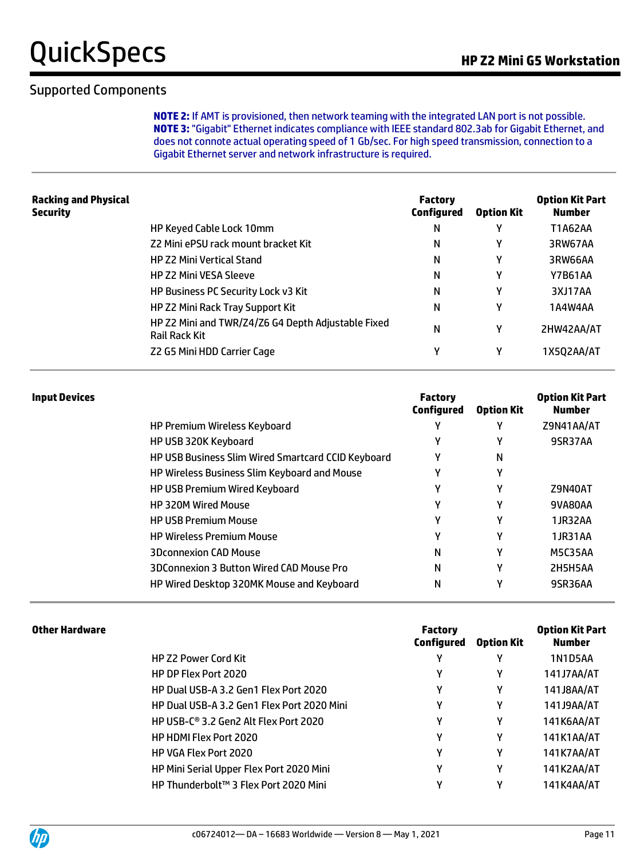### Supported Components

**NOTE 2:** If AMT is provisioned, then network teaming with the integrated LAN port is not possible. **NOTE 3:** "Gigabit" Ethernet indicates compliance with IEEE standard 802.3ab for Gigabit Ethernet, and does not connote actual operating speed of 1 Gb/sec. For high speed transmission, connection to a Gigabit Ethernet server and network infrastructure is required.

| <b>Racking and Physical</b><br>Security |                                                                            | <b>Factory</b><br><b>Configured</b> | <b>Option Kit</b> | <b>Option Kit Part</b><br><b>Number</b> |
|-----------------------------------------|----------------------------------------------------------------------------|-------------------------------------|-------------------|-----------------------------------------|
|                                         | HP Keyed Cable Lock 10mm                                                   | Ν                                   | Υ                 | T1A62AA                                 |
|                                         | Z2 Mini ePSU rack mount bracket Kit                                        | Ν                                   | γ                 | 3RW67AA                                 |
|                                         | <b>HP Z2 Mini Vertical Stand</b>                                           | N                                   | Υ                 | 3RW66AA                                 |
|                                         | <b>HP Z2 Mini VESA Sleeve</b>                                              | N                                   | γ                 | Y7B61AA                                 |
|                                         | HP Business PC Security Lock v3 Kit                                        | Ν                                   | Υ                 | 3XJ17AA                                 |
|                                         | HP Z2 Mini Rack Tray Support Kit                                           | Ν                                   | γ                 | 1A4W4AA                                 |
|                                         | HP Z2 Mini and TWR/Z4/Z6 G4 Depth Adjustable Fixed<br><b>Rail Rack Kit</b> | N                                   | γ                 | 2HW42AA/AT                              |
|                                         | Z2 G5 Mini HDD Carrier Cage                                                | Υ                                   | γ                 | 1X5Q2AA/AT                              |
|                                         |                                                                            |                                     |                   |                                         |

| <b>Input Devices</b> |                                                    | <b>Factory</b><br>Configured | <b>Option Kit</b> | <b>Option Kit Part</b><br><b>Number</b> |
|----------------------|----------------------------------------------------|------------------------------|-------------------|-----------------------------------------|
|                      | <b>HP Premium Wireless Keyboard</b>                | ν                            | γ                 | Z9N41AA/AT                              |
|                      | HP USB 320K Keyboard                               | Υ                            | ν                 | 9SR37AA                                 |
|                      | HP USB Business Slim Wired Smartcard CCID Keyboard | γ                            | N                 |                                         |
|                      | HP Wireless Business Slim Keyboard and Mouse       | Υ                            | Υ                 |                                         |
|                      | HP USB Premium Wired Keyboard                      | Υ                            | γ                 | Z9N40AT                                 |
|                      | <b>HP 320M Wired Mouse</b>                         | γ                            | γ                 | 9VA80AA                                 |
|                      | <b>HP USB Premium Mouse</b>                        | Υ                            | γ                 | 1JR32AA                                 |
|                      | <b>HP Wireless Premium Mouse</b>                   | Υ                            | γ                 | 1JR31AA                                 |
|                      | <b>3Dconnexion CAD Mouse</b>                       | Ν                            | γ                 | M5C35AA                                 |
|                      | 3DConnexion 3 Button Wired CAD Mouse Pro           | Ν                            | γ                 | 2H5H5AA                                 |
|                      | HP Wired Desktop 320MK Mouse and Keyboard          | Ν                            | γ                 | 9SR36AA                                 |

| <b>Factory</b><br>Configured | <b>Option Kit</b>                          | <b>Option Kit Part</b><br><b>Number</b> |
|------------------------------|--------------------------------------------|-----------------------------------------|
| γ                            | γ                                          | 1N1D5AA                                 |
| γ                            | Υ                                          | 141J7AA/AT                              |
| γ                            | Υ                                          | 141J8AA/AT                              |
| γ                            | Υ                                          | 141J9AA/AT                              |
| γ                            | Υ                                          | 141K6AA/AT                              |
| γ                            | γ                                          | 141K1AA/AT                              |
| γ                            | Υ                                          | 141K7AA/AT                              |
| γ                            | Υ                                          | 141K2AA/AT                              |
| Υ                            | γ                                          | 141K4AA/AT                              |
|                              | HP Dual USB-A 3.2 Gen1 Flex Port 2020 Mini |                                         |

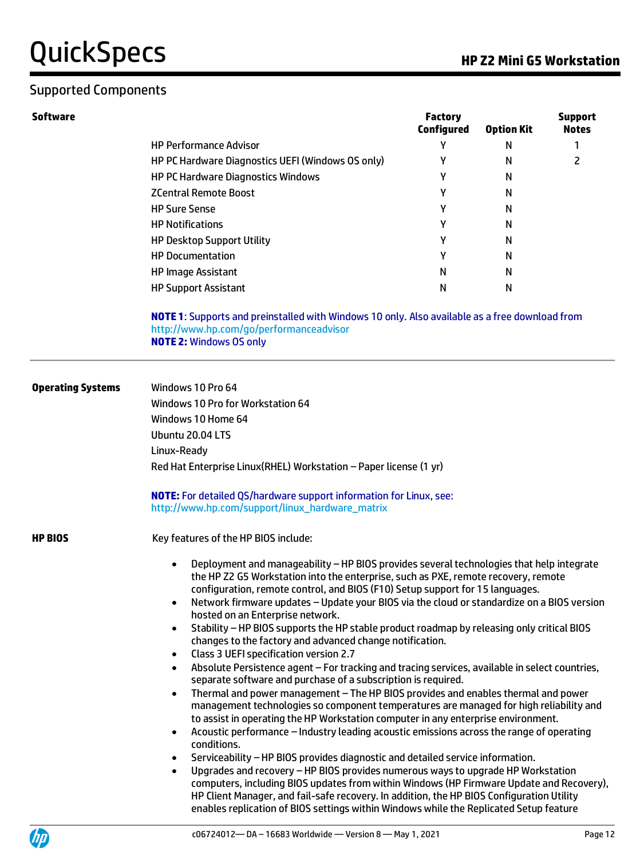### Supported Components

| Software |                                                   | <b>Factory</b><br><b>Configured</b> | <b>Option Kit</b> | <b>Support</b><br><b>Notes</b> |
|----------|---------------------------------------------------|-------------------------------------|-------------------|--------------------------------|
|          | <b>HP Performance Advisor</b>                     |                                     | Ν                 |                                |
|          | HP PC Hardware Diagnostics UEFI (Windows OS only) |                                     | Ν                 |                                |
|          | <b>HP PC Hardware Diagnostics Windows</b>         |                                     | Ν                 |                                |
|          | <b>ZCentral Remote Boost</b>                      |                                     | Ν                 |                                |
|          | <b>HP Sure Sense</b>                              |                                     | Ν                 |                                |
|          | <b>HP Notifications</b>                           |                                     | N                 |                                |
|          | <b>HP Desktop Support Utility</b>                 | v                                   | Ν                 |                                |
|          | <b>HP Documentation</b>                           | ν                                   | Ν                 |                                |
|          | <b>HP Image Assistant</b>                         | N                                   | Ν                 |                                |
|          | <b>HP Support Assistant</b>                       | N                                   | Ν                 |                                |
|          |                                                   |                                     |                   |                                |

**NOTE 1**: Supports and preinstalled with Windows 10 only. Also available as a free download from http://www.hp.com/go/performanceadvisor **NOTE 2:** Windows OS only

| <b>Operating Systems</b> | Windows 10 Pro 64<br>Windows 10 Pro for Workstation 64<br>Windows 10 Home 64<br>Ubuntu 20.04 LTS<br>Linux-Ready<br>Red Hat Enterprise Linux (RHEL) Workstation - Paper license (1 yr)                                                                                                                                                                                                                                                                                                                                                                                                                   |  |  |  |  |
|--------------------------|---------------------------------------------------------------------------------------------------------------------------------------------------------------------------------------------------------------------------------------------------------------------------------------------------------------------------------------------------------------------------------------------------------------------------------------------------------------------------------------------------------------------------------------------------------------------------------------------------------|--|--|--|--|
|                          | <b>NOTE:</b> For detailed QS/hardware support information for Linux, see:<br>http://www.hp.com/support/linux_hardware_matrix                                                                                                                                                                                                                                                                                                                                                                                                                                                                            |  |  |  |  |
| <b>HP BIOS</b>           | Key features of the HP BIOS include:<br>Deployment and manageability - HP BIOS provides several technologies that help integrate<br>$\bullet$                                                                                                                                                                                                                                                                                                                                                                                                                                                           |  |  |  |  |
|                          | the HP Z2 G5 Workstation into the enterprise, such as PXE, remote recovery, remote<br>configuration, remote control, and BIOS (F10) Setup support for 15 languages.<br>Network firmware updates - Update your BIOS via the cloud or standardize on a BIOS version<br>$\bullet$<br>hosted on an Enterprise network.<br>Stability - HP BIOS supports the HP stable product roadmap by releasing only critical BIOS<br>$\bullet$<br>changes to the factory and advanced change notification.<br>Class 3 UEFI specification version 2.7<br>$\bullet$                                                        |  |  |  |  |
|                          | Absolute Persistence agent - For tracking and tracing services, available in select countries,<br>$\bullet$<br>separate software and purchase of a subscription is required.<br>Thermal and power management - The HP BIOS provides and enables thermal and power<br>$\bullet$<br>management technologies so component temperatures are managed for high reliability and<br>to assist in operating the HP Workstation computer in any enterprise environment.                                                                                                                                           |  |  |  |  |
|                          | Acoustic performance - Industry leading acoustic emissions across the range of operating<br>$\bullet$<br>conditions.<br>Serviceability - HP BIOS provides diagnostic and detailed service information.<br>$\bullet$<br>Upgrades and recovery - HP BIOS provides numerous ways to upgrade HP Workstation<br>$\bullet$<br>computers, including BIOS updates from within Windows (HP Firmware Update and Recovery),<br>HP Client Manager, and fail-safe recovery. In addition, the HP BIOS Configuration Utility<br>enables replication of BIOS settings within Windows while the Replicated Setup feature |  |  |  |  |

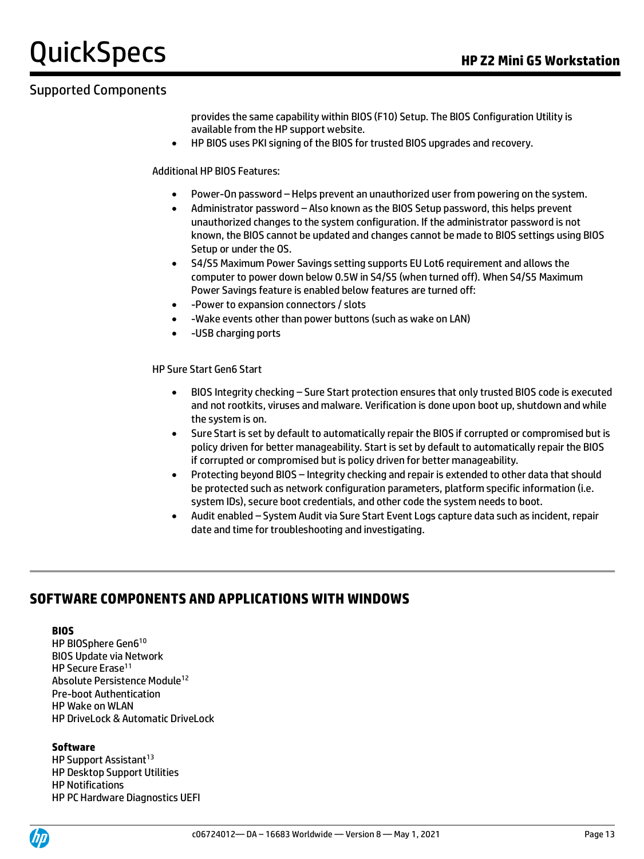### Supported Components

provides the same capability within BIOS (F10) Setup. The BIOS Configuration Utility is available from the HP support website.

• HP BIOS uses PKI signing of the BIOS for trusted BIOS upgrades and recovery.

Additional HP BIOS Features:

- Power-On password Helps prevent an unauthorized user from powering on the system.
- Administrator password Also known as the BIOS Setup password, this helps prevent unauthorized changes to the system configuration. If the administrator password is not known, the BIOS cannot be updated and changes cannot be made to BIOS settings using BIOS Setup or under the OS.
- S4/S5 Maximum Power Savings setting supports EU Lot6 requirement and allows the computer to power down below 0.5W in S4/S5 (when turned off). When S4/S5 Maximum Power Savings feature is enabled below features are turned off:
- -Power to expansion connectors / slots
- -Wake events other than power buttons (such as wake on LAN)
- -USB charging ports

HP Sure Start Gen6 Start

- BIOS Integrity checking Sure Start protection ensures that only trusted BIOS code is executed and not rootkits, viruses and malware. Verification is done upon boot up, shutdown and while the system is on.
- Sure Start is set by default to automatically repair the BIOS if corrupted or compromised but is policy driven for better manageability. Start is set by default to automatically repair the BIOS if corrupted or compromised but is policy driven for better manageability.
- Protecting beyond BIOS Integrity checking and repair is extended to other data that should be protected such as network configuration parameters, platform specific information (i.e. system IDs), secure boot credentials, and other code the system needs to boot.
- Audit enabled System Audit via Sure Start Event Logs capture data such as incident, repair date and time for troubleshooting and investigating.

### **SOFTWARE COMPONENTS AND APPLICATIONS WITH WINDOWS**

#### **BIOS**

HP BIOSphere Gen6<sup>10</sup> BIOS Update via Network HP Secure Erase<sup>11</sup> Absolute Persistence Module<sup>12</sup> Pre-boot Authentication HP Wake on WLAN HP DriveLock & Automatic DriveLock

#### **Software**

HP Support Assistant<sup>13</sup> HP Desktop Support Utilities HP Notifications HP PC Hardware Diagnostics UEFI

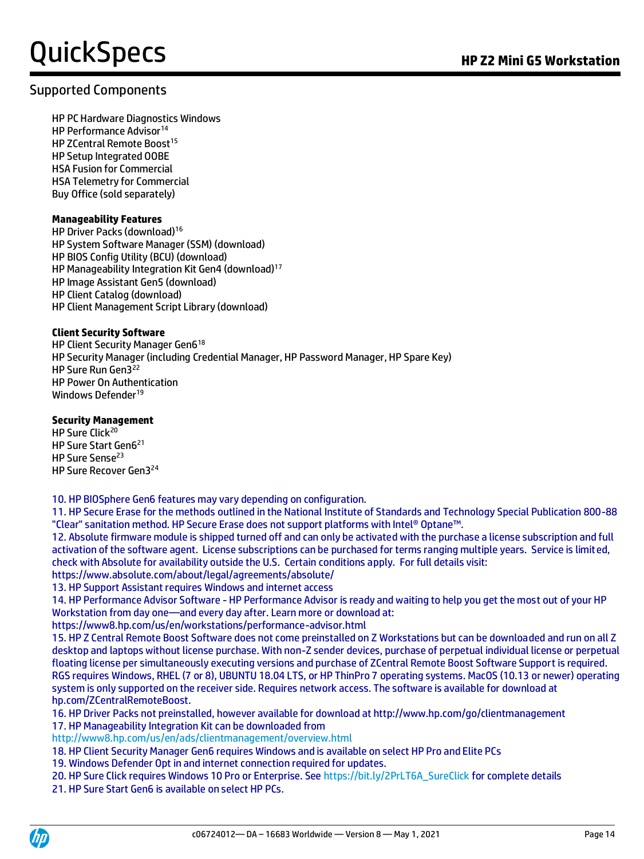### Supported Components

HP PC Hardware Diagnostics Windows HP Performance Advisor<sup>14</sup> HP ZCentral Remote Boost<sup>15</sup> HP Setup Integrated OOBE HSA Fusion for Commercial HSA Telemetry for Commercial Buy Office (sold separately)

#### **Manageability Features**

HP Driver Packs (download)<sup>16</sup> HP System Software Manager (SSM) (download) HP BIOS Config Utility (BCU) (download) HP Manageability Integration Kit Gen4 (download)<sup>17</sup> HP Image Assistant Gen5 (download) HP Client Catalog (download) HP Client Management Script Library (download)

#### **Client Security Software**

HP Client Security Manager Gen6<sup>18</sup> HP Security Manager (including Credential Manager, HP Password Manager, HP Spare Key) HP Sure Run Gen3<sup>22</sup> HP Power On Authentication Windows Defender<sup>19</sup>

#### **Security Management**

HP Sure Click<sup>20</sup> HP Sure Start Gen6<sup>21</sup> HP Sure Sense<sup>23</sup> HP Sure Recover Gen3<sup>24</sup>

10. HP BIOSphere Gen6 features may vary depending on configuration.

11. HP Secure Erase for the methods outlined in the National Institute of Standards and Technology Special Publication 800-88 "Clear" sanitation method. HP Secure Erase does not support platforms with Intel® Optane™.

12. Absolute firmware module is shipped turned off and can only be activated with the purchase a license subscription and full activation of the software agent. License subscriptions can be purchased for terms ranging multiple years. Service is limited, check with Absolute for availability outside the U.S. Certain conditions apply. For full details visit:

https://www.absolute.com/about/legal/agreements/absolute/

13. HP Support Assistant requires Windows and internet access

14. HP Performance Advisor Software - HP Performance Advisor is ready and waiting to help you get the most out of your HP Workstation from day one—and every day after. Learn more or download at:

https://www8.hp.com/us/en/workstations/performance-advisor.html

15. HP Z Central Remote Boost Software does not come preinstalled on Z Workstations but can be downloaded and run on all Z desktop and laptops without license purchase. With non-Z sender devices, purchase of perpetual individual license or perpetual floating license per simultaneously executing versions and purchase of ZCentral Remote Boost Software Support is required. RGS requires Windows, RHEL (7 or 8), UBUNTU 18.04 LTS, or HP ThinPro 7 operating systems. MacOS (10.13 or newer) operating system is only supported on the receiver side. Requires network access. The software is available for download at hp.com/ZCentralRemoteBoost.

16. HP Driver Packs not preinstalled, however available for download at http://www.hp.com/go/clientmanagement

17. HP Manageability Integration Kit can be downloaded from

<http://www8.hp.com/us/en/ads/clientmanagement/overview.html>

18. HP Client Security Manager Gen6 requires Windows and is available on select HP Pro and Elite PCs

19. Windows Defender Opt in and internet connection required for updates.

20. HP Sure Click requires Windows 10 Pro or Enterprise. Se[e https://bit.ly/2PrLT6A\\_SureClick](https://bit.ly/2PrLT6A_SureClick) for complete details

21. HP Sure Start Gen6 is available on select HP PCs.

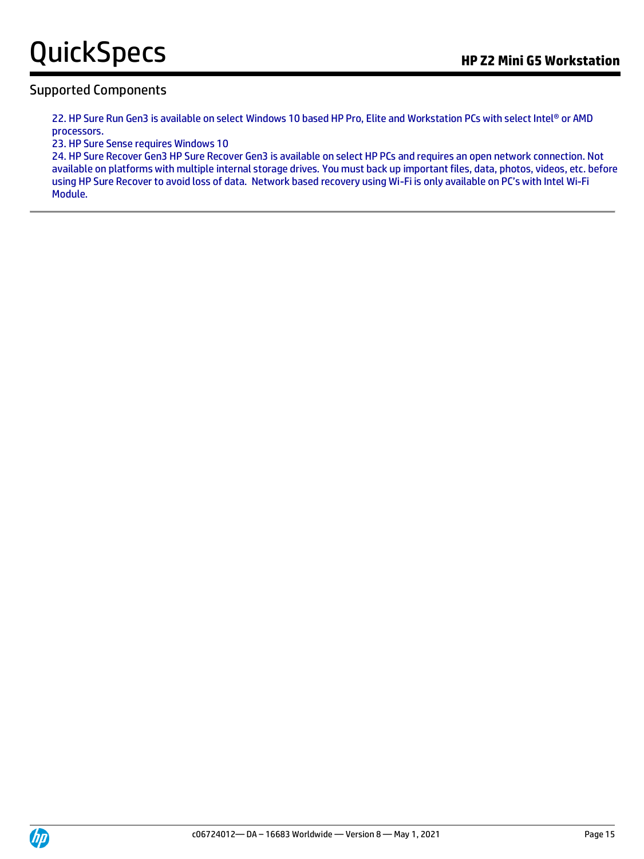### Supported Components

22. HP Sure Run Gen3 is available on select Windows 10 based HP Pro, Elite and Workstation PCs with select Intel® or AMD processors.

23. HP Sure Sense requires Windows 10

24. HP Sure Recover Gen3 HP Sure Recover Gen3 is available on select HP PCs and requires an open network connection. Not available on platforms with multiple internal storage drives. You must back up important files, data, photos, videos, etc. before using HP Sure Recover to avoid loss of data. Network based recovery using Wi-Fi is only available on PC's with Intel Wi-Fi Module.

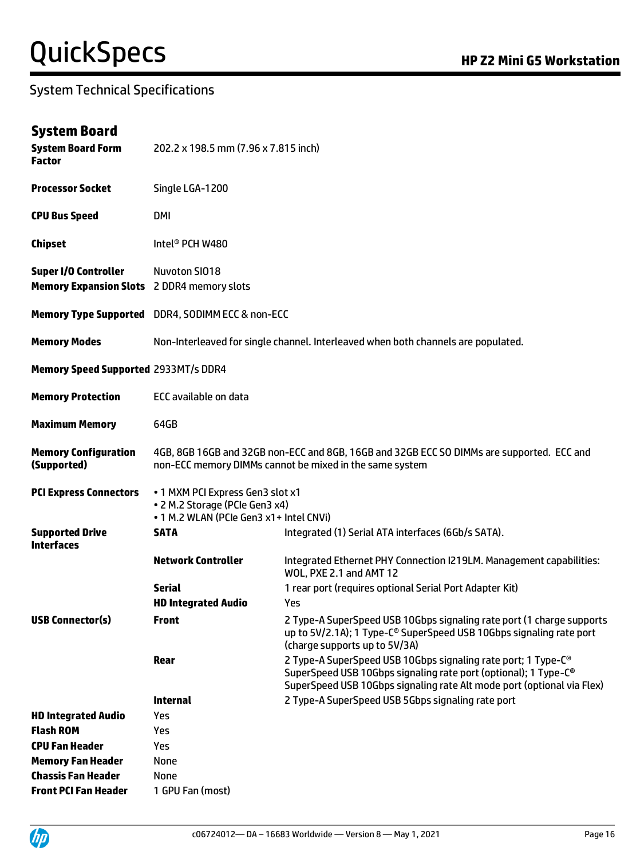| <b>System Board Form</b><br><b>Factor</b>                                        | 202.2 x 198.5 mm (7.96 x 7.815 inch)                                                                          |                                                                                                                                                                                                                                    |  |  |  |
|----------------------------------------------------------------------------------|---------------------------------------------------------------------------------------------------------------|------------------------------------------------------------------------------------------------------------------------------------------------------------------------------------------------------------------------------------|--|--|--|
| <b>Processor Socket</b>                                                          | Single LGA-1200                                                                                               |                                                                                                                                                                                                                                    |  |  |  |
| <b>CPU Bus Speed</b>                                                             | DMI                                                                                                           |                                                                                                                                                                                                                                    |  |  |  |
| <b>Chipset</b>                                                                   | Intel <sup>®</sup> PCH W480                                                                                   |                                                                                                                                                                                                                                    |  |  |  |
| <b>Super I/O Controller</b><br><b>Memory Expansion Slots</b> 2 DDR4 memory slots | Nuvoton SI018                                                                                                 |                                                                                                                                                                                                                                    |  |  |  |
|                                                                                  | Memory Type Supported DDR4, SODIMM ECC & non-ECC                                                              |                                                                                                                                                                                                                                    |  |  |  |
| <b>Memory Modes</b>                                                              |                                                                                                               | Non-Interleaved for single channel. Interleaved when both channels are populated.                                                                                                                                                  |  |  |  |
| <b>Memory Speed Supported 2933MT/s DDR4</b>                                      |                                                                                                               |                                                                                                                                                                                                                                    |  |  |  |
| <b>Memory Protection</b>                                                         | ECC available on data                                                                                         |                                                                                                                                                                                                                                    |  |  |  |
| <b>Maximum Memory</b>                                                            | 64GB                                                                                                          |                                                                                                                                                                                                                                    |  |  |  |
| <b>Memory Configuration</b><br>(Supported)                                       |                                                                                                               | 4GB, 8GB 16GB and 32GB non-ECC and 8GB, 16GB and 32GB ECC SO DIMMs are supported. ECC and<br>non-ECC memory DIMMs cannot be mixed in the same system                                                                               |  |  |  |
| <b>PCI Express Connectors</b>                                                    | . 1 MXM PCI Express Gen3 slot x1<br>• 2 M.2 Storage (PCIe Gen3 x4)<br>. 1 M.2 WLAN (PCIe Gen3 x1+ Intel CNVi) |                                                                                                                                                                                                                                    |  |  |  |
| <b>Supported Drive</b><br><b>Interfaces</b>                                      | <b>SATA</b>                                                                                                   | Integrated (1) Serial ATA interfaces (6Gb/s SATA).                                                                                                                                                                                 |  |  |  |
|                                                                                  | <b>Network Controller</b>                                                                                     | Integrated Ethernet PHY Connection I219LM. Management capabilities:<br>WOL, PXE 2.1 and AMT 12                                                                                                                                     |  |  |  |
|                                                                                  | <b>Serial</b>                                                                                                 | 1 rear port (requires optional Serial Port Adapter Kit)                                                                                                                                                                            |  |  |  |
|                                                                                  | <b>HD Integrated Audio</b>                                                                                    | Yes                                                                                                                                                                                                                                |  |  |  |
| <b>USB Connector(s)</b>                                                          | Front                                                                                                         | 2 Type-A SuperSpeed USB 10Gbps signaling rate port (1 charge supports<br>up to 5V/2.1A); 1 Type-C <sup>®</sup> SuperSpeed USB 10Gbps signaling rate port<br>(charge supports up to 5V/3A)                                          |  |  |  |
|                                                                                  | Rear                                                                                                          | 2 Type-A SuperSpeed USB 10Gbps signaling rate port; 1 Type-C <sup>®</sup><br>SuperSpeed USB 10Gbps signaling rate port (optional); 1 Type-C <sup>®</sup><br>SuperSpeed USB 10Gbps signaling rate Alt mode port (optional via Flex) |  |  |  |
|                                                                                  | <b>Internal</b>                                                                                               | 2 Type-A SuperSpeed USB 5Gbps signaling rate port                                                                                                                                                                                  |  |  |  |
| <b>HD Integrated Audio</b>                                                       | <b>Yes</b>                                                                                                    |                                                                                                                                                                                                                                    |  |  |  |
| <b>Flash ROM</b>                                                                 | Yes                                                                                                           |                                                                                                                                                                                                                                    |  |  |  |
| <b>CPU Fan Header</b>                                                            | Yes                                                                                                           |                                                                                                                                                                                                                                    |  |  |  |
| <b>Memory Fan Header</b>                                                         | None                                                                                                          |                                                                                                                                                                                                                                    |  |  |  |
| <b>Chassis Fan Header</b>                                                        | None                                                                                                          |                                                                                                                                                                                                                                    |  |  |  |
| <b>Front PCI Fan Header</b>                                                      | 1 GPU Fan (most)                                                                                              |                                                                                                                                                                                                                                    |  |  |  |

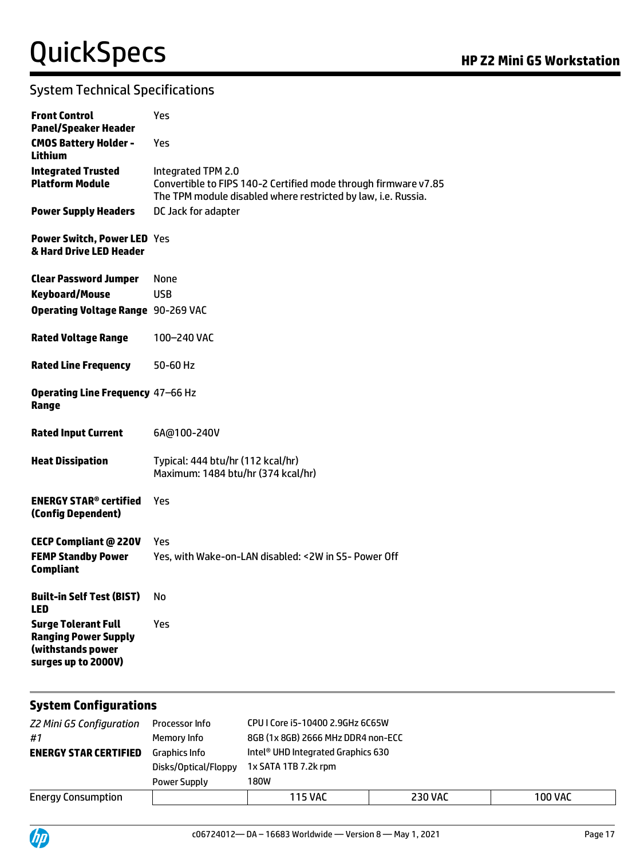| <b>Front Control</b><br><b>Panel/Speaker Header</b>                                                   | Yes                                                                                                                                                    |
|-------------------------------------------------------------------------------------------------------|--------------------------------------------------------------------------------------------------------------------------------------------------------|
| <b>CMOS Battery Holder -</b><br>Lithium                                                               | Yes                                                                                                                                                    |
| <b>Integrated Trusted</b><br><b>Platform Module</b>                                                   | Integrated TPM 2.0<br>Convertible to FIPS 140-2 Certified mode through firmware v7.85<br>The TPM module disabled where restricted by law, i.e. Russia. |
| <b>Power Supply Headers</b>                                                                           | DC Jack for adapter                                                                                                                                    |
| <b>Power Switch, Power LED Yes</b><br>& Hard Drive LED Header                                         |                                                                                                                                                        |
| <b>Clear Password Jumper</b>                                                                          | None                                                                                                                                                   |
| <b>Keyboard/Mouse</b>                                                                                 | <b>USB</b>                                                                                                                                             |
| <b>Operating Voltage Range 90-269 VAC</b>                                                             |                                                                                                                                                        |
| <b>Rated Voltage Range</b>                                                                            | 100-240 VAC                                                                                                                                            |
| <b>Rated Line Frequency</b>                                                                           | 50-60 Hz                                                                                                                                               |
| Operating Line Frequency 47-66 Hz<br>Range                                                            |                                                                                                                                                        |
| <b>Rated Input Current</b>                                                                            | 6A@100-240V                                                                                                                                            |
| <b>Heat Dissipation</b>                                                                               | Typical: 444 btu/hr (112 kcal/hr)<br>Maximum: 1484 btu/hr (374 kcal/hr)                                                                                |
| <b>ENERGY STAR® certified</b><br>(Config Dependent)                                                   | Yes                                                                                                                                                    |
| <b>CECP Compliant @ 220V</b><br><b>FEMP Standby Power</b><br><b>Compliant</b>                         | Yes<br>Yes, with Wake-on-LAN disabled: < 2W in S5- Power Off                                                                                           |
| <b>Built-in Self Test (BIST)</b><br><b>LED</b>                                                        | No                                                                                                                                                     |
| <b>Surge Tolerant Full</b><br><b>Ranging Power Supply</b><br>(withstands power<br>surges up to 2000V) | Yes                                                                                                                                                    |

#### **System Configurations**

| <b>Z2 Mini G5 Configuration</b><br>#1 | Processor Info<br>Memory Info        | CPU I Core i5-10400 2.9GHz 6C65W<br>8GB (1x 8GB) 2666 MHz DDR4 non-ECC |                |                |  |
|---------------------------------------|--------------------------------------|------------------------------------------------------------------------|----------------|----------------|--|
| <b>ENERGY STAR CERTIFIED</b>          | Graphics Info                        | Intel® UHD Integrated Graphics 630                                     |                |                |  |
|                                       | Disks/Optical/Floppy<br>Power Supply | 1x SATA 1TB 7.2k rpm<br>180W                                           |                |                |  |
| <b>Energy Consumption</b>             |                                      | <b>115 VAC</b>                                                         | <b>230 VAC</b> | <b>100 VAC</b> |  |

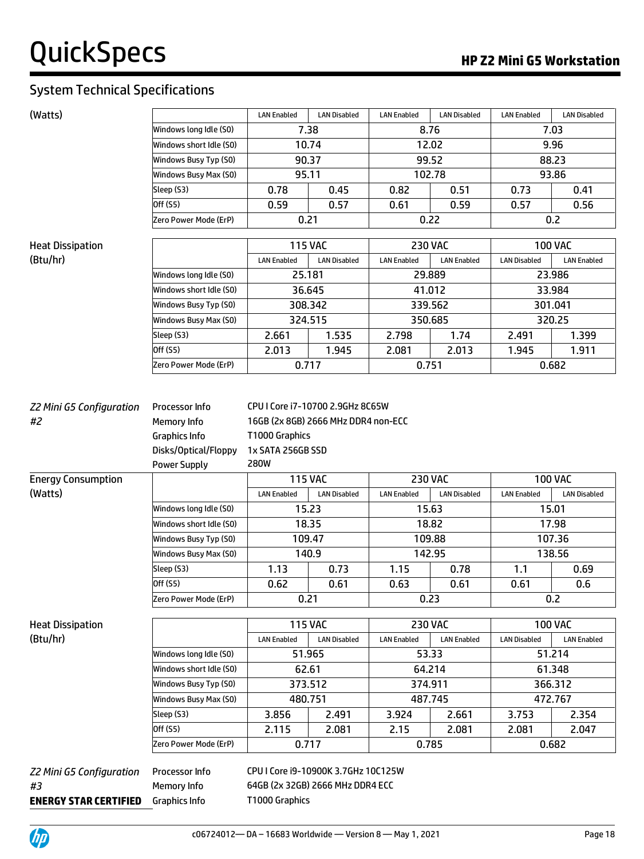| (Watts)                               |                                                                                                      | <b>LAN Enabled</b>                                                                                  | <b>LAN Disabled</b> | <b>LAN Enabled</b> | <b>LAN Disabled</b> | <b>LAN Enabled</b>  | <b>LAN Disabled</b> |  |
|---------------------------------------|------------------------------------------------------------------------------------------------------|-----------------------------------------------------------------------------------------------------|---------------------|--------------------|---------------------|---------------------|---------------------|--|
|                                       | Windows long Idle (S0)                                                                               | 7.38                                                                                                |                     | 8.76               |                     | 7.03                |                     |  |
|                                       | Windows short Idle (SO)                                                                              |                                                                                                     | 10.74               | 12.02              |                     | 9.96                |                     |  |
|                                       | Windows Busy Typ (S0)                                                                                |                                                                                                     | 90.37               |                    | 99.52               |                     | 88.23               |  |
|                                       | Windows Busy Max (S0)                                                                                | 95.11                                                                                               |                     | 102.78             |                     | 93.86               |                     |  |
|                                       | Sleep (S3)                                                                                           | 0.78                                                                                                | 0.45                | 0.82               | 0.51                | 0.73                | 0.41                |  |
|                                       | Off (S5)                                                                                             | 0.59                                                                                                | 0.57                | 0.61               | 0.59                | 0.57                | 0.56                |  |
|                                       | Zero Power Mode (ErP)                                                                                |                                                                                                     | 0.21                |                    | 0.22                |                     | 0.2                 |  |
| <b>Heat Dissipation</b>               |                                                                                                      |                                                                                                     | <b>115 VAC</b>      |                    | <b>230 VAC</b>      |                     | <b>100 VAC</b>      |  |
| (Btu/hr)                              |                                                                                                      | <b>LAN Enabled</b>                                                                                  | <b>LAN Disabled</b> | <b>LAN Enabled</b> | <b>LAN Enabled</b>  | <b>LAN Disabled</b> | <b>LAN Enabled</b>  |  |
|                                       | Windows long Idle (SO)                                                                               |                                                                                                     | 25.181              |                    | 29.889              |                     | 23.986              |  |
|                                       | Windows short Idle (S0)                                                                              |                                                                                                     | 36.645              |                    | 41.012              |                     | 33.984              |  |
|                                       | Windows Busy Typ (S0)                                                                                |                                                                                                     | 308.342             |                    | 339.562             |                     | 301.041             |  |
|                                       | Windows Busy Max (S0)                                                                                |                                                                                                     | 324.515             |                    | 350.685             |                     | 320.25              |  |
|                                       | Sleep (S3)                                                                                           | 2.661                                                                                               | 1.535               | 2.798              | 1.74                | 2.491               | 1.399               |  |
|                                       | Off (S5)                                                                                             | 2.013                                                                                               | 1.945               | 2.081              | 2.013               | 1.945               | 1.911               |  |
|                                       | Zero Power Mode (ErP)                                                                                |                                                                                                     | 0.717               | 0.751              |                     |                     | 0.682               |  |
|                                       |                                                                                                      |                                                                                                     |                     |                    |                     |                     |                     |  |
| <b>Z2 Mini G5 Configuration</b><br>#2 | Processor Info<br>Memory Info<br><b>Graphics Info</b><br>Disks/Optical/Floppy<br><b>Power Supply</b> | 16GB (2x 8GB) 2666 MHz DDR4 non-ECC<br>T1000 Graphics<br>1x SATA 256GB SSD<br><b>280W</b>           |                     |                    |                     |                     |                     |  |
| <b>Energy Consumption</b>             |                                                                                                      |                                                                                                     | <b>115 VAC</b>      |                    | <b>230 VAC</b>      |                     | <b>100 VAC</b>      |  |
| (Watts)                               |                                                                                                      | <b>LAN Enabled</b>                                                                                  | <b>LAN Disabled</b> | <b>LAN Enabled</b> | <b>LAN Disabled</b> | <b>LAN Enabled</b>  | <b>LAN Disabled</b> |  |
|                                       | Windows long Idle (S0)                                                                               |                                                                                                     | 15.23               | 15.63              |                     |                     | 15.01               |  |
|                                       | Windows short Idle (S0)                                                                              | 18.35                                                                                               |                     |                    | 18.82               |                     | 17.98               |  |
|                                       | Windows Busy Typ (S0)                                                                                |                                                                                                     | 109.47              |                    | 109.88              | 107.36              |                     |  |
|                                       | Windows Busy Max (S0)                                                                                |                                                                                                     | 140.9               |                    | 142.95              | 138.56              |                     |  |
|                                       | Sleep (S3)                                                                                           | 1.13                                                                                                | 0.73                | 1.15               | 0.78                | 1.1                 | 0.69                |  |
|                                       | Off (S5)                                                                                             | 0.62                                                                                                | 0.61                | 0.63               | 0.61                | 0.61                | 0.6                 |  |
|                                       | Zero Power Mode (ErP)                                                                                |                                                                                                     | 0.21                |                    | 0.23                | 0.2                 |                     |  |
| <b>Heat Dissipation</b>               |                                                                                                      |                                                                                                     |                     |                    |                     |                     | <b>100 VAC</b>      |  |
| (Btu/hr)                              |                                                                                                      | <b>115 VAC</b><br><b>230 VAC</b><br><b>LAN Disabled</b><br><b>LAN Enabled</b><br><b>LAN Enabled</b> |                     | <b>LAN Enabled</b> | <b>LAN Disabled</b> | <b>LAN Enabled</b>  |                     |  |
|                                       | Windows long Idle (SO)                                                                               |                                                                                                     | 51.965              | 53.33              |                     |                     | 51.214              |  |
|                                       | Windows short Idle (S0)                                                                              |                                                                                                     | 62.61               | 64.214             |                     | 61.348              |                     |  |
|                                       | Windows Busy Typ (S0)                                                                                |                                                                                                     | 373.512             | 374.911            |                     | 366.312             |                     |  |
|                                       | Windows Busy Max (S0)                                                                                |                                                                                                     | 480.751             |                    | 487.745             |                     | 472.767             |  |
|                                       | Sleep (S3)                                                                                           | 3.856                                                                                               | 2.491               | 3.924              | 2.661               | 3.753               | 2.354               |  |
|                                       | Off (S5)                                                                                             | 2.115                                                                                               | 2.081               | 2.15               | 2.081               | 2.081               | 2.047               |  |
|                                       | Zero Power Mode (ErP)                                                                                | 0.785<br>0.717                                                                                      |                     |                    | 0.682               |                     |                     |  |
|                                       |                                                                                                      |                                                                                                     |                     |                    |                     |                     |                     |  |
| Z2 Mini G5 Configuration              | Processor Info                                                                                       | CPU I Core i9-10900K 3.7GHz 10C125W                                                                 |                     |                    |                     |                     |                     |  |
| #3                                    | Memory Info                                                                                          | 64GB (2x 32GB) 2666 MHz DDR4 ECC                                                                    |                     |                    |                     |                     |                     |  |
| <b>ENERGY STAR CERTIFIED</b>          | <b>Graphics Info</b>                                                                                 | T1000 Graphics                                                                                      |                     |                    |                     |                     |                     |  |

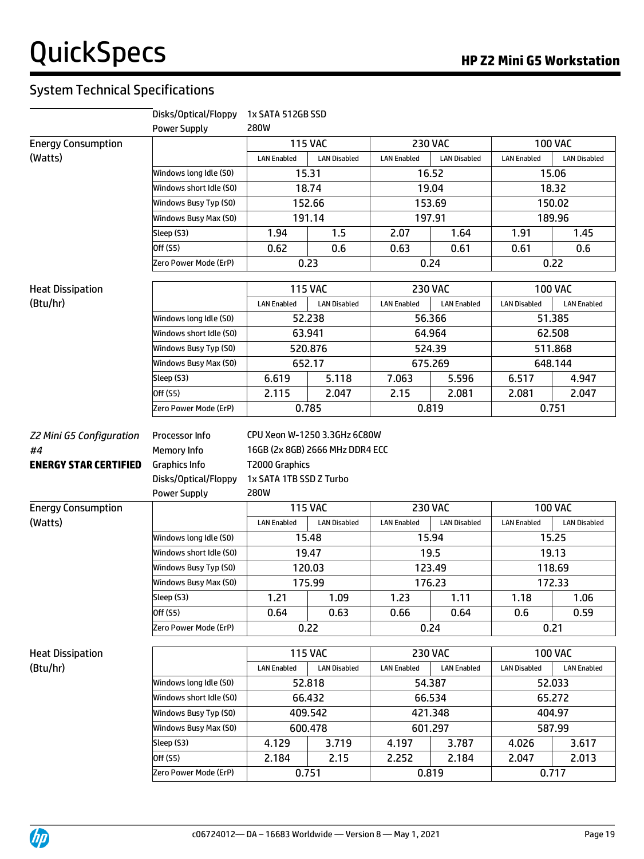|                                    | Disks/Optical/Floppy                                                               | 1x SATA 512GB SSD                                        |                                 |                    |                     |                     |                     |
|------------------------------------|------------------------------------------------------------------------------------|----------------------------------------------------------|---------------------------------|--------------------|---------------------|---------------------|---------------------|
|                                    | <b>Power Supply</b>                                                                | <b>280W</b>                                              |                                 |                    |                     |                     |                     |
| <b>Energy Consumption</b>          |                                                                                    | <b>115 VAC</b><br><b>230 VAC</b>                         |                                 |                    | <b>100 VAC</b>      |                     |                     |
| (Watts)                            |                                                                                    | <b>LAN Enabled</b>                                       | <b>LAN Disabled</b>             | <b>LAN Enabled</b> | <b>LAN Disabled</b> | <b>LAN Enabled</b>  | <b>LAN Disabled</b> |
|                                    | Windows long Idle (S0)                                                             |                                                          | 15.31                           |                    | 16.52               |                     | 15.06               |
|                                    | Windows short Idle (SO)                                                            |                                                          | 18.74                           |                    | 19.04               |                     | 18.32               |
|                                    | Windows Busy Typ (S0)                                                              |                                                          | 152.66                          |                    | 153.69              |                     | 150.02              |
|                                    | Windows Busy Max (S0)                                                              |                                                          | 191.14                          | 197.91             |                     |                     | 189.96              |
|                                    | Sleep (S3)                                                                         | 1.94                                                     | 1.5                             | 2.07               | 1.64                | 1.91                | 1.45                |
|                                    | Off (S5)                                                                           | 0.62                                                     | 0.6                             | 0.63               | 0.61                | 0.61                | 0.6                 |
|                                    | Zero Power Mode (ErP)                                                              |                                                          | 0.23                            |                    | 0.24                |                     | 0.22                |
| <b>Heat Dissipation</b>            |                                                                                    |                                                          | <b>115 VAC</b>                  |                    | <b>230 VAC</b>      |                     | <b>100 VAC</b>      |
| (Btu/hr)                           |                                                                                    | <b>LAN Enabled</b>                                       | <b>LAN Disabled</b>             | <b>LAN Enabled</b> | <b>LAN Enabled</b>  | <b>LAN Disabled</b> | <b>LAN Enabled</b>  |
|                                    | Windows long Idle (S0)                                                             |                                                          | 52.238                          |                    | 56.366              |                     | 51.385              |
|                                    | Windows short Idle (SO)                                                            |                                                          | 63.941                          |                    | 64.964              |                     | 62.508              |
|                                    | Windows Busy Typ (S0)                                                              |                                                          | 520.876                         |                    | 524.39              |                     | 511.868             |
|                                    | Windows Busy Max (S0)                                                              |                                                          | 652.17                          |                    | 675.269             | 648.144             |                     |
|                                    | Sleep (S3)                                                                         | 6.619                                                    | 5.118                           | 7.063              | 5.596               | 6.517               | 4.947               |
|                                    | Off (S5)                                                                           | 2.115                                                    | 2.047                           | 2.15               | 2.081               | 2.081               | 2.047               |
|                                    | Zero Power Mode (ErP)                                                              |                                                          | 0.785                           |                    | 0.819               |                     | 0.751               |
| #4<br><b>ENERGY STAR CERTIFIED</b> | Memory Info<br><b>Graphics Info</b><br>Disks/Optical/Floppy<br><b>Power Supply</b> | T2000 Graphics<br>1x SATA 1TB SSD Z Turbo<br><b>280W</b> | 16GB (2x 8GB) 2666 MHz DDR4 ECC |                    |                     |                     |                     |
| <b>Energy Consumption</b>          |                                                                                    |                                                          | <b>115 VAC</b>                  |                    | <b>230 VAC</b>      |                     | <b>100 VAC</b>      |
| (Watts)                            |                                                                                    | <b>LAN Enabled</b>                                       | <b>LAN Disabled</b>             | <b>LAN Enabled</b> | <b>LAN Disabled</b> | <b>LAN Enabled</b>  | <b>LAN Disabled</b> |
|                                    | Windows long Idle (S0)                                                             |                                                          | 15.48                           |                    | 15.94               |                     | 15.25               |
|                                    | Windows short Idle (SO)                                                            |                                                          | 19.47                           |                    | 19.5                |                     | 19.13               |
|                                    | Windows Busy Typ (S0)                                                              |                                                          | 120.03                          |                    | 123.49              |                     | 118.69              |
|                                    | Windows Busy Max (S0)                                                              |                                                          | 175.99                          |                    | 176.23              |                     | 172.33              |
|                                    | Sleep(S3)                                                                          | 1.21                                                     | 1.09                            | 1.23               | 1.11                | 1.18                | 1.06                |
|                                    | Off (S5)                                                                           | 0.64                                                     | 0.63                            | 0.66               | 0.64                | 0.6                 | 0.59                |
|                                    | Zero Power Mode (ErP)                                                              |                                                          | 0.22                            |                    | 0.24                |                     | 0.21                |
| <b>Heat Dissipation</b>            |                                                                                    |                                                          | <b>115 VAC</b>                  |                    | <b>230 VAC</b>      |                     | <b>100 VAC</b>      |
| (Btu/hr)                           |                                                                                    | <b>LAN Enabled</b>                                       | <b>LAN Disabled</b>             | <b>LAN Enabled</b> | <b>LAN Enabled</b>  | <b>LAN Disabled</b> | <b>LAN Enabled</b>  |
|                                    | Windows long Idle (S0)                                                             |                                                          | 52.818                          |                    | 54.387              |                     | 52.033              |
|                                    | Windows short Idle (S0)                                                            |                                                          | 66.432                          |                    | 66.534              |                     | 65.272              |
|                                    | Windows Busy Typ (S0)                                                              |                                                          | 409.542                         |                    | 421.348             |                     | 404.97              |
|                                    | Windows Busy Max (S0)                                                              |                                                          | 600.478                         |                    | 601.297<br>587.99   |                     |                     |
|                                    | Sleep (S3)                                                                         | 4.129                                                    | 3.719                           | 4.197              | 3.787               | 4.026               | 3.617               |
|                                    | Off (S5)                                                                           | 2.184                                                    | 2.15                            | 2.252              | 2.184               | 2.047               | 2.013               |
|                                    | Zero Power Mode (ErP)                                                              |                                                          | 0.751                           |                    | 0.819               |                     | 0.717               |

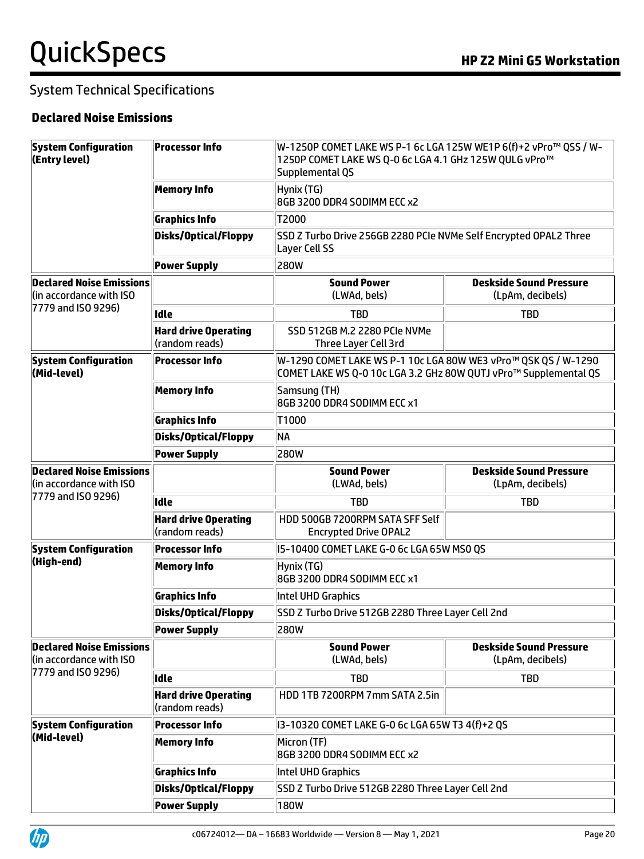### **Declared Noise Emissions**

| <b>System Configuration</b><br>(Entry level)                                     | <b>Processor Info</b>                         | W-1250P COMET LAKE WS P-1 6c LGA 125W WE1P 6(f)+2 vPro™ QSS / W-<br>1250P COMET LAKE WS Q-0 6c LGA 4.1 GHz 125W QULG vPro™         |                                                    |  |  |
|----------------------------------------------------------------------------------|-----------------------------------------------|------------------------------------------------------------------------------------------------------------------------------------|----------------------------------------------------|--|--|
|                                                                                  |                                               | Supplemental QS                                                                                                                    |                                                    |  |  |
|                                                                                  | <b>Memory Info</b>                            | Hynix (TG)<br>8GB 3200 DDR4 SODIMM ECC x2                                                                                          |                                                    |  |  |
|                                                                                  | <b>Graphics Info</b>                          | T2000                                                                                                                              |                                                    |  |  |
|                                                                                  | <b>Disks/Optical/Floppy</b>                   | SSD Z Turbo Drive 256GB 2280 PCIe NVMe Self Encrypted OPAL2 Three<br>Layer Cell SS                                                 |                                                    |  |  |
|                                                                                  | <b>Power Supply</b>                           | <b>280W</b>                                                                                                                        |                                                    |  |  |
| <b>Declared Noise Emissions</b><br>(in accordance with ISO                       |                                               | <b>Sound Power</b><br>(LWAd, bels)                                                                                                 | <b>Deskside Sound Pressure</b><br>(LpAm, decibels) |  |  |
| 7779 and ISO 9296)                                                               | <b>Idle</b>                                   | <b>TBD</b>                                                                                                                         | <b>TBD</b>                                         |  |  |
|                                                                                  | <b>Hard drive Operating</b><br>(random reads) | SSD 512GB M.2 2280 PCIe NVMe<br>Three Layer Cell 3rd                                                                               |                                                    |  |  |
| <b>System Configuration</b><br>(Mid-level)                                       | <b>Processor Info</b>                         | W-1290 COMET LAKE WS P-1 10c LGA 80W WE3 vPro™ QSK QS / W-1290<br>COMET LAKE WS Q-0 10c LGA 3.2 GHz 80W QUTJ vPro™ Supplemental QS |                                                    |  |  |
|                                                                                  | <b>Memory Info</b>                            | Samsung (TH)<br>8GB 3200 DDR4 SODIMM ECC x1                                                                                        |                                                    |  |  |
|                                                                                  | <b>Graphics Info</b>                          | T1000                                                                                                                              |                                                    |  |  |
|                                                                                  | <b>Disks/Optical/Floppy</b>                   | NA                                                                                                                                 |                                                    |  |  |
|                                                                                  | <b>Power Supply</b>                           | <b>280W</b>                                                                                                                        |                                                    |  |  |
| <b>Declared Noise Emissions</b><br>(in accordance with ISO<br>7779 and ISO 9296) |                                               | <b>Sound Power</b><br>(LWAd, bels)                                                                                                 | <b>Deskside Sound Pressure</b><br>(LpAm, decibels) |  |  |
|                                                                                  | <b>Idle</b>                                   | <b>TBD</b>                                                                                                                         | <b>TBD</b>                                         |  |  |
|                                                                                  | <b>Hard drive Operating</b><br>(random reads) | HDD 500GB 7200RPM SATA SFF Self<br><b>Encrypted Drive OPAL2</b>                                                                    |                                                    |  |  |
| <b>System Configuration</b>                                                      | <b>Processor Info</b>                         |                                                                                                                                    | 15-10400 COMET LAKE G-0 6c LGA 65W MSO QS          |  |  |
| (High-end)                                                                       | <b>Memory Info</b>                            | Hynix (TG)<br>8GB 3200 DDR4 SODIMM ECC x1                                                                                          |                                                    |  |  |
|                                                                                  | <b>Graphics Info</b>                          | Intel UHD Graphics                                                                                                                 |                                                    |  |  |
|                                                                                  | <b>Disks/Optical/Floppy</b>                   | SSD Z Turbo Drive 512GB 2280 Three Layer Cell 2nd                                                                                  |                                                    |  |  |
|                                                                                  | <b>Power Supply</b>                           | 280W                                                                                                                               |                                                    |  |  |
| <b>Declared Noise Emissions</b><br>(in accordance with ISO                       |                                               | <b>Sound Power</b><br>(LWAd, bels)                                                                                                 | <b>Deskside Sound Pressure</b><br>(LpAm, decibels) |  |  |
| 7779 and ISO 9296)                                                               | <b>Idle</b>                                   | <b>TBD</b>                                                                                                                         | <b>TBD</b>                                         |  |  |
|                                                                                  | <b>Hard drive Operating</b><br>(random reads) | HDD 1TB 7200RPM 7mm SATA 2.5in                                                                                                     |                                                    |  |  |
| <b>System Configuration</b>                                                      | <b>Processor Info</b>                         | 13-10320 COMET LAKE G-0 6c LGA 65W T3 4(f)+2 QS                                                                                    |                                                    |  |  |
| (Mid-level)                                                                      | <b>Memory Info</b>                            | Micron (TF)<br>8GB 3200 DDR4 SODIMM ECC x2                                                                                         |                                                    |  |  |
|                                                                                  | <b>Graphics Info</b>                          | Intel UHD Graphics                                                                                                                 |                                                    |  |  |
|                                                                                  | <b>Disks/Optical/Floppy</b>                   | SSD Z Turbo Drive 512GB 2280 Three Layer Cell 2nd                                                                                  |                                                    |  |  |
|                                                                                  | <b>Power Supply</b>                           | 180W                                                                                                                               |                                                    |  |  |

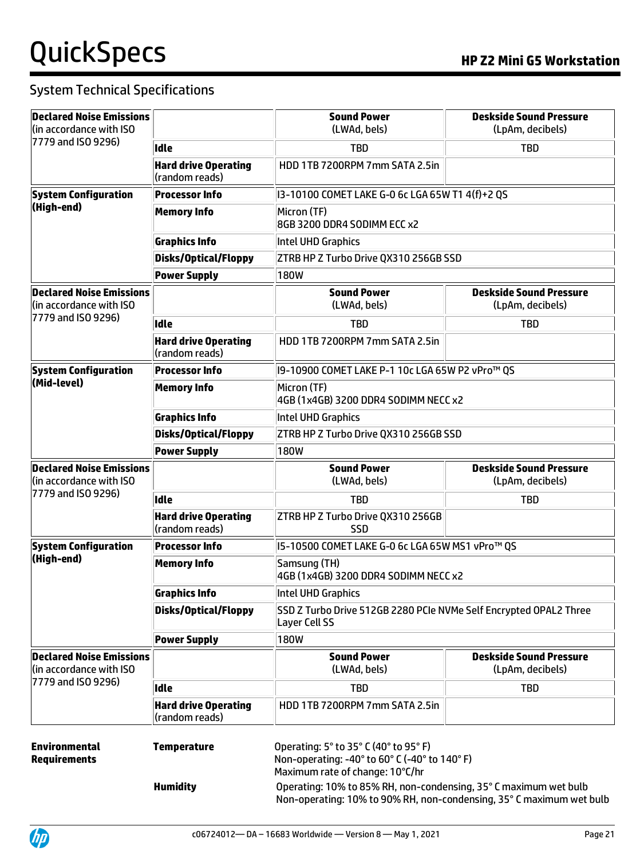| <b>Declared Noise Emissions</b>                            |                                               | <b>Sound Power</b>                                                                                                                                                                            | <b>Deskside Sound Pressure</b>                     |  |  |
|------------------------------------------------------------|-----------------------------------------------|-----------------------------------------------------------------------------------------------------------------------------------------------------------------------------------------------|----------------------------------------------------|--|--|
| (in accordance with ISO)<br>7779 and ISO 9296)             |                                               | (LWAd, bels)                                                                                                                                                                                  | (LpAm, decibels)                                   |  |  |
|                                                            | <b>Idle</b>                                   | <b>TBD</b>                                                                                                                                                                                    | <b>TBD</b>                                         |  |  |
|                                                            | <b>Hard drive Operating</b><br>(random reads) | HDD 1TB 7200RPM 7mm SATA 2.5in                                                                                                                                                                |                                                    |  |  |
| <b>System Configuration</b>                                | <b>Processor Info</b>                         | 13-10100 COMET LAKE G-0 6c LGA 65W T1 4(f)+2 QS                                                                                                                                               |                                                    |  |  |
| (High-end)                                                 | <b>Memory Info</b>                            | Micron (TF)<br>8GB 3200 DDR4 SODIMM ECC x2                                                                                                                                                    |                                                    |  |  |
|                                                            | <b>Graphics Info</b>                          | Intel UHD Graphics                                                                                                                                                                            |                                                    |  |  |
|                                                            | <b>Disks/Optical/Floppy</b>                   | ZTRB HP Z Turbo Drive QX310 256GB SSD                                                                                                                                                         |                                                    |  |  |
|                                                            | <b>Power Supply</b>                           | 180W                                                                                                                                                                                          |                                                    |  |  |
| <b>Declared Noise Emissions</b><br>(in accordance with ISO |                                               | <b>Sound Power</b><br>(LWAd, bels)                                                                                                                                                            | <b>Deskside Sound Pressure</b><br>(LpAm, decibels) |  |  |
| 7779 and ISO 9296)                                         | <b>Idle</b>                                   | <b>TBD</b>                                                                                                                                                                                    | <b>TBD</b>                                         |  |  |
|                                                            | <b>Hard drive Operating</b><br>(random reads) | HDD 1TB 7200RPM 7mm SATA 2.5in                                                                                                                                                                |                                                    |  |  |
| <b>System Configuration</b>                                | <b>Processor Info</b>                         | 19-10900 COMET LAKE P-1 10c LGA 65W P2 vPro™ QS                                                                                                                                               |                                                    |  |  |
| (Mid-level)                                                | <b>Memory Info</b>                            | Micron (TF)<br>4GB (1x4GB) 3200 DDR4 SODIMM NECC x2                                                                                                                                           |                                                    |  |  |
|                                                            | <b>Graphics Info</b>                          | Intel UHD Graphics                                                                                                                                                                            |                                                    |  |  |
|                                                            | <b>Disks/Optical/Floppy</b>                   | ZTRB HP Z Turbo Drive QX310 256GB SSD                                                                                                                                                         |                                                    |  |  |
|                                                            | <b>Power Supply</b>                           | 180W                                                                                                                                                                                          |                                                    |  |  |
| <b>Declared Noise Emissions</b><br>(in accordance with ISO |                                               | <b>Sound Power</b><br>(LWAd, bels)                                                                                                                                                            | <b>Deskside Sound Pressure</b><br>(LpAm, decibels) |  |  |
|                                                            |                                               |                                                                                                                                                                                               |                                                    |  |  |
| 7779 and ISO 9296)                                         | <b>Idle</b>                                   | <b>TBD</b>                                                                                                                                                                                    | <b>TBD</b>                                         |  |  |
|                                                            | <b>Hard drive Operating</b><br>(random reads) | ZTRB HP Z Turbo Drive QX310 256GB<br><b>SSD</b>                                                                                                                                               |                                                    |  |  |
| <b>System Configuration</b>                                | <b>Processor Info</b>                         | I5-10500 COMET LAKE G-0 6c LGA 65W MS1 vPro™ QS                                                                                                                                               |                                                    |  |  |
| (High-end)                                                 | <b>Memory Info</b>                            | Samsung (TH)<br>4GB (1x4GB) 3200 DDR4 SODIMM NECC x2                                                                                                                                          |                                                    |  |  |
|                                                            | <b>Graphics Info</b>                          | Intel UHD Graphics                                                                                                                                                                            |                                                    |  |  |
|                                                            | <b>Disks/Optical/Floppy</b>                   | SSD Z Turbo Drive 512GB 2280 PCIe NVMe Self Encrypted OPAL2 Three<br>Layer Cell SS                                                                                                            |                                                    |  |  |
|                                                            | <b>Power Supply</b>                           | 180W                                                                                                                                                                                          |                                                    |  |  |
| <b>Declared Noise Emissions</b><br>(in accordance with ISO |                                               | <b>Sound Power</b><br>(LWAd, bels)                                                                                                                                                            | <b>Deskside Sound Pressure</b><br>(LpAm, decibels) |  |  |
| 7779 and ISO 9296)                                         | <b>Idle</b>                                   | <b>TBD</b>                                                                                                                                                                                    | <b>TBD</b>                                         |  |  |
|                                                            | <b>Hard drive Operating</b><br>(random reads) | HDD 1TB 7200RPM 7mm SATA 2.5in                                                                                                                                                                |                                                    |  |  |
| <b>Environmental</b><br><b>Requirements</b>                | <b>Temperature</b><br><b>Humidity</b>         | Operating: 5° to 35° C (40° to 95° F)<br>Non-operating: -40° to 60° C (-40° to 140° F)<br>Maximum rate of change: 10°C/hr<br>Operating: 10% to 85% RH, non-condensing, 35° C maximum wet bulb |                                                    |  |  |

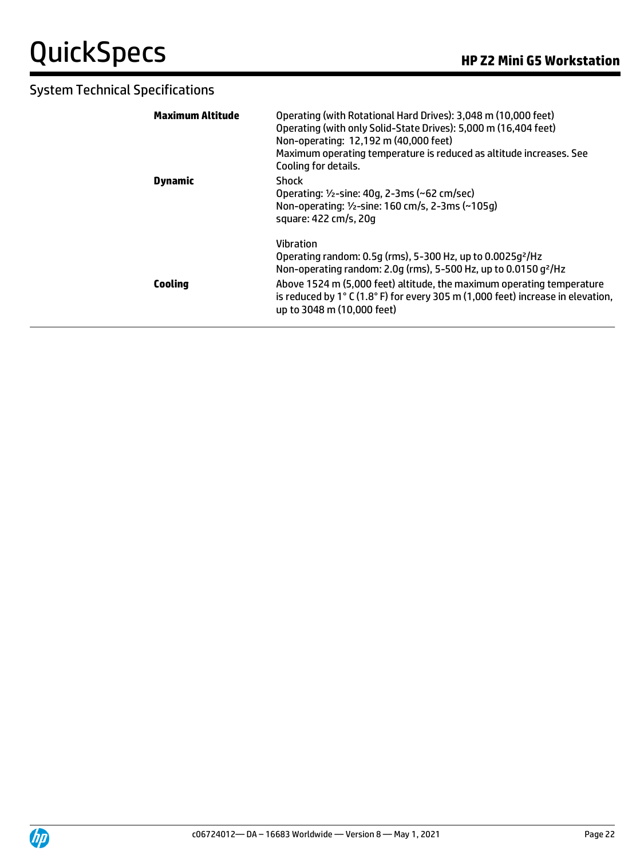| Maximum Altitude | Operating (with Rotational Hard Drives): 3,048 m (10,000 feet)<br>Operating (with only Solid-State Drives): 5,000 m (16,404 feet)<br>Non-operating: 12,192 m (40,000 feet)<br>Maximum operating temperature is reduced as altitude increases. See<br>Cooling for details.                                                                                                             |
|------------------|---------------------------------------------------------------------------------------------------------------------------------------------------------------------------------------------------------------------------------------------------------------------------------------------------------------------------------------------------------------------------------------|
| Dynamic          | Shock<br>Operating: 1/2-sine: 40g, 2-3ms (~62 cm/sec)<br>Non-operating: 1/2-sine: 160 cm/s, 2-3ms (~105q)<br>square: 422 cm/s, 20g                                                                                                                                                                                                                                                    |
| <b>Cooling</b>   | <b>Vibration</b><br>Operating random: 0.5g (rms), 5-300 Hz, up to 0.0025g <sup>2</sup> /Hz<br>Non-operating random: 2.0q (rms), 5-500 Hz, up to 0.0150 q <sup>2</sup> /Hz<br>Above 1524 m (5,000 feet) altitude, the maximum operating temperature<br>is reduced by 1 $\degree$ C (1.8 $\degree$ F) for every 305 m (1,000 feet) increase in elevation,<br>up to 3048 m (10,000 feet) |

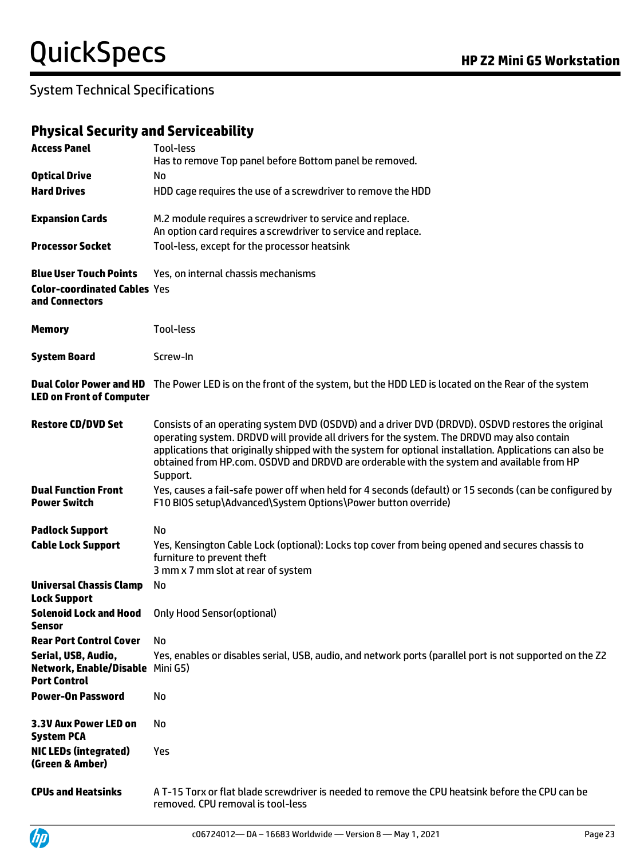### **Physical Security and Serviceability**

| <b>Access Panel</b>                                                            | Tool-less<br>Has to remove Top panel before Bottom panel be removed.                                                                                                                                                                                                                                                                                                                                                  |
|--------------------------------------------------------------------------------|-----------------------------------------------------------------------------------------------------------------------------------------------------------------------------------------------------------------------------------------------------------------------------------------------------------------------------------------------------------------------------------------------------------------------|
| <b>Optical Drive</b>                                                           | No                                                                                                                                                                                                                                                                                                                                                                                                                    |
| <b>Hard Drives</b>                                                             | HDD cage requires the use of a screwdriver to remove the HDD                                                                                                                                                                                                                                                                                                                                                          |
| <b>Expansion Cards</b>                                                         | M.2 module requires a screwdriver to service and replace.<br>An option card requires a screwdriver to service and replace.                                                                                                                                                                                                                                                                                            |
| <b>Processor Socket</b>                                                        | Tool-less, except for the processor heatsink                                                                                                                                                                                                                                                                                                                                                                          |
| <b>Blue User Touch Points</b>                                                  | Yes, on internal chassis mechanisms                                                                                                                                                                                                                                                                                                                                                                                   |
| <b>Color-coordinated Cables Yes</b><br>and Connectors                          |                                                                                                                                                                                                                                                                                                                                                                                                                       |
| <b>Memory</b>                                                                  | <b>Tool-less</b>                                                                                                                                                                                                                                                                                                                                                                                                      |
| <b>System Board</b>                                                            | Screw-In                                                                                                                                                                                                                                                                                                                                                                                                              |
| <b>LED on Front of Computer</b>                                                | Dual Color Power and HD The Power LED is on the front of the system, but the HDD LED is located on the Rear of the system                                                                                                                                                                                                                                                                                             |
| <b>Restore CD/DVD Set</b>                                                      | Consists of an operating system DVD (OSDVD) and a driver DVD (DRDVD). OSDVD restores the original<br>operating system. DRDVD will provide all drivers for the system. The DRDVD may also contain<br>applications that originally shipped with the system for optional installation. Applications can also be<br>obtained from HP.com. OSDVD and DRDVD are orderable with the system and available from HP<br>Support. |
| <b>Dual Function Front</b><br><b>Power Switch</b>                              | Yes, causes a fail-safe power off when held for 4 seconds (default) or 15 seconds (can be configured by<br>F10 BIOS setup\Advanced\System Options\Power button override)                                                                                                                                                                                                                                              |
| <b>Padlock Support</b>                                                         | No                                                                                                                                                                                                                                                                                                                                                                                                                    |
| <b>Cable Lock Support</b>                                                      | Yes, Kensington Cable Lock (optional): Locks top cover from being opened and secures chassis to<br>furniture to prevent theft<br>3 mm x 7 mm slot at rear of system                                                                                                                                                                                                                                                   |
| <b>Universal Chassis Clamp</b><br><b>Lock Support</b>                          | No                                                                                                                                                                                                                                                                                                                                                                                                                    |
| <b>Solenoid Lock and Hood</b><br>Sensor                                        | <b>Only Hood Sensor(optional)</b>                                                                                                                                                                                                                                                                                                                                                                                     |
| <b>Rear Port Control Cover</b>                                                 | No                                                                                                                                                                                                                                                                                                                                                                                                                    |
| Serial, USB, Audio,<br>Network, Enable/Disable Mini G5)<br><b>Port Control</b> | Yes, enables or disables serial, USB, audio, and network ports (parallel port is not supported on the Z2                                                                                                                                                                                                                                                                                                              |
| <b>Power-On Password</b>                                                       | No                                                                                                                                                                                                                                                                                                                                                                                                                    |
| 3.3V Aux Power LED on<br><b>System PCA</b>                                     | No                                                                                                                                                                                                                                                                                                                                                                                                                    |
| <b>NIC LEDs (integrated)</b><br>(Green & Amber)                                | Yes                                                                                                                                                                                                                                                                                                                                                                                                                   |
| <b>CPUs and Heatsinks</b>                                                      | A T-15 Torx or flat blade screwdriver is needed to remove the CPU heatsink before the CPU can be<br>removed. CPU removal is tool-less                                                                                                                                                                                                                                                                                 |

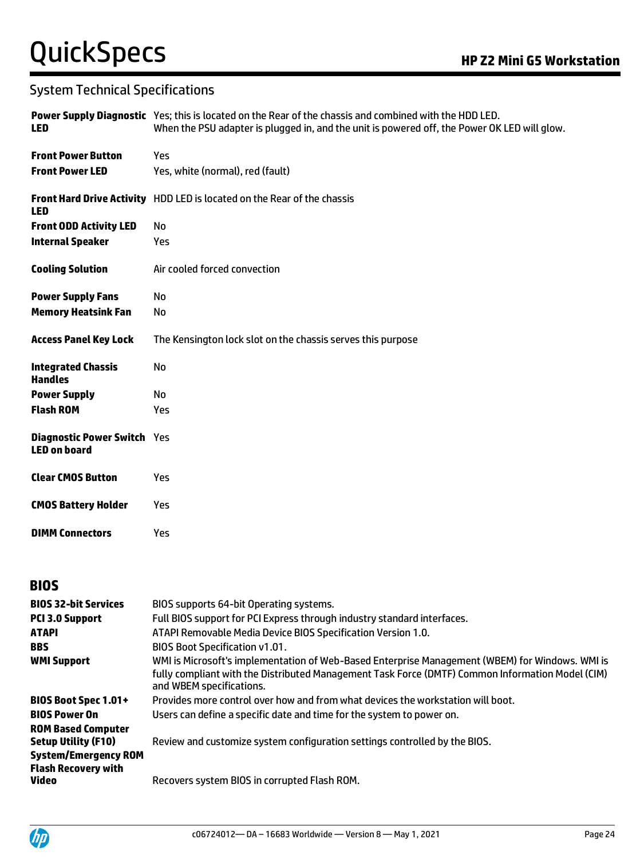| <b>LED</b>                                                | Power Supply Diagnostic Yes; this is located on the Rear of the chassis and combined with the HDD LED.<br>When the PSU adapter is plugged in, and the unit is powered off, the Power OK LED will glow. |
|-----------------------------------------------------------|--------------------------------------------------------------------------------------------------------------------------------------------------------------------------------------------------------|
| <b>Front Power Button</b>                                 | Yes                                                                                                                                                                                                    |
| <b>Front Power LED</b>                                    | Yes, white (normal), red (fault)                                                                                                                                                                       |
| <b>LED</b>                                                | Front Hard Drive Activity HDD LED is located on the Rear of the chassis                                                                                                                                |
| <b>Front ODD Activity LED</b>                             | No                                                                                                                                                                                                     |
| <b>Internal Speaker</b>                                   | Yes                                                                                                                                                                                                    |
| <b>Cooling Solution</b>                                   | Air cooled forced convection                                                                                                                                                                           |
| <b>Power Supply Fans</b>                                  | No                                                                                                                                                                                                     |
| <b>Memory Heatsink Fan</b>                                | No                                                                                                                                                                                                     |
| <b>Access Panel Key Lock</b>                              | The Kensington lock slot on the chassis serves this purpose                                                                                                                                            |
| <b>Integrated Chassis</b><br><b>Handles</b>               | No                                                                                                                                                                                                     |
| <b>Power Supply</b>                                       | No                                                                                                                                                                                                     |
| <b>Flash ROM</b>                                          | Yes                                                                                                                                                                                                    |
| <b>Diagnostic Power Switch Yes</b><br><b>LED on board</b> |                                                                                                                                                                                                        |
| <b>Clear CMOS Button</b>                                  | <b>Yes</b>                                                                                                                                                                                             |
| <b>CMOS Battery Holder</b>                                | Yes                                                                                                                                                                                                    |
| <b>DIMM Connectors</b>                                    | Yes                                                                                                                                                                                                    |
| <b>BIOS</b>                                               |                                                                                                                                                                                                        |
| <b>BIOS 32-bit Services</b>                               | BIOS supports 64-bit Operating systems.                                                                                                                                                                |
| P(1, 2, 0, 0)                                             | Full BIOC cupport for BCLEverace through inductry standard interfaces                                                                                                                                  |

| <b>PCI 3.0 Support</b>                                    | Full BIOS support for PCI Express through industry standard interfaces.                                                                                                                                                         |
|-----------------------------------------------------------|---------------------------------------------------------------------------------------------------------------------------------------------------------------------------------------------------------------------------------|
| <b>ATAPI</b>                                              | ATAPI Removable Media Device BIOS Specification Version 1.0.                                                                                                                                                                    |
| <b>BBS</b>                                                | <b>BIOS Boot Specification v1.01.</b>                                                                                                                                                                                           |
| <b>WMI Support</b>                                        | WMI is Microsoft's implementation of Web-Based Enterprise Management (WBEM) for Windows. WMI is<br>fully compliant with the Distributed Management Task Force (DMTF) Common Information Model (CIM)<br>and WBEM specifications. |
| <b>BIOS Boot Spec 1.01+</b>                               | Provides more control over how and from what devices the workstation will boot.                                                                                                                                                 |
| <b>BIOS Power On</b>                                      | Users can define a specific date and time for the system to power on.                                                                                                                                                           |
| <b>ROM Based Computer</b><br><b>Setup Utility (F10)</b>   | Review and customize system configuration settings controlled by the BIOS.                                                                                                                                                      |
| <b>System/Emergency ROM</b><br><b>Flash Recovery with</b> |                                                                                                                                                                                                                                 |
| Video                                                     | Recovers system BIOS in corrupted Flash ROM.                                                                                                                                                                                    |
|                                                           |                                                                                                                                                                                                                                 |

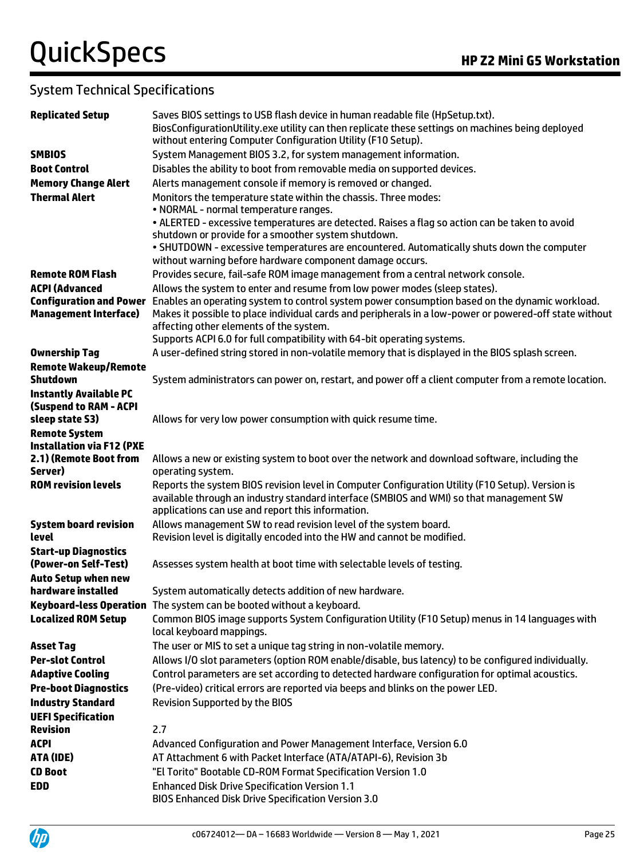| <b>Replicated Setup</b>                          | Saves BIOS settings to USB flash device in human readable file (HpSetup.txt).<br>BiosConfigurationUtility.exe utility can then replicate these settings on machines being deployed |
|--------------------------------------------------|------------------------------------------------------------------------------------------------------------------------------------------------------------------------------------|
|                                                  | without entering Computer Configuration Utility (F10 Setup).                                                                                                                       |
| <b>SMBIOS</b>                                    | System Management BIOS 3.2, for system management information.                                                                                                                     |
| <b>Boot Control</b>                              | Disables the ability to boot from removable media on supported devices.                                                                                                            |
| <b>Memory Change Alert</b>                       | Alerts management console if memory is removed or changed.                                                                                                                         |
| <b>Thermal Alert</b>                             | Monitors the temperature state within the chassis. Three modes:                                                                                                                    |
|                                                  | • NORMAL - normal temperature ranges.                                                                                                                                              |
|                                                  | . ALERTED - excessive temperatures are detected. Raises a flag so action can be taken to avoid                                                                                     |
|                                                  | shutdown or provide for a smoother system shutdown.                                                                                                                                |
|                                                  | . SHUTDOWN - excessive temperatures are encountered. Automatically shuts down the computer                                                                                         |
|                                                  | without warning before hardware component damage occurs.                                                                                                                           |
| <b>Remote ROM Flash</b>                          | Provides secure, fail-safe ROM image management from a central network console.                                                                                                    |
| <b>ACPI (Advanced</b>                            | Allows the system to enter and resume from low power modes (sleep states).                                                                                                         |
| <b>Configuration and Power</b>                   | Enables an operating system to control system power consumption based on the dynamic workload.                                                                                     |
| <b>Management Interface)</b>                     | Makes it possible to place individual cards and peripherals in a low-power or powered-off state without                                                                            |
|                                                  | affecting other elements of the system.                                                                                                                                            |
|                                                  | Supports ACPI 6.0 for full compatibility with 64-bit operating systems.<br>A user-defined string stored in non-volatile memory that is displayed in the BIOS splash screen.        |
| <b>Ownership Tag</b>                             |                                                                                                                                                                                    |
| <b>Remote Wakeup/Remote</b><br><b>Shutdown</b>   | System administrators can power on, restart, and power off a client computer from a remote location.                                                                               |
| <b>Instantly Available PC</b>                    |                                                                                                                                                                                    |
| <b>(Suspend to RAM - ACPI</b>                    |                                                                                                                                                                                    |
| sleep state S3)                                  | Allows for very low power consumption with quick resume time.                                                                                                                      |
| <b>Remote System</b>                             |                                                                                                                                                                                    |
| <b>Installation via F12 (PXE</b>                 |                                                                                                                                                                                    |
| 2.1) (Remote Boot from                           | Allows a new or existing system to boot over the network and download software, including the                                                                                      |
| Server)                                          | operating system.                                                                                                                                                                  |
| <b>ROM revision levels</b>                       | Reports the system BIOS revision level in Computer Configuration Utility (F10 Setup). Version is                                                                                   |
|                                                  | available through an industry standard interface (SMBIOS and WMI) so that management SW                                                                                            |
|                                                  | applications can use and report this information.                                                                                                                                  |
| <b>System board revision</b>                     | Allows management SW to read revision level of the system board.                                                                                                                   |
| <b>level</b>                                     | Revision level is digitally encoded into the HW and cannot be modified.                                                                                                            |
| <b>Start-up Diagnostics</b>                      |                                                                                                                                                                                    |
| (Power-on Self-Test)                             | Assesses system health at boot time with selectable levels of testing.                                                                                                             |
| <b>Auto Setup when new</b><br>hardware installed | System automatically detects addition of new hardware.                                                                                                                             |
|                                                  | Keyboard-less Operation The system can be booted without a keyboard.                                                                                                               |
| <b>Localized ROM Setup</b>                       | Common BIOS image supports System Configuration Utility (F10 Setup) menus in 14 languages with                                                                                     |
|                                                  | local keyboard mappings.                                                                                                                                                           |
| <b>Asset Tag</b>                                 | The user or MIS to set a unique tag string in non-volatile memory.                                                                                                                 |
| <b>Per-slot Control</b>                          | Allows I/O slot parameters (option ROM enable/disable, bus latency) to be configured individually.                                                                                 |
| <b>Adaptive Cooling</b>                          | Control parameters are set according to detected hardware configuration for optimal acoustics.                                                                                     |
| <b>Pre-boot Diagnostics</b>                      | (Pre-video) critical errors are reported via beeps and blinks on the power LED.                                                                                                    |
| <b>Industry Standard</b>                         | <b>Revision Supported by the BIOS</b>                                                                                                                                              |
| <b>UEFI Specification</b>                        |                                                                                                                                                                                    |
| <b>Revision</b>                                  | 2.7                                                                                                                                                                                |
| <b>ACPI</b>                                      | Advanced Configuration and Power Management Interface, Version 6.0                                                                                                                 |
| ATA (IDE)                                        | AT Attachment 6 with Packet Interface (ATA/ATAPI-6), Revision 3b                                                                                                                   |
| <b>CD Boot</b>                                   | "El Torito" Bootable CD-ROM Format Specification Version 1.0                                                                                                                       |
| <b>EDD</b>                                       | <b>Enhanced Disk Drive Specification Version 1.1</b>                                                                                                                               |
|                                                  | <b>BIOS Enhanced Disk Drive Specification Version 3.0</b>                                                                                                                          |

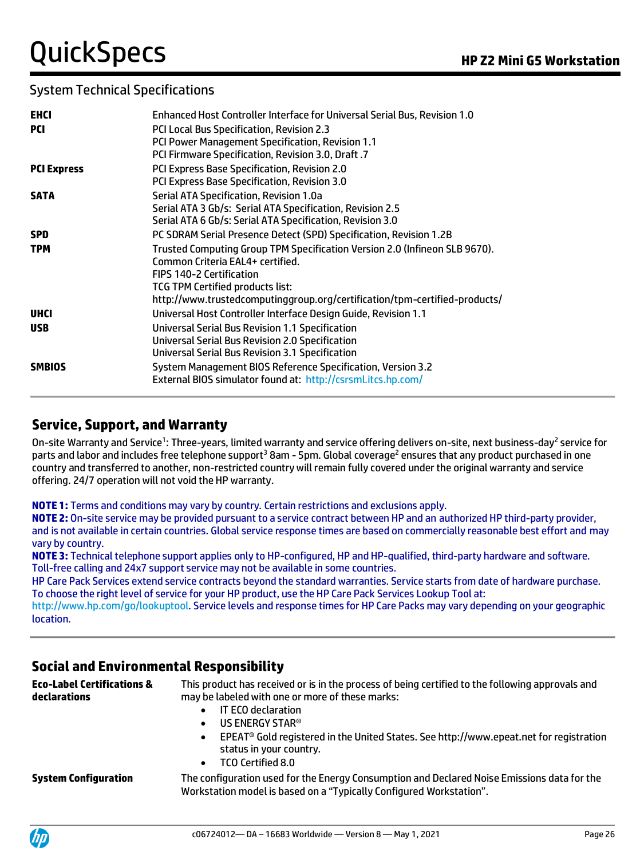| <b>EHCI</b>        | Enhanced Host Controller Interface for Universal Serial Bus, Revision 1.0                     |
|--------------------|-----------------------------------------------------------------------------------------------|
| PCI                | PCI Local Bus Specification, Revision 2.3<br>PCI Power Management Specification, Revision 1.1 |
|                    | PCI Firmware Specification, Revision 3.0, Draft .7                                            |
| <b>PCI Express</b> | PCI Express Base Specification, Revision 2.0                                                  |
|                    | PCI Express Base Specification, Revision 3.0                                                  |
| <b>SATA</b>        | Serial ATA Specification, Revision 1.0a                                                       |
|                    | Serial ATA 3 Gb/s: Serial ATA Specification, Revision 2.5                                     |
|                    | Serial ATA 6 Gb/s: Serial ATA Specification, Revision 3.0                                     |
| <b>SPD</b>         | PC SDRAM Serial Presence Detect (SPD) Specification, Revision 1.2B                            |
| <b>TPM</b>         | Trusted Computing Group TPM Specification Version 2.0 (Infineon SLB 9670).                    |
|                    | Common Criteria EAL4+ certified.                                                              |
|                    | <b>FIPS 140-2 Certification</b>                                                               |
|                    | TCG TPM Certified products list:                                                              |
|                    | http://www.trustedcomputinggroup.org/certification/tpm-certified-products/                    |
| <b>UHCI</b>        | Universal Host Controller Interface Design Guide, Revision 1.1                                |
| <b>USB</b>         | <b>Universal Serial Bus Revision 1.1 Specification</b>                                        |
|                    | Universal Serial Bus Revision 2.0 Specification                                               |
|                    | Universal Serial Bus Revision 3.1 Specification                                               |
| <b>SMBIOS</b>      | System Management BIOS Reference Specification, Version 3.2                                   |
|                    | External BIOS simulator found at: http://csrsml.itcs.hp.com/                                  |

### **Service, Support, and Warranty**

On-site Warranty and Service<sup>1</sup>: Three-years, limited warranty and service offering delivers on-site, next business-day<sup>2</sup> service for parts and labor and includes free telephone support<sup>3</sup> 8am - 5pm. Global coverage<sup>2</sup> ensures that any product purchased in one country and transferred to another, non-restricted country will remain fully covered under the original warranty and service offering. 24/7 operation will not void the HP warranty.

**NOTE 1:** Terms and conditions may vary by country. Certain restrictions and exclusions apply.

**NOTE 2:** On-site service may be provided pursuant to a service contract between HP and an authorized HP third-party provider, and is not available in certain countries. Global service response times are based on commercially reasonable best effort and may vary by country.

**NOTE 3:** Technical telephone support applies only to HP-configured, HP and HP-qualified, third-party hardware and software. Toll-free calling and 24x7 support service may not be available in some countries.

HP Care Pack Services extend service contracts beyond the standard warranties. Service starts from date of hardware purchase. To choose the right level of service for your HP product, use the HP Care Pack Services Lookup Tool at:

[http://www.hp.com/go/lookuptool.](http://www.hp.com/go/lookuptool) Service levels and response times for HP Care Packs may vary depending on your geographic location.

## **Social and Environmental Responsibility**

**Eco-Label Certifications & declarations** This product has received or is in the process of being certified to the following approvals and may be labeled with one or more of these marks:

- IT ECO declaration
- US ENERGY STAR®
- EPEAT® Gold registered in the United States. See http://www.epeat.net for registration status in your country.
- TCO Certified 8.0

**System Configuration** The configuration used for the Energy Consumption and Declared Noise Emissions data for the Workstation model is based on a "Typically Configured Workstation".

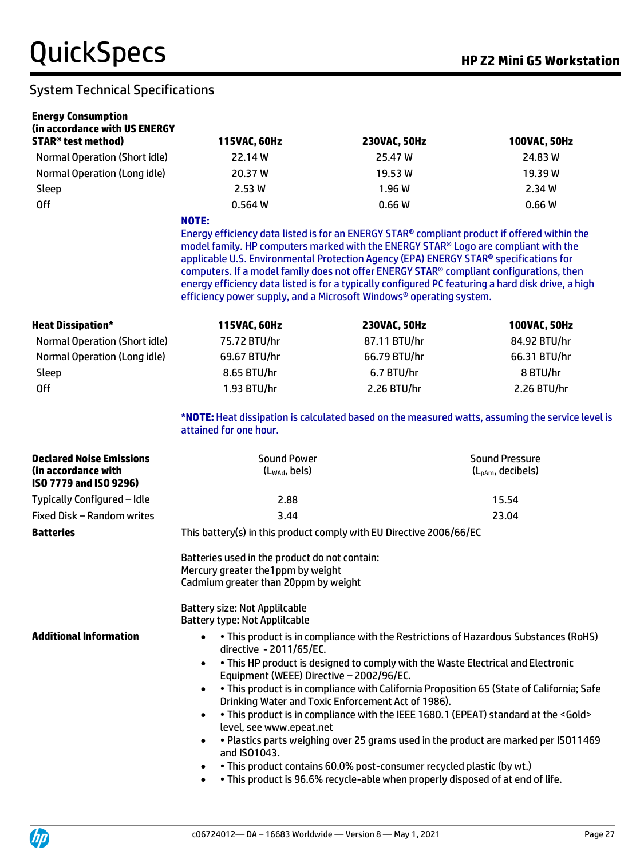| <b>Energy Consumption</b>                                                        |                                                                                                                                                                                                                                                                                                                                                                                                                                                                |                                                                                                                                                         |                                                                                                    |  |  |
|----------------------------------------------------------------------------------|----------------------------------------------------------------------------------------------------------------------------------------------------------------------------------------------------------------------------------------------------------------------------------------------------------------------------------------------------------------------------------------------------------------------------------------------------------------|---------------------------------------------------------------------------------------------------------------------------------------------------------|----------------------------------------------------------------------------------------------------|--|--|
| (in accordance with US ENERGY<br><b>STAR<sup>®</sup> test method</b> )           | 115VAC, 60Hz                                                                                                                                                                                                                                                                                                                                                                                                                                                   | 230VAC, 50Hz                                                                                                                                            | 100VAC, 50Hz                                                                                       |  |  |
| Normal Operation (Short idle)                                                    | 22.14 W                                                                                                                                                                                                                                                                                                                                                                                                                                                        | 25.47 W                                                                                                                                                 | 24.83 W                                                                                            |  |  |
| Normal Operation (Long idle)                                                     | 20.37 W                                                                                                                                                                                                                                                                                                                                                                                                                                                        | 19.53 W                                                                                                                                                 | 19.39W                                                                                             |  |  |
| Sleep                                                                            | 2.53W                                                                                                                                                                                                                                                                                                                                                                                                                                                          | 1.96 W                                                                                                                                                  | 2.34 W                                                                                             |  |  |
| <b>Off</b>                                                                       | 0.564W                                                                                                                                                                                                                                                                                                                                                                                                                                                         | 0.66W                                                                                                                                                   | 0.66W                                                                                              |  |  |
|                                                                                  | <b>NOTE:</b><br>Energy efficiency data listed is for an ENERGY STAR® compliant product if offered within the<br>model family. HP computers marked with the ENERGY STAR® Logo are compliant with the<br>applicable U.S. Environmental Protection Agency (EPA) ENERGY STAR® specifications for<br>computers. If a model family does not offer ENERGY STAR® compliant configurations, then<br>efficiency power supply, and a Microsoft Windows® operating system. |                                                                                                                                                         | energy efficiency data listed is for a typically configured PC featuring a hard disk drive, a high |  |  |
| <b>Heat Dissipation*</b>                                                         | 115VAC, 60Hz                                                                                                                                                                                                                                                                                                                                                                                                                                                   | 230VAC, 50Hz                                                                                                                                            | 100VAC, 50Hz                                                                                       |  |  |
| Normal Operation (Short idle)                                                    | 75.72 BTU/hr                                                                                                                                                                                                                                                                                                                                                                                                                                                   | 87.11 BTU/hr                                                                                                                                            | 84.92 BTU/hr                                                                                       |  |  |
| Normal Operation (Long idle)                                                     | 69.67 BTU/hr                                                                                                                                                                                                                                                                                                                                                                                                                                                   | 66.79 BTU/hr                                                                                                                                            | 66.31 BTU/hr                                                                                       |  |  |
| Sleep                                                                            | 8.65 BTU/hr                                                                                                                                                                                                                                                                                                                                                                                                                                                    | 6.7 BTU/hr                                                                                                                                              | 8 BTU/hr                                                                                           |  |  |
| <b>Off</b>                                                                       | 1.93 BTU/hr                                                                                                                                                                                                                                                                                                                                                                                                                                                    | 2.26 BTU/hr                                                                                                                                             | 2.26 BTU/hr                                                                                        |  |  |
|                                                                                  | attained for one hour.                                                                                                                                                                                                                                                                                                                                                                                                                                         |                                                                                                                                                         | *NOTE: Heat dissipation is calculated based on the measured watts, assuming the service level is   |  |  |
| <b>Declared Noise Emissions</b><br>(in accordance with<br>ISO 7779 and ISO 9296) | <b>Sound Power</b><br>$(L_{\text{WAd}}$ , bels)                                                                                                                                                                                                                                                                                                                                                                                                                |                                                                                                                                                         | <b>Sound Pressure</b><br>$(L_{pAm},$ decibels)                                                     |  |  |
| Typically Configured - Idle                                                      | 2.88<br>15.54                                                                                                                                                                                                                                                                                                                                                                                                                                                  |                                                                                                                                                         |                                                                                                    |  |  |
| Fixed Disk - Random writes                                                       | 3.44<br>23.04                                                                                                                                                                                                                                                                                                                                                                                                                                                  |                                                                                                                                                         |                                                                                                    |  |  |
| <b>Batteries</b>                                                                 | This battery(s) in this product comply with EU Directive 2006/66/EC                                                                                                                                                                                                                                                                                                                                                                                            |                                                                                                                                                         |                                                                                                    |  |  |
|                                                                                  | Batteries used in the product do not contain:<br>Mercury greater the 1ppm by weight<br>Cadmium greater than 20ppm by weight<br>Battery size: Not Applilcable                                                                                                                                                                                                                                                                                                   |                                                                                                                                                         |                                                                                                    |  |  |
|                                                                                  | <b>Battery type: Not Applilcable</b>                                                                                                                                                                                                                                                                                                                                                                                                                           |                                                                                                                                                         |                                                                                                    |  |  |
| <b>Additional Information</b>                                                    | . This product is in compliance with the Restrictions of Hazardous Substances (RoHS)<br>$\bullet$<br>directive - 2011/65/EC.<br>. This HP product is designed to comply with the Waste Electrical and Electronic<br>$\bullet$<br>Equipment (WEEE) Directive - 2002/96/EC.                                                                                                                                                                                      |                                                                                                                                                         |                                                                                                    |  |  |
|                                                                                  | . This product is in compliance with California Proposition 65 (State of California; Safe<br>$\bullet$<br>Drinking Water and Toxic Enforcement Act of 1986).<br>. This product is in compliance with the IEEE 1680.1 (EPEAT) standard at the <gold><br/><math display="inline">\bullet</math><br/>level, see www.epeat.net</gold>                                                                                                                              |                                                                                                                                                         |                                                                                                    |  |  |
|                                                                                  | . Plastics parts weighing over 25 grams used in the product are marked per ISO11469<br>$\bullet$<br>and ISO1043.                                                                                                                                                                                                                                                                                                                                               |                                                                                                                                                         |                                                                                                    |  |  |
|                                                                                  | $\bullet$<br>$\bullet$                                                                                                                                                                                                                                                                                                                                                                                                                                         | . This product contains 60.0% post-consumer recycled plastic (by wt.)<br>. This product is 96.6% recycle-able when properly disposed of at end of life. |                                                                                                    |  |  |

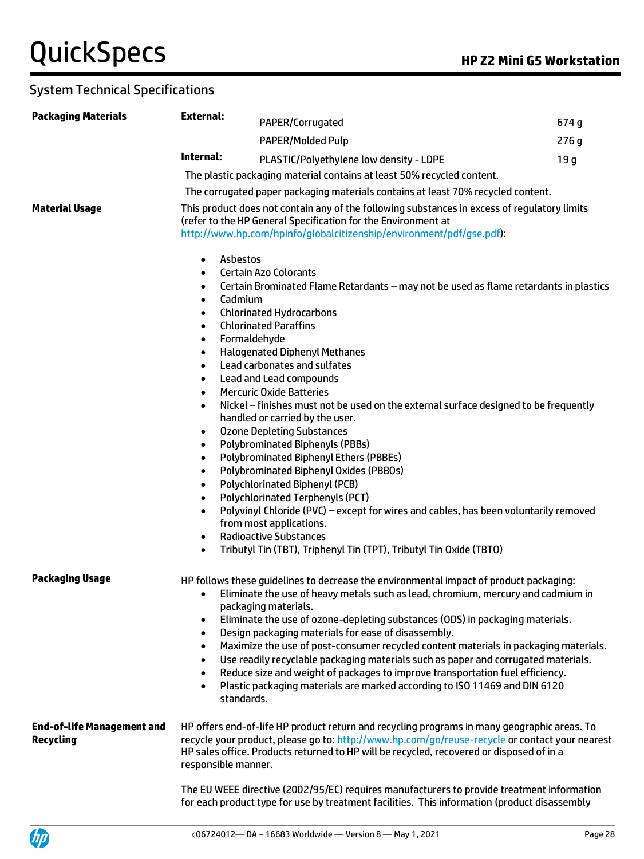| <b>Packaging Materials</b>                            | <b>External:</b>                                                                                                                                                                                                                                                             | PAPER/Corrugated                                                                                                                                                                                                                                                                                                                                                                                                                                                                                                                                                                                                                                                                                                                                                                                                                                                                                                      | 674 g           |
|-------------------------------------------------------|------------------------------------------------------------------------------------------------------------------------------------------------------------------------------------------------------------------------------------------------------------------------------|-----------------------------------------------------------------------------------------------------------------------------------------------------------------------------------------------------------------------------------------------------------------------------------------------------------------------------------------------------------------------------------------------------------------------------------------------------------------------------------------------------------------------------------------------------------------------------------------------------------------------------------------------------------------------------------------------------------------------------------------------------------------------------------------------------------------------------------------------------------------------------------------------------------------------|-----------------|
|                                                       |                                                                                                                                                                                                                                                                              | <b>PAPER/Molded Pulp</b>                                                                                                                                                                                                                                                                                                                                                                                                                                                                                                                                                                                                                                                                                                                                                                                                                                                                                              | 276q            |
|                                                       | Internal:                                                                                                                                                                                                                                                                    | PLASTIC/Polyethylene low density - LDPE                                                                                                                                                                                                                                                                                                                                                                                                                                                                                                                                                                                                                                                                                                                                                                                                                                                                               | 19 <sub>g</sub> |
|                                                       |                                                                                                                                                                                                                                                                              | The plastic packaging material contains at least 50% recycled content.                                                                                                                                                                                                                                                                                                                                                                                                                                                                                                                                                                                                                                                                                                                                                                                                                                                |                 |
|                                                       |                                                                                                                                                                                                                                                                              | The corrugated paper packaging materials contains at least 70% recycled content.                                                                                                                                                                                                                                                                                                                                                                                                                                                                                                                                                                                                                                                                                                                                                                                                                                      |                 |
| <b>Material Usage</b>                                 |                                                                                                                                                                                                                                                                              | This product does not contain any of the following substances in excess of regulatory limits<br>(refer to the HP General Specification for the Environment at<br>http://www.hp.com/hpinfo/globalcitizenship/environment/pdf/gse.pdf):                                                                                                                                                                                                                                                                                                                                                                                                                                                                                                                                                                                                                                                                                 |                 |
|                                                       | Asbestos<br>$\bullet$<br>$\bullet$<br>$\bullet$<br>Cadmium<br>٠<br>٠<br>٠<br>Formaldehyde<br>٠<br>٠<br>$\bullet$<br>$\bullet$<br>$\bullet$<br>$\bullet$<br>$\bullet$<br>$\bullet$<br>$\bullet$<br>$\bullet$<br>$\bullet$<br>$\bullet$<br>$\bullet$<br>$\bullet$<br>$\bullet$ | <b>Certain Azo Colorants</b><br>Certain Brominated Flame Retardants - may not be used as flame retardants in plastics<br><b>Chlorinated Hydrocarbons</b><br><b>Chlorinated Paraffins</b><br><b>Halogenated Diphenyl Methanes</b><br>Lead carbonates and sulfates<br>Lead and Lead compounds<br><b>Mercuric Oxide Batteries</b><br>Nickel – finishes must not be used on the external surface designed to be frequently<br>handled or carried by the user.<br><b>Ozone Depleting Substances</b><br>Polybrominated Biphenyls (PBBs)<br>Polybrominated Biphenyl Ethers (PBBEs)<br>Polybrominated Biphenyl Oxides (PBBOs)<br>Polychlorinated Biphenyl (PCB)<br>Polychlorinated Terphenyls (PCT)<br>Polyvinyl Chloride (PVC) - except for wires and cables, has been voluntarily removed<br>from most applications.<br><b>Radioactive Substances</b><br>Tributyl Tin (TBT), Triphenyl Tin (TPT), Tributyl Tin Oxide (TBTO) |                 |
| <b>Packaging Usage</b>                                | $\bullet$<br>$\bullet$<br>$\bullet$<br>$\bullet$<br>$\bullet$<br>$\bullet$<br>standards.                                                                                                                                                                                     | HP follows these quidelines to decrease the environmental impact of product packaging:<br>• Eliminate the use of heavy metals such as lead, chromium, mercury and cadmium in<br>packaging materials.<br>Eliminate the use of ozone-depleting substances (ODS) in packaging materials.<br>Design packaging materials for ease of disassembly.<br>Maximize the use of post-consumer recycled content materials in packaging materials.<br>Use readily recyclable packaging materials such as paper and corrugated materials.<br>Reduce size and weight of packages to improve transportation fuel efficiency.<br>Plastic packaging materials are marked according to ISO 11469 and DIN 6120                                                                                                                                                                                                                             |                 |
| <b>End-of-life Management and</b><br><b>Recycling</b> | responsible manner.                                                                                                                                                                                                                                                          | HP offers end-of-life HP product return and recycling programs in many geographic areas. To<br>recycle your product, please go to: http://www.hp.com/go/reuse-recycle or contact your nearest<br>HP sales office. Products returned to HP will be recycled, recovered or disposed of in a                                                                                                                                                                                                                                                                                                                                                                                                                                                                                                                                                                                                                             |                 |
|                                                       |                                                                                                                                                                                                                                                                              | The EU WEEE directive (2002/95/EC) requires manufacturers to provide treatment information<br>for each product type for use by treatment facilities. This information (product disassembly                                                                                                                                                                                                                                                                                                                                                                                                                                                                                                                                                                                                                                                                                                                            |                 |

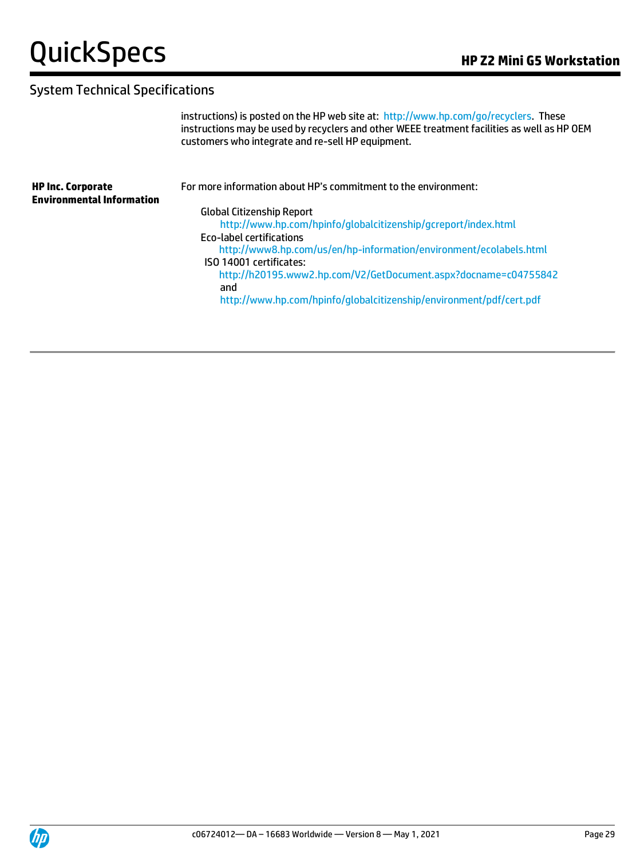# System Technical Specifications

instructions) is posted on the HP web site at: [http://www.hp.com/go/recyclers.](http://www.hp.com/go/recyclers) These instructions may be used by recyclers and other WEEE treatment facilities as well as HP OEM customers who integrate and re-sell HP equipment.

| <b>HP Inc. Corporate</b><br><b>Environmental Information</b> | For more information about HP's commitment to the environment:      |
|--------------------------------------------------------------|---------------------------------------------------------------------|
|                                                              | <b>Global Citizenship Report</b>                                    |
|                                                              | http://www.hp.com/hpinfo/globalcitizenship/gcreport/index.html      |
|                                                              | <b>Eco-label certifications</b>                                     |
|                                                              | http://www8.hp.com/us/en/hp-information/environment/ecolabels.html  |
|                                                              | ISO 14001 certificates:                                             |
|                                                              | http://h20195.www2.hp.com/V2/GetDocument.aspx?docname=c04755842     |
|                                                              | and                                                                 |
|                                                              | http://www.hp.com/hpinfo/globalcitizenship/environment/pdf/cert.pdf |
|                                                              |                                                                     |
|                                                              |                                                                     |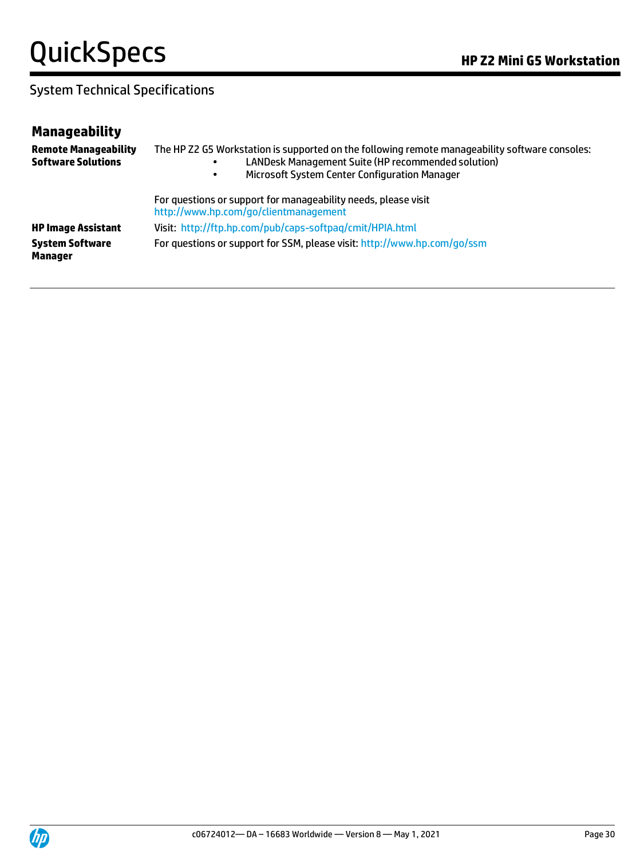| <b>Manageability</b>                                     |                                                                                                                                                                                                       |
|----------------------------------------------------------|-------------------------------------------------------------------------------------------------------------------------------------------------------------------------------------------------------|
| <b>Remote Manageability</b><br><b>Software Solutions</b> | The HP Z2 G5 Workstation is supported on the following remote manageability software consoles:<br>LANDesk Management Suite (HP recommended solution)<br>Microsoft System Center Configuration Manager |
|                                                          | For questions or support for manageability needs, please visit<br>http://www.hp.com/go/clientmanagement                                                                                               |
| <b>HP Image Assistant</b>                                | Visit: http://ftp.hp.com/pub/caps-softpag/cmit/HPIA.html                                                                                                                                              |
| <b>System Software</b><br>Manager                        | For questions or support for SSM, please visit: http://www.hp.com/go/ssm                                                                                                                              |

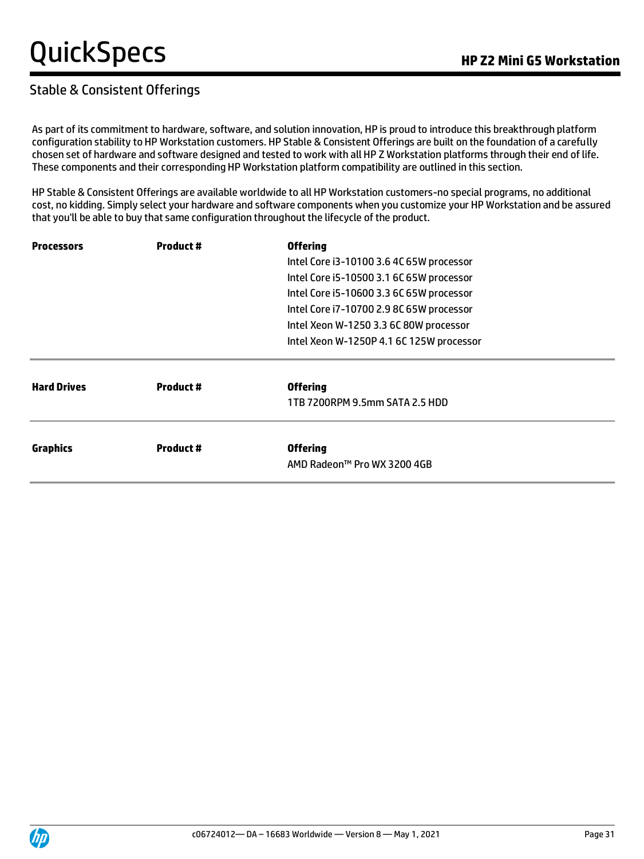### Stable & Consistent Offerings

As part of its commitment to hardware, software, and solution innovation, HP is proud to introduce this breakthrough platform configuration stability to HP Workstation customers. HP Stable & Consistent Offerings are built on the foundation of a carefully chosen set of hardware and software designed and tested to work with all HP Z Workstation platforms through their end of life. These components and their corresponding HP Workstation platform compatibility are outlined in this section.

HP Stable & Consistent Offerings are available worldwide to all HP Workstation customers-no special programs, no additional cost, no kidding. Simply select your hardware and software components when you customize your HP Workstation and be assured that you'll be able to buy that same configuration throughout the lifecycle of the product.

| <b>Processors</b>  | <b>Product #</b> | <b>Offering</b>                          |  |
|--------------------|------------------|------------------------------------------|--|
|                    |                  | Intel Core i3-10100 3.6 4C 65W processor |  |
|                    |                  | Intel Core i5-10500 3.1 6C 65W processor |  |
|                    |                  | Intel Core i5-10600 3.3 6C 65W processor |  |
|                    |                  | Intel Core i7-10700 2.9 8C 65W processor |  |
|                    |                  | Intel Xeon W-1250 3.3 6C 80W processor   |  |
|                    |                  | Intel Xeon W-1250P 4.1 6C 125W processor |  |
| <b>Hard Drives</b> | <b>Product #</b> | <b>Offering</b>                          |  |
|                    |                  | 1TB 7200RPM 9.5mm SATA 2.5 HDD           |  |
| <b>Graphics</b>    | <b>Product #</b> | <b>Offering</b>                          |  |
|                    |                  | AMD Radeon™ Pro WX 3200 4GB              |  |

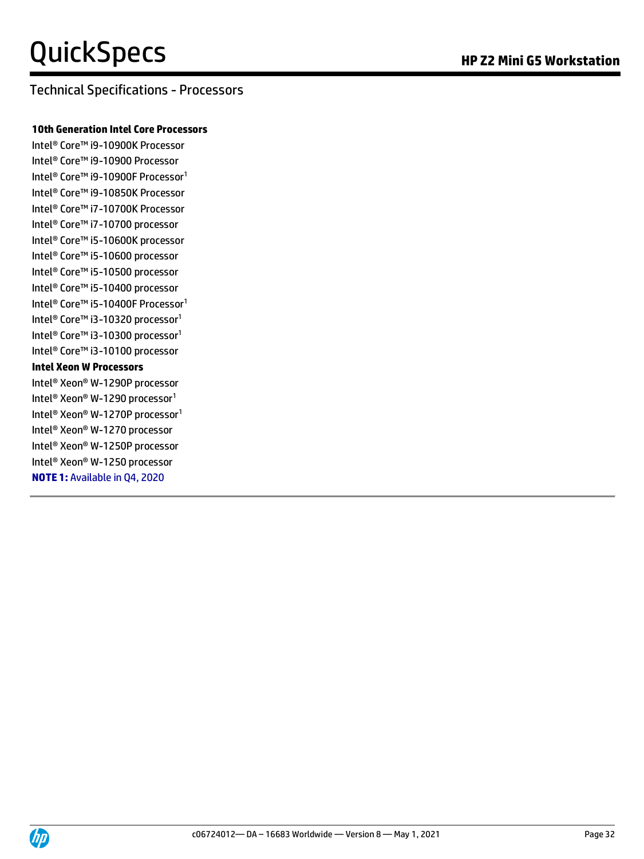#### Technical Specifications - Processors

#### **10th Generation Intel Core Processors**

Intel® Core™ i9-10900K Processor Intel® Core™ i9-10900 Processor Intel® Core™ i9-10900F Processor<sup>1</sup> Intel® Core™ i9-10850K Processor Intel® Core™ i7-10700K Processor Intel® Core™ i7-10700 processor Intel® Core™ i5-10600K processor Intel® Core™ i5-10600 processor Intel® Core™ i5-10500 processor Intel® Core™ i5-10400 processor Intel<sup>®</sup> Core™ i5-10400F Processor<sup>1</sup> Intel<sup>®</sup> Core™ i3-10320 processor<sup>1</sup> Intel® Core™ i3-10300 processor<sup>1</sup> Intel® Core™ i3-10100 processor **Intel Xeon W Processors** Intel® Xeon® W-1290P processor Intel® Xeon® W-1290 processor<sup>1</sup> Intel® Xeon® W-1270P processor<sup>1</sup> Intel® Xeon® W-1270 processor Intel® Xeon® W-1250P processor Intel® Xeon® W-1250 processor **NOTE 1:** Available in Q4, 2020

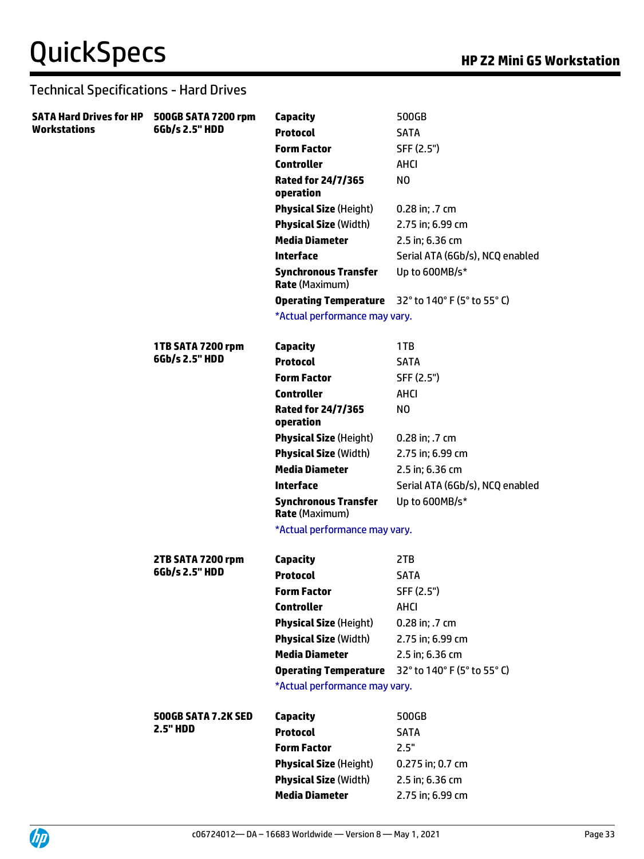| SATA Hard Drives for HP 500GB SATA 7200 rpm |                     | <b>Capacity</b>                                      | 500GB                           |
|---------------------------------------------|---------------------|------------------------------------------------------|---------------------------------|
| <b>Workstations</b>                         | 6Gb/s 2.5" HDD      | <b>Protocol</b>                                      | <b>SATA</b>                     |
|                                             |                     | <b>Form Factor</b>                                   | SFF (2.5")                      |
|                                             |                     | <b>Controller</b>                                    | <b>AHCI</b>                     |
|                                             |                     | <b>Rated for 24/7/365</b><br>operation               | NO.                             |
|                                             |                     | <b>Physical Size (Height)</b>                        | 0.28 in; .7 cm                  |
|                                             |                     | <b>Physical Size (Width)</b>                         | 2.75 in; 6.99 cm                |
|                                             |                     | <b>Media Diameter</b>                                | 2.5 in; 6.36 cm                 |
|                                             |                     | <b>Interface</b>                                     | Serial ATA (6Gb/s), NCQ enabled |
|                                             |                     | <b>Synchronous Transfer</b><br><b>Rate (Maximum)</b> | Up to 600MB/s*                  |
|                                             |                     | <b>Operating Temperature</b>                         | 32° to 140° F (5° to 55° C)     |
|                                             |                     | *Actual performance may vary.                        |                                 |
|                                             | 1TB SATA 7200 rpm   | <b>Capacity</b>                                      | 1TB                             |
|                                             | 6Gb/s 2.5" HDD      | <b>Protocol</b>                                      | <b>SATA</b>                     |
|                                             |                     | <b>Form Factor</b>                                   | SFF (2.5")                      |
|                                             |                     | <b>Controller</b>                                    | <b>AHCI</b>                     |
|                                             |                     | <b>Rated for 24/7/365</b><br>operation               | NO.                             |
|                                             |                     | <b>Physical Size (Height)</b>                        | 0.28 in; .7 cm                  |
|                                             |                     | <b>Physical Size (Width)</b>                         | 2.75 in; 6.99 cm                |
|                                             |                     | <b>Media Diameter</b>                                | 2.5 in; 6.36 cm                 |
|                                             |                     | <b>Interface</b>                                     | Serial ATA (6Gb/s), NCQ enabled |
|                                             |                     | <b>Synchronous Transfer</b><br><b>Rate (Maximum)</b> | Up to 600MB/s*                  |
|                                             |                     | *Actual performance may vary.                        |                                 |
|                                             | 2TB SATA 7200 rpm   | <b>Capacity</b>                                      | 2TB                             |
|                                             | 6Gb/s 2.5" HDD      | <b>Protocol</b>                                      | <b>SATA</b>                     |
|                                             |                     | <b>Form Factor</b>                                   | SFF (2.5")                      |
|                                             |                     | <b>Controller</b>                                    | <b>AHCI</b>                     |
|                                             |                     | <b>Physical Size (Height)</b>                        | 0.28 in; .7 cm                  |
|                                             |                     | <b>Physical Size (Width)</b>                         | 2.75 in; 6.99 cm                |
|                                             |                     | <b>Media Diameter</b>                                | 2.5 in; 6.36 cm                 |
|                                             |                     | <b>Operating Temperature</b>                         | 32° to 140° F (5° to 55° C)     |
|                                             |                     | *Actual performance may vary.                        |                                 |
|                                             | 500GB SATA 7.2K SED | <b>Capacity</b>                                      | 500GB                           |
|                                             | <b>2.5" HDD</b>     | <b>Protocol</b>                                      | <b>SATA</b>                     |
|                                             |                     | <b>Form Factor</b>                                   | 2.5"                            |
|                                             |                     | <b>Physical Size (Height)</b>                        | 0.275 in; 0.7 cm                |
|                                             |                     | <b>Physical Size (Width)</b>                         | 2.5 in; 6.36 cm                 |
|                                             |                     | <b>Media Diameter</b>                                | 2.75 in; 6.99 cm                |
|                                             |                     |                                                      |                                 |

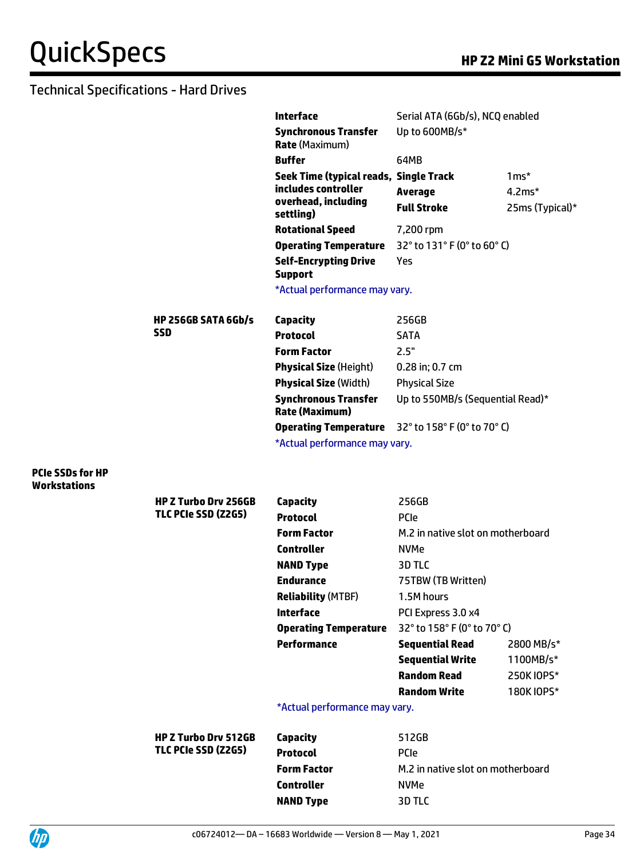|                         |                             | <b>Interface</b>                                         | Serial ATA (6Gb/s), NCQ enabled   |                 |
|-------------------------|-----------------------------|----------------------------------------------------------|-----------------------------------|-----------------|
|                         |                             | <b>Synchronous Transfer</b><br><b>Rate</b> (Maximum)     | Up to 600MB/s*                    |                 |
|                         |                             | <b>Buffer</b>                                            | 64MB                              |                 |
|                         |                             | Seek Time (typical reads, Single Track                   |                                   | $1ms*$          |
|                         |                             | includes controller                                      | <b>Average</b>                    | $4.2ms*$        |
|                         |                             | overhead, including<br>settling)                         | <b>Full Stroke</b>                | 25ms (Typical)* |
|                         |                             | <b>Rotational Speed</b>                                  | 7,200 rpm                         |                 |
|                         |                             | <b>Operating Temperature</b>                             | 32° to 131° F (0° to 60° C)       |                 |
|                         |                             | <b>Self-Encrypting Drive</b><br><b>Support</b>           | Yes                               |                 |
|                         |                             | *Actual performance may vary.                            |                                   |                 |
|                         | <b>HP 256GB SATA 6Gb/s</b>  | <b>Capacity</b>                                          | 256GB                             |                 |
|                         | <b>SSD</b>                  | <b>Protocol</b>                                          | <b>SATA</b>                       |                 |
|                         |                             | <b>Form Factor</b>                                       | 2.5"                              |                 |
|                         |                             | <b>Physical Size (Height)</b>                            | 0.28 in; 0.7 cm                   |                 |
|                         |                             | <b>Physical Size (Width)</b>                             | <b>Physical Size</b>              |                 |
|                         |                             | <b>Synchronous Transfer</b><br><b>Rate (Maximum)</b>     | Up to 550MB/s (Sequential Read)*  |                 |
|                         |                             | <b>Operating Temperature</b> 32° to 158° F (0° to 70° C) |                                   |                 |
| <b>PCIe SSDs for HP</b> |                             | *Actual performance may vary.                            |                                   |                 |
| <b>Workstations</b>     | <b>HP Z Turbo Drv 256GB</b> | Capacity                                                 | 256GB                             |                 |
|                         | TLC PCIe SSD (Z2G5)         | <b>Protocol</b>                                          | <b>PCIe</b>                       |                 |
|                         |                             | <b>Form Factor</b>                                       | M.2 in native slot on motherboard |                 |
|                         |                             | <b>Controller</b>                                        | <b>NVMe</b>                       |                 |
|                         |                             | <b>NAND Type</b>                                         | 3D TLC                            |                 |
|                         |                             | <b>Endurance</b>                                         | 75TBW (TB Written)                |                 |
|                         |                             | <b>Reliability (MTBF)</b>                                | 1.5M hours                        |                 |
|                         |                             | <b>Interface</b>                                         | PCI Express 3.0 x4                |                 |
|                         |                             | <b>Operating Temperature</b>                             | 32° to 158° F (0° to 70° C)       |                 |
|                         |                             | <b>Performance</b>                                       | <b>Sequential Read</b>            | 2800 MB/s*      |
|                         |                             |                                                          | <b>Sequential Write</b>           | 1100MB/s*       |
|                         |                             |                                                          | <b>Random Read</b>                | 250K IOPS*      |
|                         |                             |                                                          | <b>Random Write</b>               | 180K IOPS*      |
|                         |                             | *Actual performance may vary.                            |                                   |                 |
|                         | <b>HP Z Turbo Drv 512GB</b> | <b>Capacity</b>                                          | 512GB                             |                 |
|                         | TLC PCIe SSD (Z2G5)         | <b>Protocol</b>                                          | PCIe                              |                 |
|                         |                             | <b>Form Factor</b>                                       | M.2 in native slot on motherboard |                 |
|                         |                             | <b>Controller</b>                                        | <b>NVMe</b>                       |                 |
|                         |                             | <b>NAND Type</b>                                         | 3D TLC                            |                 |

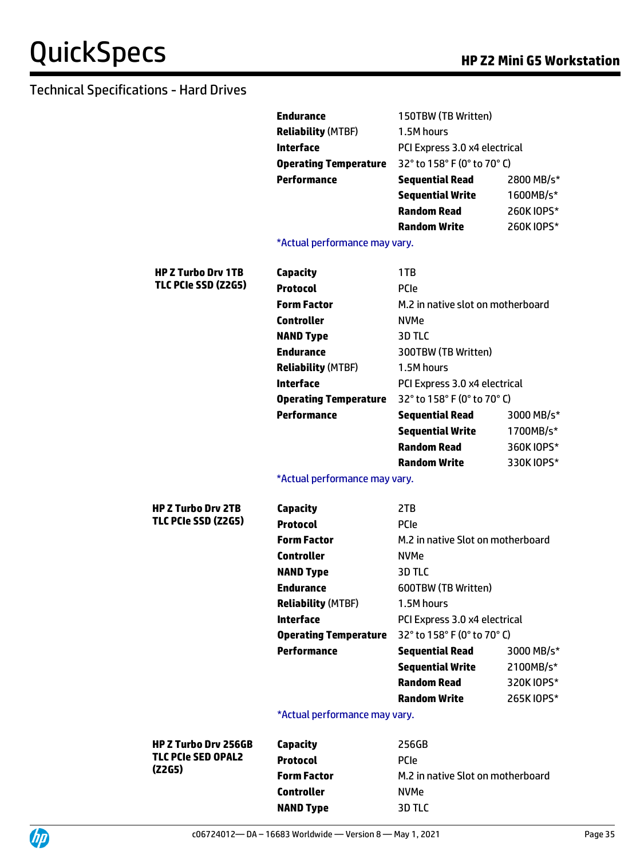|                             | <b>Endurance</b><br><b>Reliability (MTBF)</b> | 150TBW (TB Written)<br>1.5M hours |            |
|-----------------------------|-----------------------------------------------|-----------------------------------|------------|
|                             | <b>Interface</b>                              | PCI Express 3.0 x4 electrical     |            |
|                             | <b>Operating Temperature</b>                  | 32° to 158° F (0° to 70° C)       |            |
|                             | <b>Performance</b>                            | <b>Sequential Read</b>            | 2800 MB/s* |
|                             |                                               | <b>Sequential Write</b>           | 1600MB/s*  |
|                             |                                               | <b>Random Read</b>                | 260K IOPS* |
|                             |                                               | <b>Random Write</b>               | 260K IOPS* |
|                             | *Actual performance may vary.                 |                                   |            |
| <b>HP Z Turbo Drv 1TB</b>   | <b>Capacity</b>                               | 1TB                               |            |
| TLC PCIe SSD (Z2G5)         | <b>Protocol</b>                               | PCIe                              |            |
|                             | <b>Form Factor</b>                            | M.2 in native slot on motherboard |            |
|                             | <b>Controller</b>                             | <b>NVMe</b>                       |            |
|                             | <b>NAND Type</b>                              | 3D TLC                            |            |
|                             | <b>Endurance</b>                              | 300TBW (TB Written)               |            |
|                             | <b>Reliability (MTBF)</b>                     | 1.5M hours                        |            |
|                             | <b>Interface</b>                              | PCI Express 3.0 x4 electrical     |            |
|                             | <b>Operating Temperature</b>                  | 32° to 158° F (0° to 70° C)       |            |
|                             | <b>Performance</b>                            | <b>Sequential Read</b>            | 3000 MB/s* |
|                             |                                               | <b>Sequential Write</b>           | 1700MB/s*  |
|                             |                                               | <b>Random Read</b>                | 360K IOPS* |
|                             |                                               | <b>Random Write</b>               | 330K IOPS* |
|                             | *Actual performance may vary.                 |                                   |            |
| <b>HP Z Turbo Drv 2TB</b>   | <b>Capacity</b>                               | 2TB                               |            |
| TLC PCIe SSD (Z2G5)         | <b>Protocol</b>                               | PCIe                              |            |
|                             | <b>Form Factor</b>                            | M.2 in native Slot on motherboard |            |
|                             | <b>Controller</b>                             | <b>NVMe</b>                       |            |
|                             |                                               |                                   |            |
|                             | <b>NAND Type</b>                              | 3D TLC                            |            |
|                             | <b>Endurance</b>                              | 600TBW (TB Written)               |            |
|                             | <b>Reliability (MTBF)</b>                     | 1.5M hours                        |            |
|                             | <b>Interface</b>                              | PCI Express 3.0 x4 electrical     |            |
|                             | <b>Operating Temperature</b>                  | 32° to 158° F (0° to 70° C)       |            |
|                             | <b>Performance</b>                            | <b>Sequential Read</b>            | 3000 MB/s* |
|                             |                                               | <b>Sequential Write</b>           | 2100MB/s*  |
|                             |                                               | <b>Random Read</b>                | 320K IOPS* |
|                             |                                               | <b>Random Write</b>               | 265K IOPS* |
|                             | *Actual performance may vary.                 |                                   |            |
| <b>HP Z Turbo Drv 256GB</b> | <b>Capacity</b>                               | 256GB                             |            |
| <b>TLC PCIe SED OPAL2</b>   | <b>Protocol</b>                               | <b>PCIe</b>                       |            |
| (Z2G5)                      | <b>Form Factor</b>                            | M.2 in native Slot on motherboard |            |



**NAND Type** 3D TLC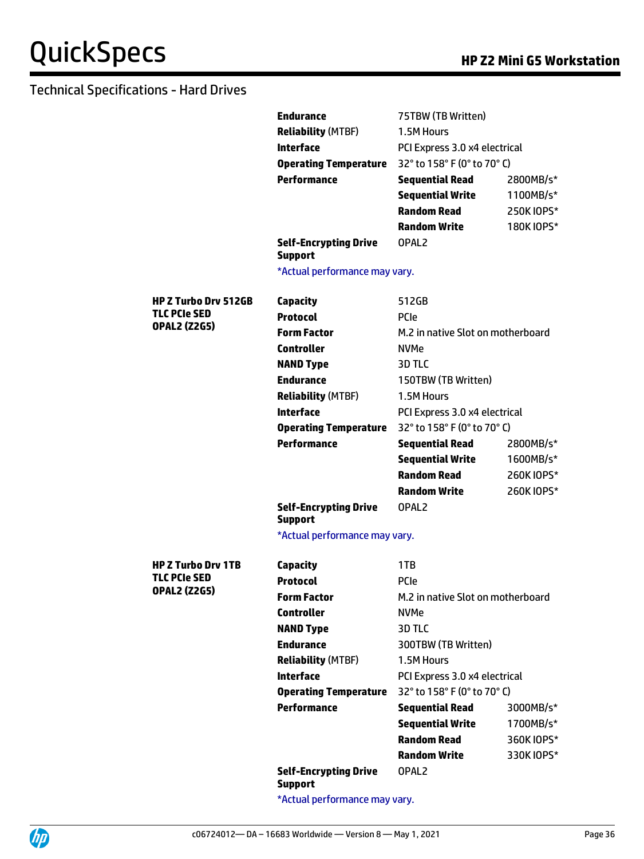|                                            | <b>Endurance</b>                               | 75TBW (TB Written)                |            |
|--------------------------------------------|------------------------------------------------|-----------------------------------|------------|
|                                            | <b>Reliability (MTBF)</b>                      | 1.5M Hours                        |            |
|                                            | <b>Interface</b>                               | PCI Express 3.0 x4 electrical     |            |
|                                            | <b>Operating Temperature</b>                   | 32° to 158° F (0° to 70° C)       |            |
|                                            | <b>Performance</b>                             | <b>Sequential Read</b>            | 2800MB/s*  |
|                                            |                                                | <b>Sequential Write</b>           | 1100MB/s*  |
|                                            |                                                | <b>Random Read</b>                | 250K IOPS* |
|                                            |                                                | <b>Random Write</b>               | 180K IOPS* |
|                                            | <b>Self-Encrypting Drive</b><br><b>Support</b> | OPAL2                             |            |
|                                            | *Actual performance may vary.                  |                                   |            |
| <b>HP Z Turbo Drv 512GB</b>                | <b>Capacity</b>                                | 512GB                             |            |
| <b>TLC PCIe SED</b><br><b>OPAL2 (Z2G5)</b> | <b>Protocol</b>                                | PCIe                              |            |
|                                            | <b>Form Factor</b>                             | M.2 in native Slot on motherboard |            |
|                                            | <b>Controller</b>                              | <b>NVMe</b>                       |            |
|                                            | <b>NAND Type</b>                               | 3D TLC                            |            |
|                                            | <b>Endurance</b>                               | 150TBW (TB Written)               |            |
|                                            | <b>Reliability (MTBF)</b>                      | 1.5M Hours                        |            |
|                                            | <b>Interface</b>                               | PCI Express 3.0 x4 electrical     |            |
|                                            | <b>Operating Temperature</b>                   | 32° to 158° F (0° to 70° C)       |            |
|                                            | <b>Performance</b>                             | <b>Sequential Read</b>            | 2800MB/s*  |
|                                            |                                                | <b>Sequential Write</b>           | 1600MB/s*  |
|                                            |                                                | <b>Random Read</b>                | 260K IOPS* |
|                                            |                                                | <b>Random Write</b>               | 260K IOPS* |
|                                            | <b>Self-Encrypting Drive</b><br><b>Support</b> | OPAL <sub>2</sub>                 |            |
|                                            | *Actual performance may vary.                  |                                   |            |
| <b>HP Z Turbo Drv 1TB</b>                  | <b>Capacity</b>                                | 1TB                               |            |
| <b>TLC PCIe SED</b>                        | <b>Protocol</b>                                | <b>PCIe</b>                       |            |
| <b>OPAL2 (Z2G5)</b>                        | <b>Form Factor</b>                             | M.2 in native Slot on motherboard |            |
|                                            | <b>Controller</b>                              | <b>NVMe</b>                       |            |
|                                            | <b>NAND Type</b>                               | 3D TLC                            |            |
|                                            | <b>Endurance</b>                               | 300TBW (TB Written)               |            |
|                                            | <b>Reliability (MTBF)</b>                      | 1.5M Hours                        |            |
|                                            | <b>Interface</b>                               | PCI Express 3.0 x4 electrical     |            |
|                                            | <b>Operating Temperature</b>                   | 32° to 158° F (0° to 70° C)       |            |
|                                            | <b>Performance</b>                             | <b>Sequential Read</b>            | 3000MB/s*  |
|                                            |                                                | <b>Sequential Write</b>           | 1700MB/s*  |
|                                            |                                                | <b>Random Read</b>                | 360K IOPS* |
|                                            |                                                | <b>Random Write</b>               | 330K IOPS* |
|                                            | <b>Self-Encrypting Drive</b><br><b>Support</b> | OPAL <sub>2</sub>                 |            |

\*Actual performance may vary.

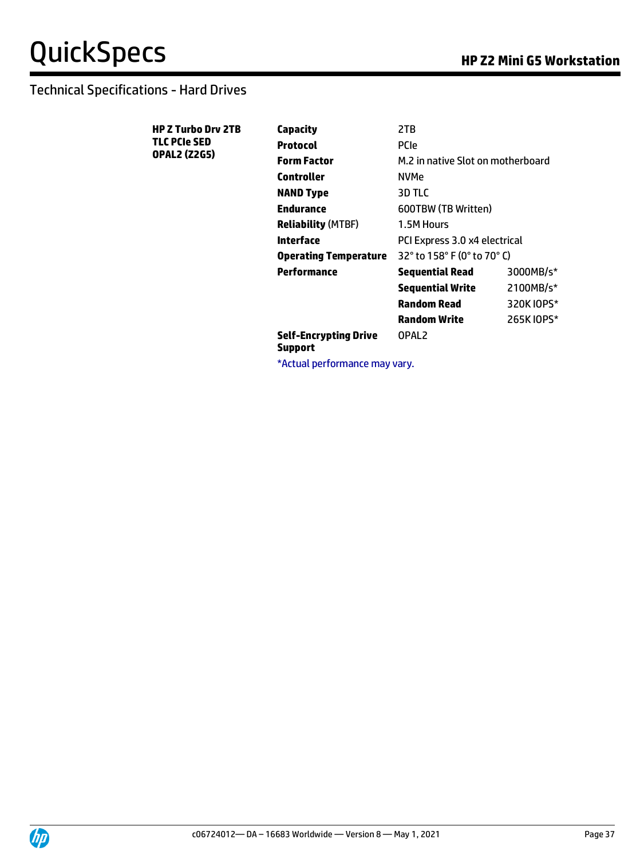| <b>HP Z Turbo Drv 2TB</b>                  | Capacity                                | 2TB                               |            |
|--------------------------------------------|-----------------------------------------|-----------------------------------|------------|
| <b>TLC PCIe SED</b><br><b>OPAL2 (Z2G5)</b> | <b>Protocol</b>                         | <b>PCIe</b>                       |            |
|                                            | <b>Form Factor</b>                      | M.2 in native Slot on motherboard |            |
|                                            | <b>Controller</b>                       | <b>NVMe</b>                       |            |
|                                            | <b>NAND Type</b>                        | 3D TLC                            |            |
|                                            | <b>Endurance</b>                        | 600TBW (TB Written)               |            |
|                                            | <b>Reliability (MTBF)</b>               | 1.5M Hours                        |            |
|                                            | <b>Interface</b>                        | PCI Express 3.0 x4 electrical     |            |
|                                            | <b>Operating Temperature</b>            | 32° to 158° F (0° to 70° C)       |            |
|                                            | Performance                             | Sequential Read                   | 3000MB/s*  |
|                                            |                                         | <b>Sequential Write</b>           | 2100MB/s*  |
|                                            |                                         | <b>Random Read</b>                | 320K IOPS* |
|                                            |                                         | <b>Random Write</b>               | 265K IOPS* |
|                                            | <b>Self-Encrypting Drive</b><br>Support | OPAL <sub>2</sub>                 |            |
|                                            | *Actual performance may vary.           |                                   |            |

UD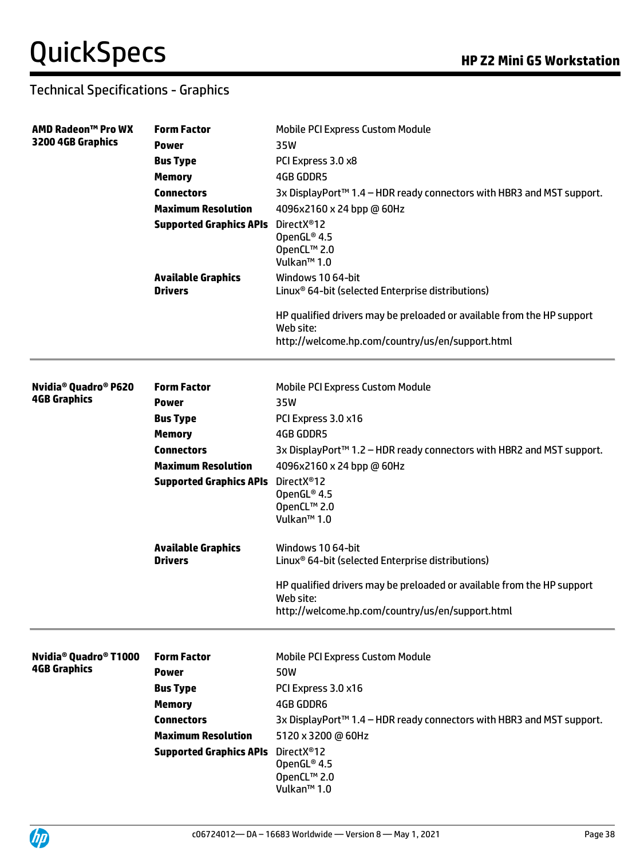### Technical Specifications - Graphics

| AMD Radeon™ Pro WX                            | <b>Form Factor</b>               | <b>Mobile PCI Express Custom Module</b>                                             |
|-----------------------------------------------|----------------------------------|-------------------------------------------------------------------------------------|
| 3200 4GB Graphics                             | <b>Power</b>                     | 35W                                                                                 |
|                                               | <b>Bus Type</b>                  | PCI Express 3.0 x8                                                                  |
|                                               | <b>Memory</b>                    | <b>4GB GDDR5</b>                                                                    |
|                                               | <b>Connectors</b>                | 3x DisplayPort <sup>™</sup> 1.4 - HDR ready connectors with HBR3 and MST support.   |
|                                               | <b>Maximum Resolution</b>        | 4096x2160 x 24 bpp @ 60Hz                                                           |
|                                               | <b>Supported Graphics APIs</b>   | DirectX <sup>®</sup> 12                                                             |
|                                               |                                  | OpenGL® 4.5                                                                         |
|                                               |                                  | OpenCL™ 2.0<br>Vulkan <sup>™</sup> 1.0                                              |
|                                               | <b>Available Graphics</b>        | Windows 10 64-bit                                                                   |
|                                               | <b>Drivers</b>                   | Linux <sup>®</sup> 64-bit (selected Enterprise distributions)                       |
|                                               |                                  | HP qualified drivers may be preloaded or available from the HP support<br>Web site: |
|                                               |                                  | http://welcome.hp.com/country/us/en/support.html                                    |
| Nvidia <sup>®</sup> Quadro <sup>®</sup> P620  | <b>Form Factor</b>               |                                                                                     |
| <b>4GB Graphics</b>                           | <b>Power</b>                     | Mobile PCI Express Custom Module<br>35W                                             |
|                                               |                                  | PCI Express 3.0 x16                                                                 |
|                                               | <b>Bus Type</b><br><b>Memory</b> | <b>4GB GDDR5</b>                                                                    |
|                                               | <b>Connectors</b>                |                                                                                     |
|                                               | <b>Maximum Resolution</b>        | 3x DisplayPort™ 1.2 - HDR ready connectors with HBR2 and MST support.               |
|                                               |                                  | 4096x2160 x 24 bpp @ 60Hz                                                           |
|                                               | <b>Supported Graphics APIs</b>   | DirectX <sup>®</sup> 12<br>OpenGL® 4.5                                              |
|                                               |                                  | OpenCL™ 2.0                                                                         |
|                                               |                                  | Vulkan <sup>™</sup> 1.0                                                             |
|                                               | <b>Available Graphics</b>        | Windows 10 64-bit                                                                   |
|                                               | <b>Drivers</b>                   | Linux <sup>®</sup> 64-bit (selected Enterprise distributions)                       |
|                                               |                                  | HP qualified drivers may be preloaded or available from the HP support              |
|                                               |                                  | Web site:<br>http://welcome.hp.com/country/us/en/support.html                       |
|                                               |                                  |                                                                                     |
| Nvidia <sup>®</sup> Quadro <sup>®</sup> T1000 | <b>Form Factor</b>               | <b>Mobile PCI Express Custom Module</b>                                             |
| <b>4GB Graphics</b>                           | <b>Power</b>                     | 50W                                                                                 |
|                                               | <b>Bus Type</b>                  | PCI Express 3.0 x16                                                                 |
|                                               | <b>Memory</b>                    | <b>4GB GDDR6</b>                                                                    |
|                                               | <b>Connectors</b>                | 3x DisplayPort <sup>™</sup> 1.4 - HDR ready connectors with HBR3 and MST support.   |
|                                               | <b>Maximum Resolution</b>        | 5120 x 3200 @ 60Hz                                                                  |
|                                               | <b>Supported Graphics APIs</b>   | DirectX <sup>®</sup> 12                                                             |
|                                               |                                  | OpenGL® 4.5                                                                         |
|                                               |                                  | OpenCL™ 2.0<br>Vulkan <sup>™</sup> 1.0                                              |
|                                               |                                  |                                                                                     |

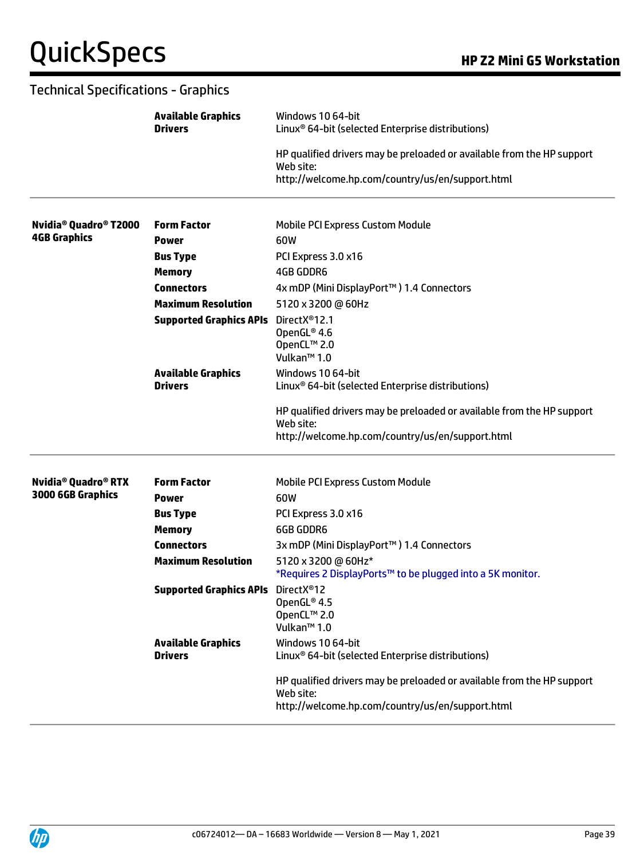| <b>Technical Specifications - Graphics</b>                            |                                             |                                                                                                                                         |  |
|-----------------------------------------------------------------------|---------------------------------------------|-----------------------------------------------------------------------------------------------------------------------------------------|--|
|                                                                       | <b>Available Graphics</b><br><b>Drivers</b> | Windows 10 64-bit<br>Linux <sup>®</sup> 64-bit (selected Enterprise distributions)                                                      |  |
|                                                                       |                                             | HP qualified drivers may be preloaded or available from the HP support<br>Web site:<br>http://welcome.hp.com/country/us/en/support.html |  |
|                                                                       |                                             |                                                                                                                                         |  |
| Nvidia <sup>®</sup> Quadro <sup>®</sup> T2000<br><b>4GB Graphics</b>  | <b>Form Factor</b>                          | <b>Mobile PCI Express Custom Module</b>                                                                                                 |  |
|                                                                       | <b>Power</b>                                | 60W                                                                                                                                     |  |
|                                                                       | <b>Bus Type</b>                             | PCI Express 3.0 x16                                                                                                                     |  |
|                                                                       | <b>Memory</b><br><b>Connectors</b>          | <b>4GB GDDR6</b>                                                                                                                        |  |
|                                                                       | <b>Maximum Resolution</b>                   | 4x mDP (Mini DisplayPort™) 1.4 Connectors<br>5120 x 3200 @ 60Hz                                                                         |  |
|                                                                       | <b>Supported Graphics APIs</b>              | DirectX <sup>®</sup> 12.1<br>OpenGL® 4.6<br>OpenCL™ 2.0<br>Vulkan <sup>™</sup> 1.0                                                      |  |
|                                                                       | <b>Available Graphics</b><br><b>Drivers</b> | Windows 10 64-bit<br>Linux <sup>®</sup> 64-bit (selected Enterprise distributions)                                                      |  |
|                                                                       |                                             | HP qualified drivers may be preloaded or available from the HP support<br>Web site:<br>http://welcome.hp.com/country/us/en/support.html |  |
| <b>Nvidia<sup>®</sup> Quadro<sup>®</sup> RTX</b><br>3000 6GB Graphics | <b>Form Factor</b><br><b>Power</b>          | <b>Mobile PCI Express Custom Module</b><br>60W                                                                                          |  |
|                                                                       | <b>Bus Type</b>                             | PCI Express 3.0 x16                                                                                                                     |  |
|                                                                       | <b>Memory</b>                               | <b>6GB GDDR6</b>                                                                                                                        |  |
|                                                                       | <b>Connectors</b>                           | 3x mDP (Mini DisplayPort™) 1.4 Connectors                                                                                               |  |
|                                                                       | <b>Maximum Resolution</b>                   | 5120 x 3200 @ 60Hz*<br>*Requires 2 DisplayPorts™ to be plugged into a 5K monitor.                                                       |  |
|                                                                       | <b>Supported Graphics APIs</b>              | DirectX®12<br>OpenGL® 4.5<br>OpenCL™ 2.0<br>Vulkan <sup>™</sup> 1.0                                                                     |  |
|                                                                       | <b>Available Graphics</b><br><b>Drivers</b> | Windows 10 64-bit<br>Linux <sup>®</sup> 64-bit (selected Enterprise distributions)                                                      |  |
|                                                                       |                                             | HP qualified drivers may be preloaded or available from the HP support<br>Web site:<br>http://welcome.hp.com/country/us/en/support.html |  |

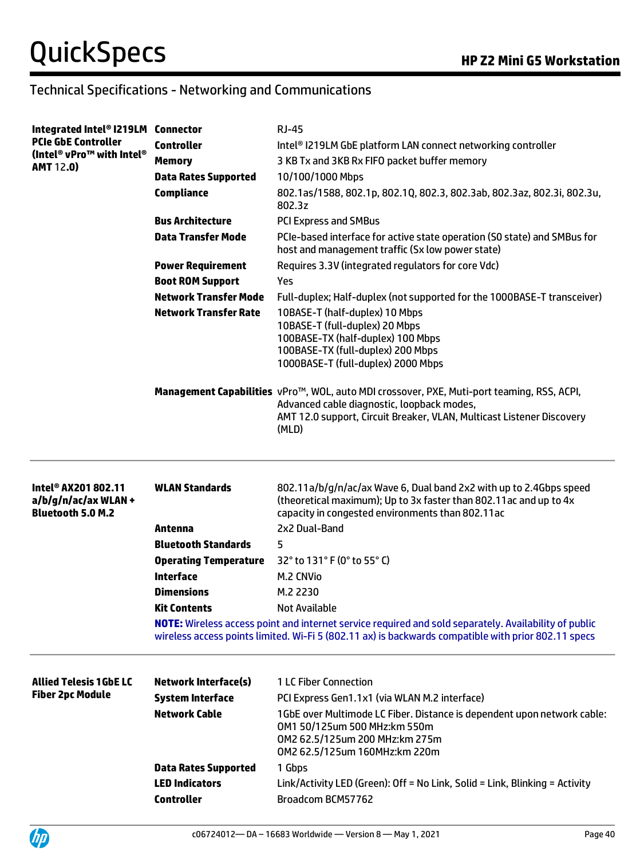# Technical Specifications - Networking and Communications

| Integrated Intel® I219LM Connector                                                  |                              | <b>RJ-45</b>                                                                                                                                                                                                               |
|-------------------------------------------------------------------------------------|------------------------------|----------------------------------------------------------------------------------------------------------------------------------------------------------------------------------------------------------------------------|
| <b>PCIe GbE Controller</b>                                                          | <b>Controller</b>            | Intel <sup>®</sup> I219LM GbE platform LAN connect networking controller                                                                                                                                                   |
| (Intel® vPro™ with Intel®<br><b>AMT 12.0)</b>                                       | <b>Memory</b>                | 3 KB Tx and 3KB Rx FIFO packet buffer memory                                                                                                                                                                               |
|                                                                                     | <b>Data Rates Supported</b>  | 10/100/1000 Mbps                                                                                                                                                                                                           |
|                                                                                     | <b>Compliance</b>            | 802.1as/1588, 802.1p, 802.1Q, 802.3, 802.3ab, 802.3az, 802.3i, 802.3u,<br>802.3z                                                                                                                                           |
|                                                                                     | <b>Bus Architecture</b>      | <b>PCI Express and SMBus</b>                                                                                                                                                                                               |
|                                                                                     | <b>Data Transfer Mode</b>    | PCIe-based interface for active state operation (SO state) and SMBus for<br>host and management traffic (Sx low power state)                                                                                               |
|                                                                                     | <b>Power Requirement</b>     | Requires 3.3V (integrated regulators for core Vdc)                                                                                                                                                                         |
|                                                                                     | <b>Boot ROM Support</b>      | Yes                                                                                                                                                                                                                        |
|                                                                                     | <b>Network Transfer Mode</b> | Full-duplex; Half-duplex (not supported for the 1000BASE-T transceiver)                                                                                                                                                    |
|                                                                                     | <b>Network Transfer Rate</b> | 10BASE-T (half-duplex) 10 Mbps<br>10BASE-T (full-duplex) 20 Mbps<br>100BASE-TX (half-duplex) 100 Mbps<br>100BASE-TX (full-duplex) 200 Mbps<br>1000BASE-T (full-duplex) 2000 Mbps                                           |
|                                                                                     |                              | Management Capabilities vPro™, WOL, auto MDI crossover, PXE, Muti-port teaming, RSS, ACPI,<br>Advanced cable diagnostic, loopback modes,<br>AMT 12.0 support, Circuit Breaker, VLAN, Multicast Listener Discovery<br>(MLD) |
|                                                                                     |                              |                                                                                                                                                                                                                            |
| Intel <sup>®</sup> AX201 802.11<br>a/b/g/n/ac/ax WLAN +<br><b>Bluetooth 5.0 M.2</b> | <b>WLAN Standards</b>        | 802.11a/b/g/n/ac/ax Wave 6, Dual band 2x2 with up to 2.4Gbps speed<br>(theoretical maximum); Up to 3x faster than 802.11ac and up to 4x<br>capacity in congested environments than 802.11ac                                |
|                                                                                     | Antenna                      | 2x2 Dual-Band                                                                                                                                                                                                              |
|                                                                                     | <b>Bluetooth Standards</b>   | 5                                                                                                                                                                                                                          |
|                                                                                     | <b>Operating Temperature</b> | 32° to 131° F (0° to 55° C)                                                                                                                                                                                                |
|                                                                                     | <b>Interface</b>             | M.2 CNVio                                                                                                                                                                                                                  |
|                                                                                     | <b>Dimensions</b>            | M.2 2230                                                                                                                                                                                                                   |
|                                                                                     | <b>Kit Contents</b>          | <b>Not Available</b>                                                                                                                                                                                                       |
|                                                                                     |                              | NOTE: Wireless access point and internet service required and sold separately. Availability of public<br>wireless access points limited. Wi-Fi 5 (802.11 ax) is backwards compatible with prior 802.11 specs               |
| <b>Allied Telesis 1GbE LC</b>                                                       | <b>Network Interface(s)</b>  | 1 LC Fiber Connection                                                                                                                                                                                                      |
| <b>Fiber 2pc Module</b>                                                             | <b>System Interface</b>      | PCI Express Gen1.1x1 (via WLAN M.2 interface)                                                                                                                                                                              |
|                                                                                     | <b>Network Cable</b>         | 1GbE over Multimode LC Fiber. Distance is dependent upon network cable:<br>0M1 50/125um 500 MHz:km 550m<br>0M2 62.5/125um 200 MHz:km 275m<br>0M2 62.5/125um 160MHz:km 220m                                                 |
|                                                                                     | <b>Data Rates Supported</b>  | 1 Gbps                                                                                                                                                                                                                     |
|                                                                                     | <b>LED Indicators</b>        | Link/Activity LED (Green): Off = No Link, Solid = Link, Blinking = Activity                                                                                                                                                |

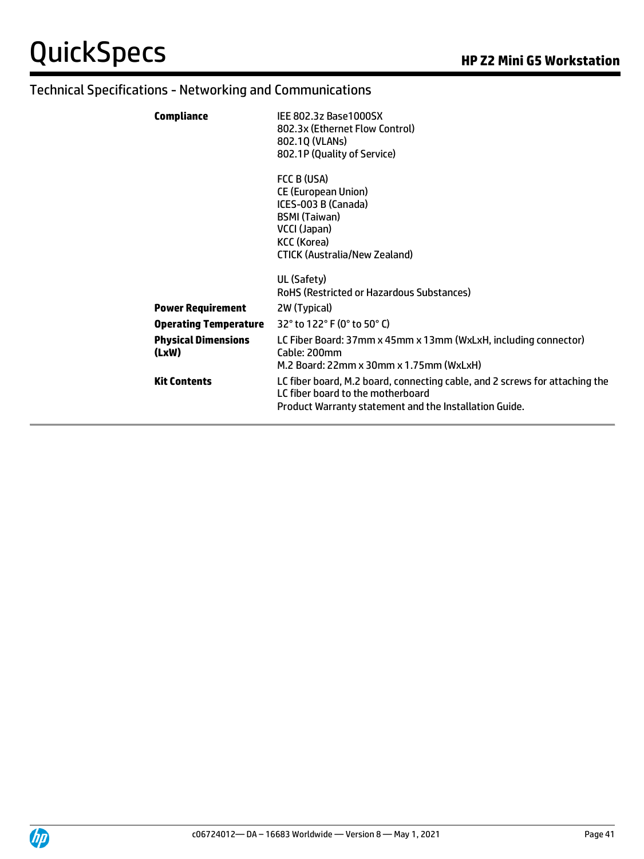# Technical Specifications - Networking and Communications

| <b>Compliance</b>                   | IEE 802.3z Base1000SX<br>802.3x (Ethernet Flow Control)<br>802.10 (VLANs)<br>802.1P (Quality of Service)                                                                   |
|-------------------------------------|----------------------------------------------------------------------------------------------------------------------------------------------------------------------------|
|                                     | FCC B (USA)<br><b>CE (European Union)</b><br>ICES-003 B (Canada)<br><b>BSMI (Taiwan)</b><br>VCCI (Japan)<br>KCC (Korea)<br><b>CTICK (Australia/New Zealand)</b>            |
|                                     | UL (Safety)<br>RoHS (Restricted or Hazardous Substances)                                                                                                                   |
| <b>Power Requirement</b>            | 2W (Typical)                                                                                                                                                               |
| <b>Operating Temperature</b>        | 32° to 122° F (0° to 50° C)                                                                                                                                                |
| <b>Physical Dimensions</b><br>(LxW) | LC Fiber Board: 37mm x 45mm x 13mm (WxLxH, including connector)<br>Cable: 200mm<br>M.2 Board: 22mm x 30mm x 1.75mm (WxLxH)                                                 |
| <b>Kit Contents</b>                 | LC fiber board, M.2 board, connecting cable, and 2 screws for attaching the<br>LC fiber board to the motherboard<br>Product Warranty statement and the Installation Guide. |

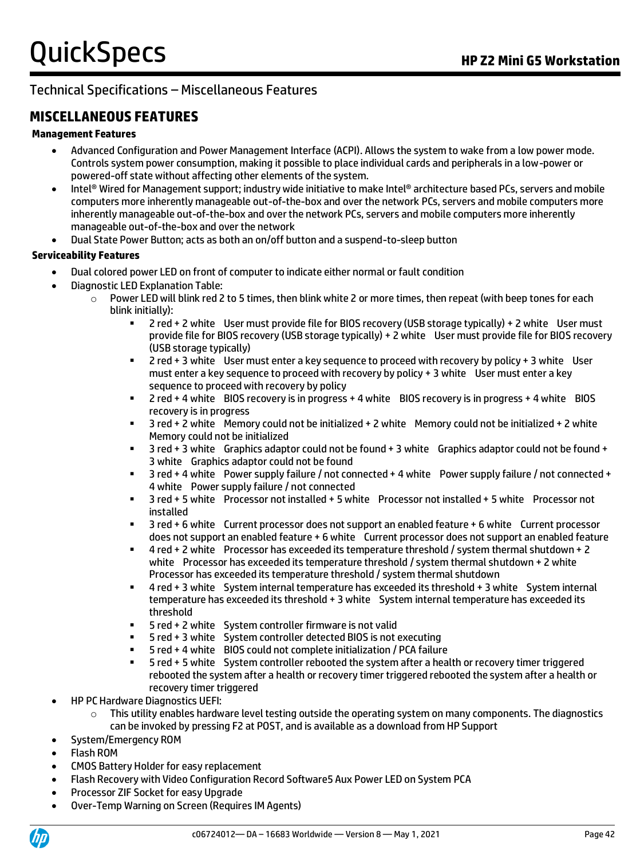### Technical Specifications – Miscellaneous Features

### **MISCELLANEOUS FEATURES**

#### **Management Features**

- Advanced Configuration and Power Management Interface (ACPI). Allows the system to wake from a low power mode. Controls system power consumption, making it possible to place individual cards and peripherals in a low-power or powered-off state without affecting other elements of the system.
- Intel® Wired for Management support; industry wide initiative to make Intel® architecture based PCs, servers and mobile computers more inherently manageable out-of-the-box and over the network PCs, servers and mobile computers more inherently manageable out-of-the-box and over the network PCs, servers and mobile computers more inherently manageable out-of-the-box and over the network
- Dual State Power Button; acts as both an on/off button and a suspend-to-sleep button

#### **Serviceability Features**

- Dual colored power LED on front of computer to indicate either normal or fault condition
- Diagnostic LED Explanation Table:
	- $\circ$  Power LED will blink red 2 to 5 times, then blink white 2 or more times, then repeat (with beep tones for each blink initially):
		- 2 red + 2 white User must provide file for BIOS recovery (USB storage typically) + 2 white User must provide file for BIOS recovery (USB storage typically) + 2 white User must provide file for BIOS recovery (USB storage typically)
		- 2 red + 3 white User must enter a key sequence to proceed with recovery by policy + 3 white User must enter a key sequence to proceed with recovery by policy + 3 white User must enter a key sequence to proceed with recovery by policy
		- 2 red + 4 white BIOS recovery is in progress + 4 white BIOS recovery is in progress + 4 white BIOS recovery is in progress
		- 3 red + 2 white Memory could not be initialized + 2 white Memory could not be initialized + 2 white Memory could not be initialized
		- 3 red + 3 white Graphics adaptor could not be found + 3 white Graphics adaptor could not be found + 3 white Graphics adaptor could not be found
		- 3 red + 4 white Power supply failure / not connected + 4 white Power supply failure / not connected + 4 white Power supply failure / not connected
		- 3 red + 5 white Processor not installed + 5 white Processor not installed + 5 white Processor not installed
		- 3 red + 6 white Current processor does not support an enabled feature + 6 white Current processor does not support an enabled feature + 6 white Current processor does not support an enabled feature
		- 4 red + 2 white Processor has exceeded its temperature threshold / system thermal shutdown + 2 white Processor has exceeded its temperature threshold / system thermal shutdown + 2 white Processor has exceeded its temperature threshold / system thermal shutdown
		- 4 red + 3 white System internal temperature has exceeded its threshold + 3 white System internal temperature has exceeded its threshold + 3 white System internal temperature has exceeded its threshold
		- 5 red + 2 white System controller firmware is not valid
		- 5 red + 3 white System controller detected BIOS is not executing
		- 5 red + 4 white BIOS could not complete initialization / PCA failure
		- 5 red + 5 white System controller rebooted the system after a health or recovery timer triggered rebooted the system after a health or recovery timer triggered rebooted the system after a health or recovery timer triggered
- HP PC Hardware Diagnostics UEFI:
	- $\circ$  This utility enables hardware level testing outside the operating system on many components. The diagnostics can be invoked by pressing F2 at POST, and is available as a download from HP Support
- System/Emergency ROM
- Flash ROM
- CMOS Battery Holder for easy replacement
- Flash Recovery with Video Configuration Record Software5 Aux Power LED on System PCA
- Processor ZIF Socket for easy Upgrade
- Over-Temp Warning on Screen (Requires IM Agents)

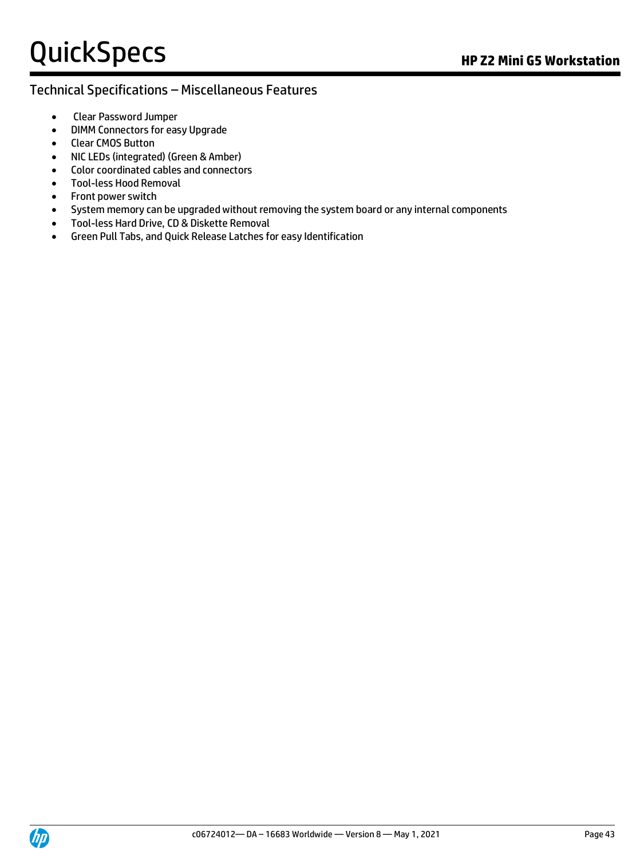#### Technical Specifications – Miscellaneous Features

- Clear Password Jumper
- DIMM Connectors for easy Upgrade
- Clear CMOS Button
- NIC LEDs (integrated) (Green & Amber)
- Color coordinated cables and connectors
- Tool-less Hood Removal
- Front power switch
- System memory can be upgraded without removing the system board or any internal components
- Tool-less Hard Drive, CD & Diskette Removal
- Green Pull Tabs, and Quick Release Latches for easy Identification

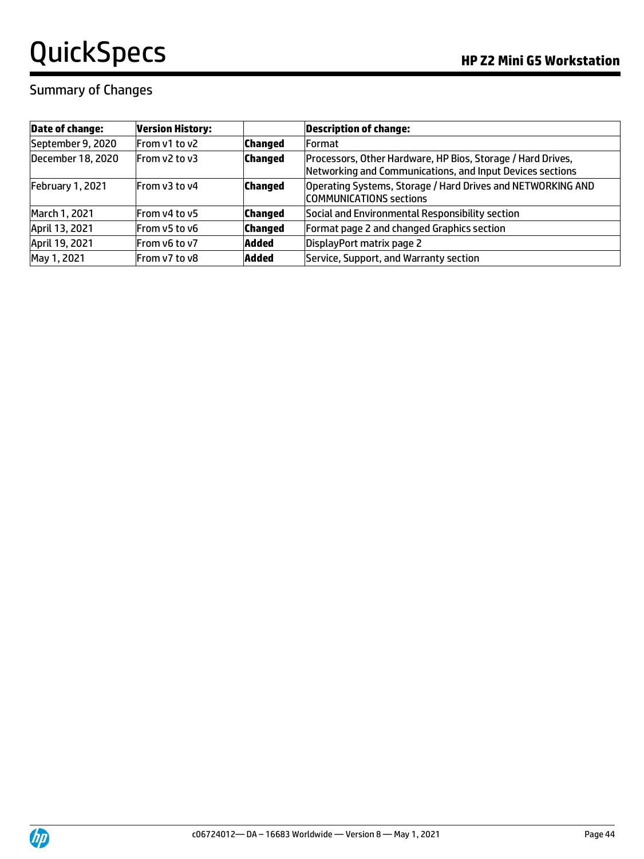### Summary of Changes

| <b>Date of change:</b> | <b>Version History:</b> |                | <b>Description of change:</b>                                                                                            |
|------------------------|-------------------------|----------------|--------------------------------------------------------------------------------------------------------------------------|
| September 9, 2020      | From v1 to v2           | <b>Changed</b> | <b>Format</b>                                                                                                            |
| December 18, 2020      | From y2 to y3           | <b>Changed</b> | Processors, Other Hardware, HP Bios, Storage / Hard Drives,<br>Networking and Communications, and Input Devices sections |
| February 1, 2021       | From v3 to y4           | <b>Changed</b> | Operating Systems, Storage / Hard Drives and NETWORKING AND<br><b>COMMUNICATIONS sections</b>                            |
| March 1, 2021          | From v4 to v5           | <b>Changed</b> | Social and Environmental Responsibility section                                                                          |
| April 13, 2021         | From v5 to v6           | <b>Changed</b> | Format page 2 and changed Graphics section                                                                               |
| April 19, 2021         | From v6 to v7           | Added          | DisplayPort matrix page 2                                                                                                |
| May 1, 2021            | From v7 to v8           | <b>Added</b>   | Service, Support, and Warranty section                                                                                   |